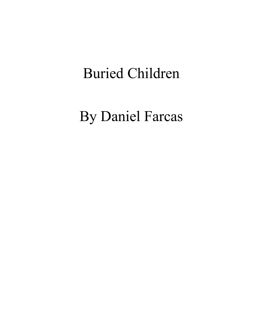# Buried Children

By Daniel Farcas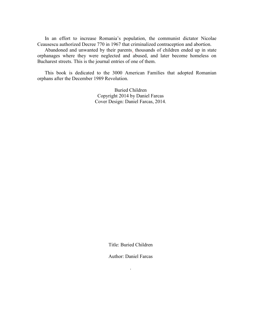In an effort to increase Romania's population, the communist dictator Nicolae Ceausescu authorized Decree 770 in 1967 that criminalized contraception and abortion.

Abandoned and unwanted by their parents, thousands of children ended up in state orphanages where they were neglected and abused, and later become homeless on Bucharest streets. This is the journal entries of one of them.

This book is dedicated to the 3000 American Families that adopted Romanian orphans after the December 1989 Revolution.

> Buried Children Copyright 2014 by Daniel Farcas Cover Design: Daniel Farcas, 2014.

> > Title: Buried Children

Author: Daniel Farcas

.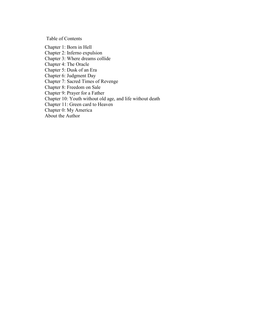Table of Contents

Chapter 1: Born in Hell

Chapter 2: Inferno expulsion

Chapter 3: Where dreams collide

Chapter 4: The Oracle

Chapter 5: Dusk of an Era

Chapter 6: Judgment Day

Chapter 7: Sacred Times of Revenge

Chapter 8: Freedom on Sale

Chapter 9: Prayer for a Father

Chapter 10: Youth without old age, and life without death

Chapter 11: Green card to Heaven

Chapter 0: My America

About the Author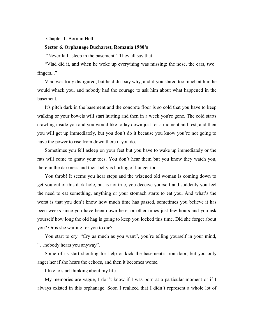# Chapter 1: Born in Hell

## **Sector 6. Orphanage Bucharest, Romania 1980's**

"Never fall asleep in the basement". They all say that.

"Vlad did it, and when he woke up everything was missing: the nose, the ears, two fingers..."

Vlad was truly disfigured, but he didn't say why, and if you stared too much at him he would whack you, and nobody had the courage to ask him about what happened in the basement.

It's pitch dark in the basement and the concrete floor is so cold that you have to keep walking or your bowels will start hurting and then in a week you're gone. The cold starts crawling inside you and you would like to lay down just for a moment and rest, and then you will get up immediately, but you don't do it because you know you're not going to have the power to rise from down there if you do.

Sometimes you fell asleep on your feet but you have to wake up immediately or the rats will come to gnaw your toes. You don't hear them but you know they watch you, there in the darkness and their belly is hurting of hunger too.

You throb! It seems you hear steps and the wizened old woman is coming down to get you out of this dark hole, but is not true, you deceive yourself and suddenly you feel the need to eat something, anything or your stomach starts to eat you. And what's the worst is that you don't know how much time has passed, sometimes you believe it has been weeks since you have been down here, or other times just few hours and you ask yourself how long the old hag is going to keep you locked this time. Did she forget about you? Or is she waiting for you to die?

You start to cry. "Cry as much as you want", you're telling yourself in your mind, "…nobody hears you anyway".

Some of us start shouting for help or kick the basement's iron door, but you only anger her if she hears the echoes, and then it becomes worse.

I like to start thinking about my life.

My memories are vague, I don't know if I was born at a particular moment or if I always existed in this orphanage. Soon I realized that I didn't represent a whole lot of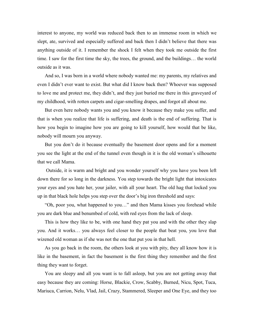interest to anyone, my world was reduced back then to an immense room in which we slept, ate, survived and especially suffered and back then I didn't believe that there was anything outside of it. I remember the shock I felt when they took me outside the first time. I saw for the first time the sky, the trees, the ground, and the buildings… the world outside as it was.

And so, I was born in a world where nobody wanted me: my parents, my relatives and even I didn't ever want to exist. But what did I know back then? Whoever was supposed to love me and protect me, they didn't, and they just buried me there in this graveyard of my childhood, with rotten carpets and cigar-smelling drapes, and forgot all about me.

But even here nobody wants you and you know it because they make you suffer, and that is when you realize that life is suffering, and death is the end of suffering. That is how you begin to imagine how you are going to kill yourself, how would that be like, nobody will mourn you anyway.

But you don't do it because eventually the basement door opens and for a moment you see the light at the end of the tunnel even though in it is the old woman's silhouette that we call Mama.

Outside, it is warm and bright and you wonder yourself why you have you been left down there for so long in the darkness. You step towards the bright light that intoxicates your eyes and you hate her, your jailer, with all your heart. The old hag that locked you up in that black hole helps you step over the door's big iron threshold and says:

"Oh, poor you, what happened to you…" and then Mama kisses you forehead while you are dark blue and benumbed of cold, with red eyes from the lack of sleep.

This is how they like to be, with one hand they pat you and with the other they slap you. And it works… you always feel closer to the people that beat you, you love that wizened old woman as if she was not the one that put you in that hell.

As you go back in the room, the others look at you with pity, they all know how it is like in the basement, in fact the basement is the first thing they remember and the first thing they want to forget.

You are sleepy and all you want is to fall asleep, but you are not getting away that easy because they are coming: Horse, Blackie, Crow, Scabby, Burned, Nicu, Spot, Tuca, Mariuca, Carrion, Nelu, Vlad, Jail, Crazy, Stammered, Sleeper and One Eye, and they too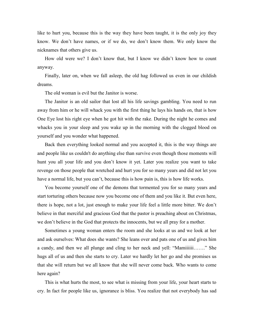like to hurt you, because this is the way they have been taught, it is the only joy they know. We don't have names, or if we do, we don't know them. We only know the nicknames that others give us.

How old were we? I don't know that, but I know we didn't know how to count anyway.

Finally, later on, when we fall asleep, the old hag followed us even in our childish dreams.

The old woman is evil but the Janitor is worse.

The Janitor is an old sailor that lost all his life savings gambling. You need to run away from him or he will whack you with the first thing he lays his hands on, that is how One Eye lost his right eye when he got hit with the rake. During the night he comes and whacks you in your sleep and you wake up in the morning with the clogged blood on yourself and you wonder what happened.

Back then everything looked normal and you accepted it, this is the way things are and people like us couldn't do anything else than survive even though those moments will hunt you all your life and you don't know it yet. Later you realize you want to take revenge on those people that wretched and hurt you for so many years and did not let you have a normal life, but you can't, because this is how pain is, this is how life works.

You become yourself one of the demons that tormented you for so many years and start torturing others because now you become one of them and you like it. But even here, there is hope, not a lot, just enough to make your life feel a little more bitter. We don't believe in that merciful and gracious God that the pastor is preaching about on Christmas, we don't believe in the God that protects the innocents, but we all pray for a mother.

Sometimes a young woman enters the room and she looks at us and we look at her and ask ourselves: What does she wants? She leans over and pats one of us and gives him a candy, and then we all plunge and cling to her neck and yell: "Mamiiiiii……." She hugs all of us and then she starts to cry. Later we hardly let her go and she promises us that she will return but we all know that she will never come back. Who wants to come here again?

This is what hurts the most, to see what is missing from your life, your heart starts to cry. In fact for people like us, ignorance is bliss. You realize that not everybody has sad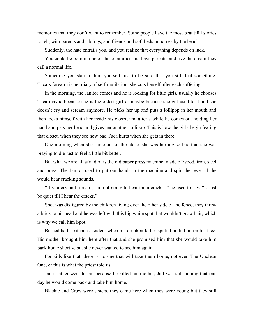memories that they don't want to remember. Some people have the most beautiful stories to tell, with parents and siblings, and friends and soft beds in homes by the beach.

Suddenly, the hate entrails you, and you realize that everything depends on luck.

You could be born in one of those families and have parents, and live the dream they call a normal life.

Sometime you start to hurt yourself just to be sure that you still feel something. Tuca's forearm is her diary of self-mutilation, she cuts herself after each suffering.

In the morning, the Janitor comes and he is looking for little girls, usually he chooses Tuca maybe because she is the oldest girl or maybe because she got used to it and she doesn't cry and scream anymore. He picks her up and puts a lollipop in her mouth and then locks himself with her inside his closet, and after a while he comes out holding her hand and pats her head and gives her another lollipop. This is how the girls begin fearing that closet, when they see how bad Tuca hurts when she gets in there.

One morning when she came out of the closet she was hurting so bad that she was praying to die just to feel a little bit better.

But what we are all afraid of is the old paper press machine, made of wood, iron, steel and brass. The Janitor used to put our hands in the machine and spin the lever till he would hear cracking sounds.

"If you cry and scream, I'm not going to hear them crack…" he used to say, "…just be quiet till I hear the cracks."

Spot was disfigured by the children living over the other side of the fence, they threw a brick to his head and he was left with this big white spot that wouldn't grow hair, which is why we call him Spot.

Burned had a kitchen accident when his drunken father spilled boiled oil on his face. His mother brought him here after that and she promised him that she would take him back home shortly, but she never wanted to see him again.

For kids like that, there is no one that will take them home, not even The Unclean One, or this is what the priest told us.

Jail's father went to jail because he killed his mother, Jail was still hoping that one day he would come back and take him home.

Blackie and Crow were sisters, they came here when they were young but they still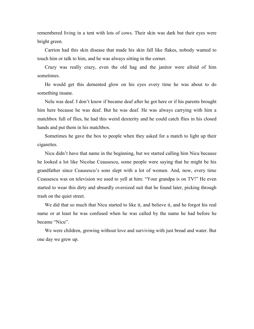remembered living in a tent with lots of cows. Their skin was dark but their eyes were bright green.

Carrion had this skin disease that made his skin fall like flakes, nobody wanted to touch him or talk to him, and he was always sitting in the corner.

Crazy was really crazy, even the old hag and the janitor were afraid of him sometimes.

He would get this demented glow on his eyes every time he was about to do something insane.

Nelu was deaf. I don't know if became deaf after he got here or if his parents brought him here because he was deaf. But he was deaf. He was always carrying with him a matchbox full of flies, he had this weird dexterity and he could catch flies in his closed hands and put them in his matchbox.

Sometimes he gave the box to people when they asked for a match to light up their cigarettes.

Nicu didn't have that name in the beginning, but we started calling him Nicu because he looked a lot like Nicolae Ceausescu, some people were saying that he might be his grandfather since Ceausescu's sons slept with a lot of women. And, now, every time Ceausescu was on television we used to yell at him: "Your grandpa is on TV!" He even started to wear this dirty and absurdly oversized suit that he found later, picking through trash on the quiet street.

We did that so much that Nicu started to like it, and believe it, and he forgot his real name or at least he was confused when he was called by the name he had before he became "Nicu".

We were children, growing without love and surviving with just bread and water. But one day we grew up.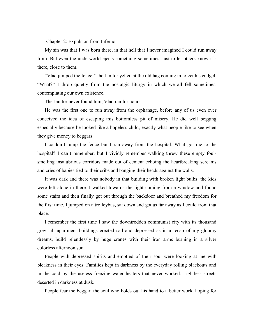Chapter 2: Expulsion from Inferno

My sin was that I was born there, in that hell that I never imagined I could run away from. But even the underworld ejects something sometimes, just to let others know it's there, close to them.

"Vlad jumped the fence!" the Janitor yelled at the old hag coming in to get his cudgel. "What?" I throb quietly from the nostalgic liturgy in which we all fell sometimes, contemplating our own existence.

The Janitor never found him, Vlad ran for hours.

He was the first one to run away from the orphanage, before any of us even ever conceived the idea of escaping this bottomless pit of misery. He did well begging especially because he looked like a hopeless child, exactly what people like to see when they give money to beggars.

I couldn't jump the fence but I ran away from the hospital. What got me to the hospital? I can't remember, but I vividly remember walking threw these empty foulsmelling insalubrious corridors made out of cement echoing the heartbreaking screams and cries of babies tied to their cribs and banging their heads against the walls.

It was dark and there was nobody in that building with broken light bulbs: the kids were left alone in there. I walked towards the light coming from a window and found some stairs and then finally got out through the backdoor and breathed my freedom for the first time. I jumped on a trolleybus, sat down and got as far away as I could from that place.

I remember the first time I saw the downtrodden communist city with its thousand grey tall apartment buildings erected sad and depressed as in a recap of my gloomy dreams, build relentlessly by huge cranes with their iron arms burning in a silver colorless afternoon sun.

People with depressed spirits and emptied of their soul were looking at me with bleakness in their eyes. Families kept in darkness by the everyday rolling blackouts and in the cold by the useless freezing water heaters that never worked. Lightless streets deserted in darkness at dusk.

People fear the beggar, the soul who holds out his hand to a better world hoping for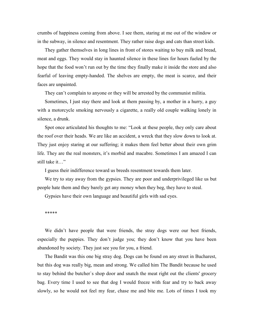crumbs of happiness coming from above. I see them, staring at me out of the window or in the subway, in silence and resentment. They rather raise dogs and cats than street kids.

They gather themselves in long lines in front of stores waiting to buy milk and bread, meat and eggs. They would stay in haunted silence in these lines for hours fueled by the hope that the food won't run out by the time they finally make it inside the store and also fearful of leaving empty-handed. The shelves are empty, the meat is scarce, and their faces are unpainted.

They can't complain to anyone or they will be arrested by the communist militia.

Sometimes, I just stay there and look at them passing by, a mother in a hurry, a guy with a motorcycle smoking nervously a cigarette, a really old couple walking lonely in silence, a drunk.

Spot once articulated his thoughts to me: "Look at these people, they only care about the roof over their heads. We are like an accident, a wreck that they slow down to look at. They just enjoy staring at our suffering; it makes them feel better about their own grim life. They are the real monsters, it's morbid and macabre. Sometimes I am amazed I can still take it…"

I guess their indifference toward us breeds resentment towards them later.

We try to stay away from the gypsies. They are poor and underprivileged like us but people hate them and they barely get any money when they beg, they have to steal.

Gypsies have their own language and beautiful girls with sad eyes.

\*\*\*\*\*

We didn't have people that were friends, the stray dogs were our best friends, especially the puppies. They don't judge you; they don't know that you have been abandoned by society. They just see you for you, a friend.

The Bandit was this one big stray dog. Dogs can be found on any street in Bucharest, but this dog was really big, mean and strong. We called him The Bandit because he used to stay behind the butcher`s shop door and snatch the meat right out the clients' grocery bag. Every time I used to see that dog I would freeze with fear and try to back away slowly, so he would not feel my fear, chase me and bite me. Lots of times I took my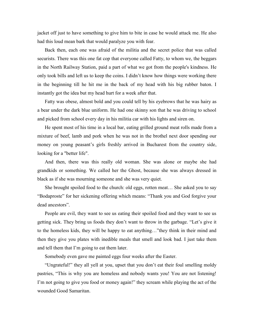jacket off just to have something to give him to bite in case he would attack me. He also had this loud mean bark that would paralyze you with fear.

Back then, each one was afraid of the militia and the secret police that was called securists. There was this one fat cop that everyone called Fatty, to whom we, the beggars in the North Railway Station, paid a part of what we got from the people's kindness. He only took bills and left us to keep the coins. I didn't know how things were working there in the beginning till he hit me in the back of my head with his big rubber baton. I instantly got the idea but my head hurt for a week after that.

Fatty was obese, almost bold and you could tell by his eyebrows that he was hairy as a bear under the dark blue uniform. He had one skinny son that he was driving to school and picked from school every day in his militia car with his lights and siren on.

He spent most of his time in a local bar, eating grilled ground meat rolls made from a mixture of beef, lamb and pork when he was not in the brothel next door spending our money on young peasant's girls freshly arrived in Bucharest from the country side, looking for a "better life".

And then, there was this really old woman. She was alone or maybe she had grandkids or something. We called her the Ghost, because she was always dressed in black as if she was mourning someone and she was very quiet.

She brought spoiled food to the church: old eggs, rotten meat… She asked you to say "Bodaproste" for her sickening offering which means: "Thank you and God forgive your dead ancestors".

People are evil, they want to see us eating their spoiled food and they want to see us getting sick. They bring us foods they don't want to throw in the garbage. "Let's give it to the homeless kids, they will be happy to eat anything…"they think in their mind and then they give you plates with inedible meals that smell and look bad. I just take them and tell them that I'm going to eat them later.

Somebody even gave me painted eggs four weeks after the Easter.

"Ungrateful!" they all yell at you, upset that you don't eat their foul smelling moldy pastries, "This is why you are homeless and nobody wants you! You are not listening! I'm not going to give you food or money again!" they scream while playing the act of the wounded Good Samaritan.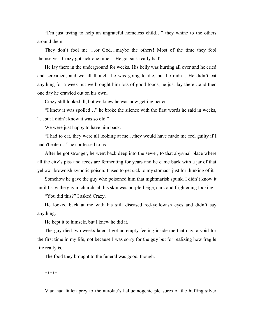"I'm just trying to help an ungrateful homeless child…" they whine to the others around them.

They don't fool me …or God…maybe the others! Most of the time they fool themselves. Crazy got sick one time… He got sick really bad!

He lay there in the underground for weeks. His belly was hurting all over and he cried and screamed, and we all thought he was going to die, but he didn't. He didn't eat anything for a week but we brought him lots of good foods, he just lay there…and then one day he crawled out on his own.

Crazy still looked ill, but we knew he was now getting better.

"I knew it was spoiled…" he broke the silence with the first words he said in weeks, "…but I didn't know it was so old."

We were just happy to have him back.

"I had to eat, they were all looking at me…they would have made me feel guilty if I hadn't eaten…" he confessed to us.

After he got stronger, he went back deep into the sewer, to that abysmal place where all the city's piss and feces are fermenting for years and he came back with a jar of that yellow- brownish zymotic poison. I used to get sick to my stomach just for thinking of it.

Somehow he gave the guy who poisoned him that nightmarish spunk. I didn't know it until I saw the guy in church, all his skin was purple-beige, dark and frightening looking.

"You did this?" I asked Crazy.

He looked back at me with his still diseased red-yellowish eyes and didn't say anything.

He kept it to himself, but I knew he did it.

The guy died two weeks later. I got an empty feeling inside me that day, a void for the first time in my life, not because I was sorry for the guy but for realizing how fragile life really is.

The food they brought to the funeral was good, though.

\*\*\*\*\*

Vlad had fallen prey to the aurolac's hallucinogenic pleasures of the huffing silver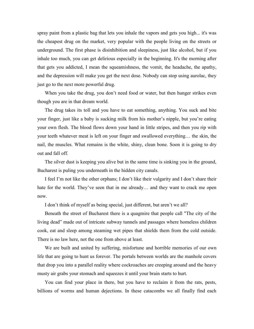spray paint from a plastic bag that lets you inhale the vapors and gets you high... it's was the cheapest drug on the market, very popular with the people living on the streets or underground. The first phase is disinhibition and sleepiness, just like alcohol, but if you inhale too much, you can get delirious especially in the beginning. It's the morning after that gets you addicted, I mean the squeamishness, the vomit, the headache, the apathy, and the depression will make you get the next dose. Nobody can stop using aurolac, they just go to the next more powerful drug.

When you take the drug, you don't need food or water, but then hunger strikes even though you are in that dream world.

The drug takes its toll and you have to eat something, anything. You suck and bite your finger, just like a baby is sucking milk from his mother's nipple, but you're eating your own flesh. The blood flows down your hand in little stripes, and then you rip with your teeth whatever meat is left on your finger and swallowed everything… the skin, the nail, the muscles. What remains is the white, shiny, clean bone. Soon it is going to dry out and fall off.

The silver dust is keeping you alive but in the same time is sinking you in the ground, Bucharest is puling you underneath in the hidden city canals.

I feel I'm not like the other orphans; I don't like their vulgarity and I don't share their hate for the world. They've seen that in me already... and they want to crack me open now.

I don't think of myself as being special, just different, but aren't we all?

Beneath the street of Bucharest there is a quagmire that people call "The city of the living dead" made out of intricate subway tunnels and passages where homeless children cook, eat and sleep among steaming wet pipes that shields them from the cold outside. There is no law here, not the one from above at least.

We are built and united by suffering, misfortune and horrible memories of our own life that are going to hunt us forever. The portals between worlds are the manhole covers that drop you into a parallel reality where cockroaches are creeping around and the heavy musty air grabs your stomach and squeezes it until your brain starts to hurt.

You can find your place in there, but you have to reclaim it from the rats, pests, billions of worms and human dejections. In these catacombs we all finally find each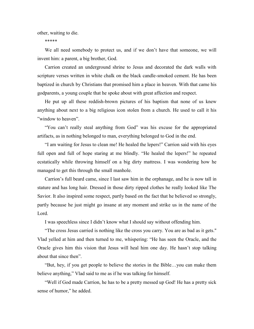other, waiting to die.

\*\*\*\*\*

We all need somebody to protect us, and if we don't have that someone, we will invent him: a parent, a big brother, God.

Carrion created an underground shrine to Jesus and decorated the dark walls with scripture verses written in white chalk on the black candle-smoked cement. He has been baptized in church by Christians that promised him a place in heaven. With that came his godparents, a young couple that he spoke about with great affection and respect.

He put up all these reddish-brown pictures of his baptism that none of us knew anything about next to a big religious icon stolen from a church. He used to call it his "window to heaven".

"You can't really steal anything from God" was his excuse for the appropriated artifacts, as in nothing belonged to man, everything belonged to God in the end.

"I am waiting for Jesus to clean me! He healed the lepers!" Carrion said with his eyes full open and full of hope staring at me blindly. "He healed the lepers!" he repeated ecstatically while throwing himself on a big dirty mattress. I was wondering how he managed to get this through the small manhole.

Carrion's full beard came, since I last saw him in the orphanage, and he is now tall in stature and has long hair. Dressed in those dirty ripped clothes he really looked like The Savior. It also inspired some respect, partly based on the fact that he believed so strongly, partly because he just might go insane at any moment and strike us in the name of the Lord.

I was speechless since I didn't know what I should say without offending him.

"The cross Jesus carried is nothing like the cross you carry. You are as bad as it gets.'' Vlad yelled at him and then turned to me, whispering: "He has seen the Oracle, and the Oracle gives him this vision that Jesus will heal him one day. He hasn't stop talking about that since then".

"But, hey, if you get people to believe the stories in the Bible…you can make them believe anything," Vlad said to me as if he was talking for himself.

"Well if God made Carrion, he has to be a pretty messed up God! He has a pretty sick sense of humor," he added.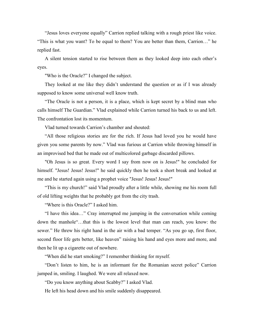"Jesus loves everyone equally" Carrion replied talking with a rough priest like voice. "This is what you want? To be equal to them? You are better than them, Carrion…" he replied fast.

A silent tension started to rise between them as they looked deep into each other's eyes.

"Who is the Oracle?" I changed the subject.

They looked at me like they didn't understand the question or as if I was already supposed to know some universal well know truth.

"The Oracle is not a person, it is a place, which is kept secret by a blind man who calls himself The Guardian." Vlad explained while Carrion turned his back to us and left. The confrontation lost its momentum.

Vlad turned towards Carrion's chamber and shouted:

"All those religious stories are for the rich. If Jesus had loved you he would have given you some parents by now." Vlad was furious at Carrion while throwing himself in an improvised bed that he made out of multicolored garbage discarded pillows.

"Oh Jesus is so great. Every word I say from now on is Jesus!" he concluded for himself. "Jesus! Jesus! Jesus!" he said quickly then he took a short break and looked at me and he started again using a prophet voice "Jesus! Jesus! Jesus!"

"This is my church!" said Vlad proudly after a little while, showing me his room full of old lifting weights that he probably got from the city trash.

"Where is this Oracle?" I asked him.

"I have this idea…" Cray interrupted me jumping in the conversation while coming down the manhole"…that this is the lowest level that man can reach, you know: the sewer." He threw his right hand in the air with a bad temper. "As you go up, first floor, second floor life gets better, like heaven" raising his hand and eyes more and more, and then he lit up a cigarette out of nowhere.

"When did he start smoking?" I remember thinking for myself.

"Don't listen to him, he is an informant for the Romanian secret police" Carrion jumped in, smiling. I laughed. We were all relaxed now.

"Do you know anything about Scabby?" I asked Vlad.

He left his head down and his smile suddenly disappeared.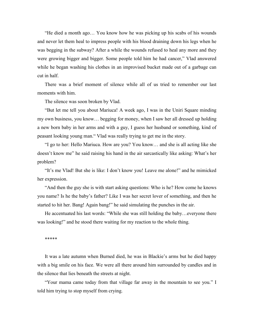"He died a month ago… You know how he was picking up his scabs of his wounds and never let them heal to impress people with his blood draining down his legs when he was begging in the subway? After a while the wounds refused to heal any more and they were growing bigger and bigger. Some people told him he had cancer," Vlad answered while he began washing his clothes in an improvised bucket made out of a garbage can cut in half.

There was a brief moment of silence while all of us tried to remember our last moments with him.

The silence was soon broken by Vlad.

"But let me tell you about Mariuca! A week ago, I was in the Uniri Square minding my own business, you know… begging for money, when I saw her all dressed up holding a new born baby in her arms and with a guy, I guess her husband or something, kind of peasant looking young man." Vlad was really trying to get me in the story.

"I go to her: Hello Mariuca. How are you? You know… and she is all acting like she doesn't know me" he said raising his hand in the air sarcastically like asking: What's her problem?

"It's me Vlad! But she is like: I don't know you! Leave me alone!" and he mimicked her expression.

"And then the guy she is with start asking questions: Who is he? How come he knows you name? Is he the baby's father? Like I was her secret lover of something, and then he started to hit her. Bang! Again bang!" he said simulating the punches in the air.

He accentuated his last words: "While she was still holding the baby…everyone there was looking!" and he stood there waiting for my reaction to the whole thing.

\*\*\*\*\*

It was a late autumn when Burned died, he was in Blackie's arms but he died happy with a big smile on his face. We were all there around him surrounded by candles and in the silence that lies beneath the streets at night.

"Your mama came today from that village far away in the mountain to see you." I told him trying to stop myself from crying.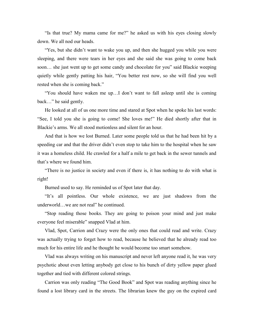"Is that true? My mama came for me?" he asked us with his eyes closing slowly down. We all nod our heads.

"Yes, but she didn't want to wake you up, and then she hugged you while you were sleeping, and there were tears in her eyes and she said she was going to come back soon… she just went up to get some candy and chocolate for you" said Blackie weeping quietly while gently patting his hair, "You better rest now, so she will find you well rested when she is coming back."

"You should have waken me up…I don't want to fall asleep until she is coming back…" he said gently.

He looked at all of us one more time and stared at Spot when he spoke his last words: "See, I told you she is going to come! She loves me!" He died shortly after that in Blackie's arms. We all stood motionless and silent for an hour.

And that is how we lost Burned. Later some people told us that he had been hit by a speeding car and that the driver didn't even stop to take him to the hospital when he saw it was a homeless child. He crawled for a half a mile to get back in the sewer tunnels and that's where we found him.

"There is no justice in society and even if there is, it has nothing to do with what is right!

Burned used to say. He reminded us of Spot later that day.

"It's all pointless. Our whole existence, we are just shadows from the underworld…we are not real" he continued.

"Stop reading those books. They are going to poison your mind and just make everyone feel miserable" snapped Vlad at him.

Vlad, Spot, Carrion and Crazy were the only ones that could read and write. Crazy was actually trying to forget how to read, because he believed that he already read too much for his entire life and he thought he would become too smart somehow.

Vlad was always writing on his manuscript and never left anyone read it, he was very psychotic about even letting anybody get close to his bunch of dirty yellow paper glued together and tied with different colored strings.

Carrion was only reading "The Good Book" and Spot was reading anything since he found a lost library card in the streets. The librarian knew the guy on the expired card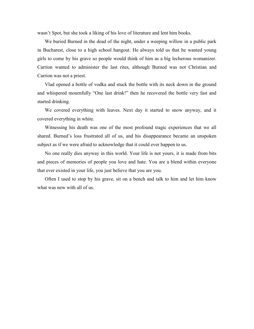wasn't Spot, but she took a liking of his love of literature and lent him books.

We buried Burned in the dead of the night, under a weeping willow in a public park in Bucharest, close to a high school hangout. He always told us that he wanted young girls to come by his grave so people would think of him as a big lecherous womanizer. Carrion wanted to administer the last rites, although Burned was not Christian and Carrion was not a priest.

Vlad opened a bottle of vodka and stuck the bottle with its neck down in the ground and whispered mournfully "One last drink!" then he recovered the bottle very fast and started drinking.

We covered everything with leaves. Next day it started to snow anyway, and it covered everything in white.

Witnessing his death was one of the most profound tragic experiences that we all shared. Burned's loss frustrated all of us, and his disappearance became an unspoken subject as if we were afraid to acknowledge that it could ever happen to us.

No one really dies anyway in this world. Your life is not yours, it is made from bits and pieces of memories of people you love and hate. You are a blend within everyone that ever existed in your life, you just believe that you are you.

Often I used to stop by his grave, sit on a bench and talk to him and let him know what was new with all of us.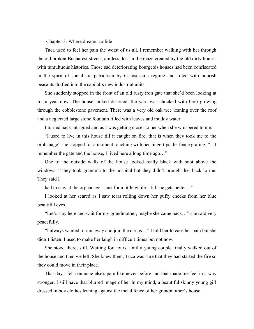Chapter 3: Where dreams collide

Tuca used to feel her pain the worst of us all. I remember walking with her through the old broken Bucharest streets, aimless, lost in the maze created by the old dirty houses with tumultuous histories. Those sad deteriorating bourgeois houses had been confiscated in the spirit of socialistic patriotism by Ceausescu's regime and filled with boorish peasants drafted into the capital's new industrial units.

She suddenly stopped in the front of an old rusty iron gate that she'd been looking at for a year now. The house looked deserted, the yard was chocked with herb growing through the cobblestone pavement. There was a very old oak tree leaning over the roof and a neglected large stone fountain filled with leaves and muddy water.

I turned back intrigued and as I was getting closer to her when she whispered to me:

"I used to live in this house till it caught on fire, that is when they took me to the orphanage" she stopped for a moment touching with her fingertips the fence grating, "…I remember the gate and the house, I lived here a long time ago…"

One of the outside walls of the house looked really black with soot above the windows. "They took grandma to the hospital but they didn't brought her back to me. They said I

had to stay at the orphanage... just for a little while...till she gets better..."

I looked at her scared as I saw tears rolling down her puffy cheeks from her blue beautiful eyes.

"Let's stay here and wait for my grandmother, maybe she came back…" she said very peacefully.

"I always wanted to run away and join the circus…" I told her to ease her pain but she didn't listen. I used to make her laugh in difficult times but not now.

She stood there, still. Waiting for hours, until a young couple finally walked out of the house and then we left. She knew them, Tuca was sure that they had started the fire so they could move in their place.

That day I felt someone else's pain like never before and that made me feel in a way stronger. I still have that blurred image of her in my mind, a beautiful skinny young girl dressed in boy clothes leaning against the metal fence of her grandmother's house.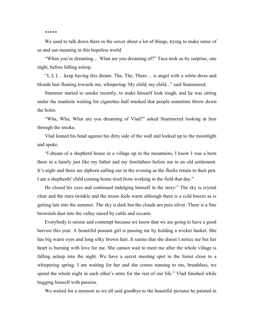#### \*\*\*\*\*

We used to talk down there in the sewer about a lot of things, trying to make sense of us and our meaning in this hopeless world.

"When you're dreaming… What are you dreaming of?" Tuca took us by surprise, one night, before falling asleep.

"I, I, I… keep having this dream. The, The, There… is angel with a white dress and blonde hair floating towards me, whispering: My child, my child..." said Stammered.

Stammer started to smoke recently, to make himself look tough, and he was sitting under the manhole waiting for cigarettes half smoked that people sometime throw down the holes.

"Wha, Wha, What are you dreaming of Vlad?" asked Stammered looking at him through the smoke.

Vlad leaned his head against his dirty side of the wall and looked up to the moonlight and spoke.

"I dream of a shepherd house in a village up in the mountains, I know I was a born there in a family just like my father and my forefathers before me in an old settlement. It's night and there are alphorn calling out in the evening as the flocks return to their pen. I am a shepherds' child coming home tired from working in the field that day."

He closed his eyes and continued indulging himself in the story:" The sky is crystal clear and the stars twinkle and the moon feels warm although there is a cold breeze as is getting late into the summer. The sky is dark but the clouds are pure silver. There is a fine brownish dust into the valley raised by cattle and oxcarts.

Everybody is serene and contempt because we know that we are going to have a good harvest this year. A beautiful peasant girl is passing me by holding a wicker basket. She has big warm eyes and long silky brown hair. It seems that she doesn't notice me but her heart is burning with love for me. She cannot wait to meet me after the whole village is falling asleep into the night. We have a secret meeting spot in the forest close to a whispering spring. I am waiting for her and she comes running to me, breathless, we spend the whole night in each other's arms for the rest of our life." Vlad finished while hugging himself with passion.

We waited for a moment as we all said goodbye to the beautiful pictures he painted in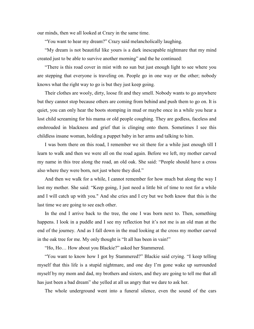our minds, then we all looked at Crazy in the same time.

"You want to hear my dream?" Crazy said melancholically laughing.

"My dream is not beautiful like yours is a dark inescapable nightmare that my mind created just to be able to survive another morning" and the he continued:

"There is this road cover in mist with no sun but just enough light to see where you are stepping that everyone is traveling on. People go in one way or the other; nobody knows what the right way to go is but they just keep going.

Their clothes are wooly, dirty, loose fit and they smell. Nobody wants to go anywhere but they cannot stop because others are coming from behind and push them to go on. It is quiet, you can only hear the boots stomping in mud or maybe once in a while you hear a lost child screaming for his mama or old people coughing. They are godless, faceless and enshrouded in blackness and grief that is clinging onto them. Sometimes I see this childless insane woman, holding a puppet baby in her arms and talking to him.

I was born there on this road, I remember we sit there for a while just enough till I learn to walk and then we were all on the road again. Before we left, my mother carved my name in this tree along the road, an old oak. She said: "People should have a cross also where they were born, not just where they died."

And then we walk for a while, I cannot remember for how much but along the way I lost my mother. She said: "Keep going, I just need a little bit of time to rest for a while and I will catch up with you." And she cries and I cry but we both know that this is the last time we are going to see each other.

In the end I arrive back to the tree, the one I was born next to. Then, something happens. I look in a puddle and I see my reflection but it's not me is an old man at the end of the journey. And as I fall down in the mud looking at the cross my mother carved in the oak tree for me. My only thought is "It all has been in vain!"

"Ho, Ho… How about you Blackie?" asked her Stammered.

"You want to know how I got by Stammered?" Blackie said crying. "I keep telling myself that this life is a stupid nightmare, and one day I'm gone wake up surrounded myself by my mom and dad, my brothers and sisters, and they are going to tell me that all has just been a bad dream" she yelled at all us angry that we dare to ask her.

The whole underground went into a funeral silence, even the sound of the cars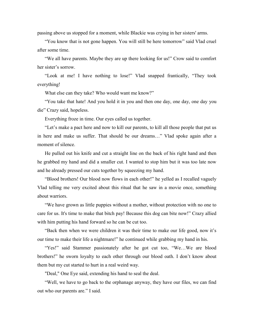passing above us stopped for a moment, while Blackie was crying in her sisters' arms.

"You know that is not gone happen. You will still be here tomorrow" said Vlad cruel after some time.

"We all have parents. Maybe they are up there looking for us!" Crow said to comfort her sister's sorrow.

"Look at me! I have nothing to lose!" Vlad snapped frantically, "They took everything!

What else can they take? Who would want me know?"

"You take that hate! And you hold it in you and then one day, one day, one day you die" Crazy said, hopeless.

Everything froze in time. Our eyes called us together.

"Let's make a pact here and now to kill our parents, to kill all those people that put us in here and make us suffer. That should be our dreams…" Vlad spoke again after a moment of silence.

He pulled out his knife and cut a straight line on the back of his right hand and then he grabbed my hand and did a smaller cut. I wanted to stop him but it was too late now and he already pressed our cuts together by squeezing my hand.

"Blood brothers! Our blood now flows in each other!" he yelled as I recalled vaguely Vlad telling me very excited about this ritual that he saw in a movie once, something about warriors.

"We have grown as little puppies without a mother, without protection with no one to care for us. It's time to make that bitch pay! Because this dog can bite now!" Crazy allied with him putting his hand forward so he can be cut too.

"Back then when we were children it was their time to make our life good, now it's our time to make their life a nightmare!" he continued while grabbing my hand in his.

"Yes!" said Stammer passionately after he got cut too, "We…We are blood brothers!" he sworn loyalty to each other through our blood oath. I don't know about them but my cut started to hurt in a real weird way.

"Deal," One Eye said, extending his hand to seal the deal.

"Well, we have to go back to the orphanage anyway, they have our files, we can find out who our parents are." I said.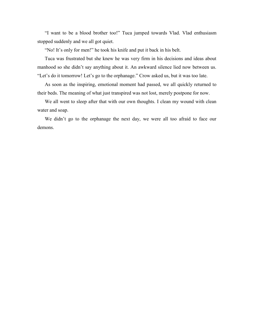"I want to be a blood brother too!" Tuca jumped towards Vlad. Vlad enthusiasm stopped suddenly and we all got quiet.

"No! It's only for men!" he took his knife and put it back in his belt.

Tuca was frustrated but she knew he was very firm in his decisions and ideas about manhood so she didn't say anything about it. An awkward silence lied now between us. "Let's do it tomorrow! Let's go to the orphanage." Crow asked us, but it was too late.

As soon as the inspiring, emotional moment had passed, we all quickly returned to their beds. The meaning of what just transpired was not lost, merely postpone for now.

We all went to sleep after that with our own thoughts. I clean my wound with clean water and soap.

We didn't go to the orphanage the next day, we were all too afraid to face our demons.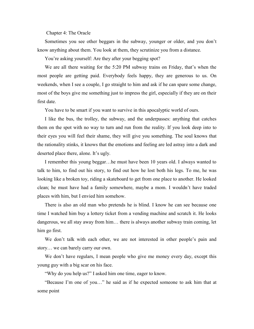Chapter 4: The Oracle

Sometimes you see other beggars in the subway, younger or older, and you don't know anything about them. You look at them, they scrutinize you from a distance.

You're asking yourself: Are they after your begging spot?

We are all there waiting for the 5:20 PM subway trains on Friday, that's when the most people are getting paid. Everybody feels happy, they are generous to us. On weekends, when I see a couple, I go straight to him and ask if he can spare some change, most of the boys give me something just to impress the girl, especially if they are on their first date.

You have to be smart if you want to survive in this apocalyptic world of ours.

I like the bus, the trolley, the subway, and the underpasses: anything that catches them on the spot with no way to turn and run from the reality. If you look deep into to their eyes you will feel their shame, they will give you something. The soul knows that the rationality stinks, it knows that the emotions and feeling are led astray into a dark and deserted place there, alone. It's ugly.

I remember this young beggar…he must have been 10 years old. I always wanted to talk to him, to find out his story, to find out how he lost both his legs. To me, he was looking like a broken toy, riding a skateboard to get from one place to another. He looked clean; he must have had a family somewhere, maybe a mom. I wouldn't have traded places with him, but I envied him somehow.

There is also an old man who pretends he is blind. I know he can see because one time I watched him buy a lottery ticket from a vending machine and scratch it. He looks dangerous, we all stay away from him… there is always another subway train coming, let him go first.

We don't talk with each other, we are not interested in other people's pain and story… we can barely carry our own.

We don't have regulars. I mean people who give me money every day, except this young guy with a big scar on his face.

"Why do you help us?" I asked him one time, eager to know.

"Because I'm one of you…" he said as if he expected someone to ask him that at some point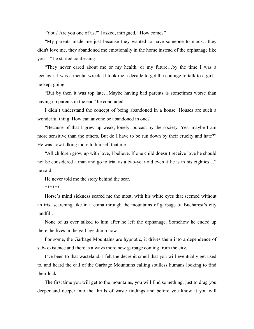"You? Are you one of us?" I asked, intrigued, "How come?"

"My parents made me just because they wanted to have someone to mock…they didn't love me, they abandoned me emotionally in the home instead of the orphanage like you…" he started confessing.

"They never cared about me or my health, or my future…by the time I was a teenager, I was a mental wreck. It took me a decade to get the courage to talk to a girl," he kept going.

"But by then it was top late…Maybe having bad parents is sometimes worse than having no parents in the end" he concluded.

I didn't understand the concept of being abandoned in a house. Houses are such a wonderful thing. How can anyone be abandoned in one?

"Because of that I grew up weak, lonely, outcast by the society. Yes, maybe I am more sensitive than the others. But do I have to be run down by their cruelty and hate?" He was now talking more to himself that me.

"All children grow up with love, I believe. If one child doesn't receive love he should not be considered a man and go to trial as a two-year old even if he is in his eighties…" he said.

He never told me the story behind the scar.

\*\*\*\*\*\*

Horse's mind sickness scared me the most, with his white eyes that seemed without an iris, searching like in a coma through the mountains of garbage of Bucharest's city landfill.

None of us ever talked to him after he left the orphanage. Somehow he ended up there, he lives in the garbage dump now.

For some, the Garbage Mountains are hypnotic, it drives them into a dependence of sub- existence and there is always more new garbage coming from the city.

I've been to that wasteland, I felt the decrepit smell that you will eventually get used to, and heard the call of the Garbage Mountains calling soulless humans looking to find their luck.

The first time you will get to the mountains, you will find something, just to drag you deeper and deeper into the thrills of waste findings and before you know it you will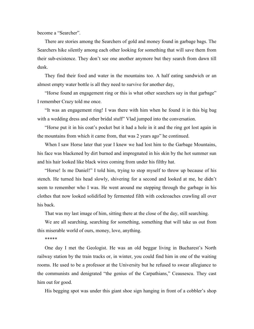become a "Searcher".

There are stories among the Searchers of gold and money found in garbage bags. The Searchers hike silently among each other looking for something that will save them from their sub-existence. They don't see one another anymore but they search from dawn till dusk.

They find their food and water in the mountains too. A half eating sandwich or an almost empty water bottle is all they need to survive for another day,

"Horse found an engagement ring or this is what other searchers say in that garbage" I remember Crazy told me once.

"It was an engagement ring! I was there with him when he found it in this big bag with a wedding dress and other bridal stuff" Vlad jumped into the conversation.

"Horse put it in his coat's pocket but it had a hole in it and the ring got lost again in the mountains from which it came from, that was 2 years ago" he continued.

When I saw Horse later that year I knew we had lost him to the Garbage Mountains, his face was blackened by dirt burned and impregnated in his skin by the hot summer sun and his hair looked like black wires coming from under his filthy hat.

"Horse! Is me Daniel!" I told him, trying to stop myself to throw up because of his stench. He turned his head slowly, shivering for a second and looked at me, he didn't seem to remember who I was. He went around me stepping through the garbage in his clothes that now looked solidified by fermented filth with cockroaches crawling all over his back.

That was my last image of him, sitting there at the close of the day, still searching.

We are all searching, searching for something, something that will take us out from this miserable world of ours, money, love, anything.

\*\*\*\*\*

One day I met the Geologist. He was an old beggar living in Bucharest's North railway station by the train tracks or, in winter, you could find him in one of the waiting rooms. He used to be a professor at the University but he refused to swear allegiance to the communists and denigrated "the genius of the Carpathians," Ceausescu. They cast him out for good.

His begging spot was under this giant shoe sign hanging in front of a cobbler's shop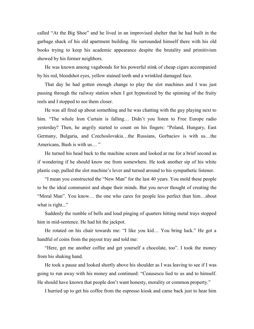called "At the Big Shoe" and he lived in an improvised shelter that he had built in the garbage shack of his old apartment building. He surrounded himself there with his old books trying to keep his academic appearance despite the brutality and primitivism showed by his former neighbors.

He was known among vagabonds for his powerful stink of cheap cigars accompanied by his red, bloodshot eyes, yellow stained teeth and a wrinkled damaged face.

That day he had gotten enough change to play the slot machines and I was just passing through the railway station when I got hypnotized by the spinning of the fruity reels and I stopped to see them closer.

He was all fired up about something and he was chatting with the guy playing next to him. "The whole Iron Curtain is falling... Didn't you listen to Free Europe radio yesterday? Then, he angrily started to count on his fingers: "Poland, Hungary, East Germany, Bulgaria, and Czechoslovakia…the Russians, Gorbaciov is with us…the Americans, Bush is with us… "

He turned his head back to the machine screen and looked at me for a brief second as if wondering if he should know me from somewhere. He took another sip of his white plastic cup, pulled the slot machine's lever and turned around to his sympathetic listener.

"I mean you constructed the "New Man" for the last 40 years. You mold these people to be the ideal communist and shape their minds. But you never thought of creating the "Moral Man". You know… the one who cares for people less perfect than him…about what is right..."

Suddenly the rumble of bells and loud pinging of quarters hitting metal trays stopped him in mid-sentence. He had hit the jackpot.

He rotated on his chair towards me: "I like you kid… You bring luck." He got a handful of coins from the payout tray and told me:

"Here, get me another coffee and get yourself a chocolate, too". I took the money from his shaking hand.

He took a pause and looked shortly above his shoulder as I was leaving to see if I was going to run away with his money and continued: "Ceausescu lied to us and to himself. He should have known that people don't want honesty, morality or common property."

I hurried up to get his coffee from the espresso kiosk and came back just to hear him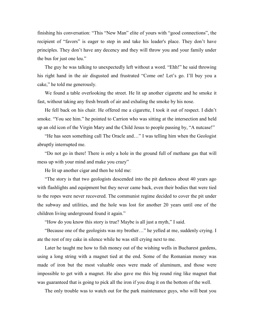finishing his conversation: "This "New Man" elite of yours with "good connections", the recipient of "favors" is eager to step in and take his leader's place. They don't have principles. They don't have any decency and they will throw you and your family under the bus for just one leu."

The guy he was talking to unexpectedly left without a word. "Ehh!" he said throwing his right hand in the air disgusted and frustrated "Come on! Let's go. I'll buy you a cake," he told me generously.

We found a table overlooking the street. He lit up another cigarette and he smoke it fast, without taking any fresh breath of air and exhaling the smoke by his nose.

He fell back on his chair. He offered me a cigarette, I took it out of respect. I didn't smoke. "You see him." he pointed to Carrion who was sitting at the intersection and held up an old icon of the Virgin Mary and the Child Jesus to people passing by, "A nutcase!"

"He has seen something call The Oracle and…" I was telling him when the Geologist abruptly interrupted me.

"Do not go in there! There is only a hole in the ground full of methane gas that will mess up with your mind and make you crazy"

He lit up another cigar and then he told me:

"The story is that two geologists descended into the pit darkness about 40 years ago with flashlights and equipment but they never came back, even their bodies that were tied to the ropes were never recovered. The communist regime decided to cover the pit under the subway and utilities, and the hole was lost for another 20 years until one of the children living underground found it again."

"How do you know this story is true? Maybe is all just a myth," I said.

"Because one of the geologists was my brother…" he yelled at me, suddenly crying. I ate the rest of my cake in silence while he was still crying next to me.

Later he taught me how to fish money out of the wishing wells in Bucharest gardens, using a long string with a magnet tied at the end. Some of the Romanian money was made of iron but the most valuable ones were made of aluminum, and those were impossible to get with a magnet. He also gave me this big round ring like magnet that was guaranteed that is going to pick all the iron if you drag it on the bottom of the well.

The only trouble was to watch out for the park maintenance guys, who will beat you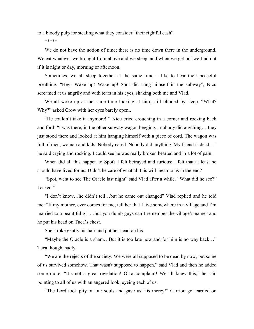to a bloody pulp for stealing what they consider "their rightful cash".

\*\*\*\*\*

We do not have the notion of time; there is no time down there in the underground. We eat whatever we brought from above and we sleep, and when we get out we find out if it is night or day, morning or afternoon.

Sometimes, we all sleep together at the same time. I like to hear their peaceful breathing. "Hey! Wake up! Wake up! Spot did hang himself in the subway", Nicu screamed at us angrily and with tears in his eyes, shaking both me and Vlad.

We all woke up at the same time looking at him, still blinded by sleep. "What? Why?" asked Crow with her eyes barely open..

"He couldn't take it anymore! " Nicu cried crouching in a corner and rocking back and forth "I was there; in the other subway wagon begging... nobody did anything… they just stood there and looked at him hanging himself with a piece of cord. The wagon was full of men, woman and kids. Nobody cared. Nobody did anything. My friend is dead…" he said crying and rocking. I could see he was really broken hearted and in a lot of pain.

When did all this happen to Spot? I felt betrayed and furious; I felt that at least he should have lived for us. Didn't he care of what all this will mean to us in the end?

"Spot, went to see The Oracle last night" said Vlad after a while. "What did he see?" I asked."

"I don't know…he didn't tell…but he came out changed" Vlad replied and he told me: "If my mother, ever comes for me, tell her that I live somewhere in a village and I'm married to a beautiful girl…but you dumb guys can't remember the village's name" and he put his head on Tuca's chest.

She stroke gently his hair and put her head on his.

"Maybe the Oracle is a sham…But it is too late now and for him is no way back…" Tuca thought sadly.

"We are the rejects of the society. We were all supposed to be dead by now, but some of us survived somehow. That wasn't supposed to happen," said Vlad and then he added some more: "It's not a great revelation! Or a complaint! We all knew this," he said pointing to all of us with an angered look, eyeing each of us.

"The Lord took pity on our souls and gave us His mercy!" Carrion got carried on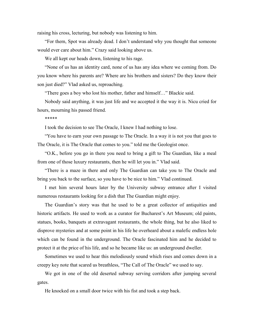raising his cross, lecturing, but nobody was listening to him.

"For them, Spot was already dead. I don't understand why you thought that someone would ever care about him." Crazy said looking above us.

We all kept our heads down, listening to his rage.

"None of us has an identity card, none of us has any idea where we coming from. Do you know where his parents are? Where are his brothers and sisters? Do they know their son just died?" Vlad asked us, reproaching.

"There goes a boy who lost his mother, father and himself…" Blackie said.

Nobody said anything, it was just life and we accepted it the way it is. Nicu cried for hours, mourning his passed friend.

\*\*\*\*\*

I took the decision to see The Oracle, I knew I had nothing to lose.

"You have to earn your own passage to The Oracle. In a way it is not you that goes to The Oracle, it is The Oracle that comes to you." told me the Geologist once.

"O.K., before you go in there you need to bring a gift to The Guardian, like a meal from one of those luxury restaurants, then he will let you in." Vlad said.

"There is a maze in there and only The Guardian can take you to The Oracle and bring you back to the surface, so you have to be nice to him." Vlad continued.

I met him several hours later by the University subway entrance after I visited numerous restaurants looking for a dish that The Guardian might enjoy.

The Guardian's story was that he used to be a great collector of antiquities and historic artifacts. He used to work as a curator for Bucharest's Art Museum; old paints, statues, books, banquets at extravagant restaurants, the whole thing, but he also liked to disprove mysteries and at some point in his life he overheard about a malefic endless hole which can be found in the underground. The Oracle fascinated him and he decided to protect it at the price of his life, and so he became like us: an underground dweller.

Sometimes we used to hear this melodiously sound which rises and comes down in a creepy key note that scared us breathless, "The Call of The Oracle" we used to say.

We got in one of the old deserted subway serving corridors after jumping several gates.

He knocked on a small door twice with his fist and took a step back.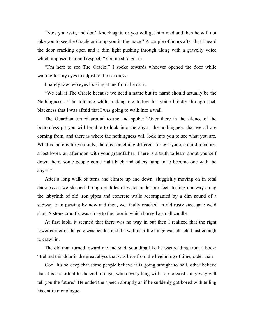"Now you wait, and don't knock again or you will get him mad and then he will not take you to see the Oracle or dump you in the maze." A couple of hours after that I heard the door cracking open and a dim light pushing through along with a gravelly voice which imposed fear and respect: "You need to get in.

"I'm here to see The Oracle!" I spoke towards whoever opened the door while waiting for my eyes to adjust to the darkness.

I barely saw two eyes looking at me from the dark.

"We call it The Oracle because we need a name but its name should actually be the Nothingness…" he told me while making me follow his voice blindly through such blackness that I was afraid that I was going to walk into a wall.

The Guardian turned around to me and spoke: "Over there in the silence of the bottomless pit you will be able to look into the abyss, the nothingness that we all are coming from, and there is where the nothingness will look into you to see what you are. What is there is for you only; there is something different for everyone, a child memory, a lost lover, an afternoon with your grandfather. There is a truth to learn about yourself down there, some people come right back and others jump in to become one with the abyss."

After a long walk of turns and climbs up and down, sluggishly moving on in total darkness as we sloshed through puddles of water under our feet, feeling our way along the labyrinth of old iron pipes and concrete walls accompanied by a dim sound of a subway train passing by now and then, we finally reached an old rusty steel gate weld shut. A stone crucifix was close to the door in which burned a small candle.

At first look, it seemed that there was no way in but then I realized that the right lower corner of the gate was bended and the wall near the hinge was chiseled just enough to crawl in.

The old man turned toward me and said, sounding like he was reading from a book: "Behind this door is the great abyss that was here from the beginning of time, older than

God. It's so deep that some people believe it is going straight to hell, other believe that it is a shortcut to the end of days, when everything will stop to exist…any way will tell you the future." He ended the speech abruptly as if he suddenly got bored with telling his entire monologue.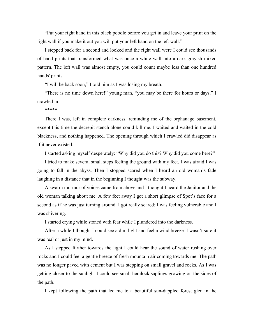"Put your right hand in this black poodle before you get in and leave your print on the right wall if you make it out you will put your left hand on the left wall."

I stepped back for a second and looked and the right wall were I could see thousands of hand prints that transformed what was once a white wall into a dark-grayish mixed pattern. The left wall was almost empty, you could count maybe less than one hundred hands' prints.

"I will be back soon," I told him as I was losing my breath.

"There is no time down here!" young man, "you may be there for hours or days." I crawled in.

## \*\*\*\*\*

There I was, left in complete darkness, reminding me of the orphanage basement, except this time the decrepit stench alone could kill me. I waited and waited in the cold blackness, and nothing happened. The opening through which I crawled did disappear as if it never existed.

I started asking myself desperately: "Why did you do this? Why did you come here?"

I tried to make several small steps feeling the ground with my feet, I was afraid I was going to fall in the abyss. Then I stopped scared when I heard an old woman's fade laughing in a distance that in the beginning I thought was the subway.

A swarm murmur of voices came from above and I thought I heard the Janitor and the old woman talking about me. A few feet away I got a short glimpse of Spot's face for a second as if he was just turning around. I got really scared; I was feeling vulnerable and I was shivering.

I started crying while stoned with fear while I plundered into the darkness.

After a while I thought I could see a dim light and feel a wind breeze. I wasn't sure it was real or just in my mind.

As I stepped further towards the light I could hear the sound of water rushing over rocks and I could feel a gentle breeze of fresh mountain air coming towards me. The path was no longer paved with cement but I was stepping on small gravel and rocks. As I was getting closer to the sunlight I could see small hemlock saplings growing on the sides of the path.

I kept following the path that led me to a beautiful sun-dappled forest glen in the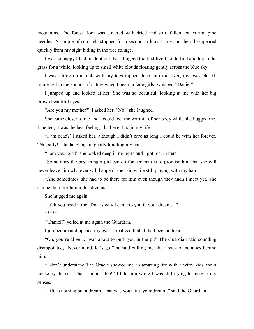mountains. The forest floor was covered with dried and soft, fallen leaves and pine needles. A couple of squirrels stopped for a second to look at me and then disappeared quickly from my sight hiding in the tree foliage.

I was so happy I had made it out that I hugged the first tree I could find and lay in the grass for a while, looking up to small white clouds floating gently across the blue sky.

I was sitting on a rock with my toes dipped deep into the river, my eyes closed, immersed in the sounds of nature when I heard a fade girls' whisper: "Daniel"

I jumped up and looked at her. She was so beautiful, looking at me with her big brown beautiful eyes.

"Are you my mother?" I asked her. "No." she laughed.

She came closer to me and I could feel the warmth of her body while she hugged me. I melted; it was the best feeling I had ever had in my life.

"I am dead?' I asked her, although I didn't care as long I could be with her forever. "No, silly!" she laugh again gently fondling my hair.

"I am your girl!" she looked deep in my eyes and I got lost in hers.

"Sometimes the best thing a girl can do for her man is to promise him that she will never leave him whatever will happen" she said while still playing with my hair.

"And sometimes, she had to be there for him even though they hadn't meet yet...she can be there for him in his dreams…"

She hugged me again.

"I felt you need it me. That is why I came to you in your dream…"

\*\*\*\*\*

"Daniel!" yelled at me again the Guardian.

I jumped up and opened my eyes. I realized that all had been a dream.

"Oh, you're alive…I was about to push you in the pit" The Guardian said sounding disappointed, "Never mind, let's go!" he said pulling me like a sack of potatoes behind him.

"I don't understand The Oracle showed me an amazing life with a wife, kids and a house by the sea. That's impossible!" I told him while I was still trying to recover my senses.

"Life is nothing but a dream. That was your life, your dream.," said the Guardian.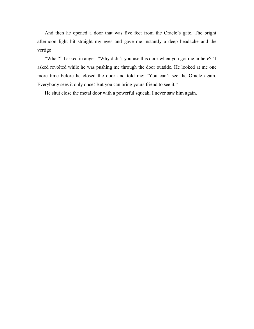And then he opened a door that was five feet from the Oracle's gate. The bright afternoon light hit straight my eyes and gave me instantly a deep headache and the vertigo.

"What?" I asked in anger. "Why didn't you use this door when you got me in here?" I asked revolted while he was pushing me through the door outside. He looked at me one more time before he closed the door and told me: "You can't see the Oracle again. Everybody sees it only once! But you can bring yours friend to see it."

He shut close the metal door with a powerful squeak, I never saw him again.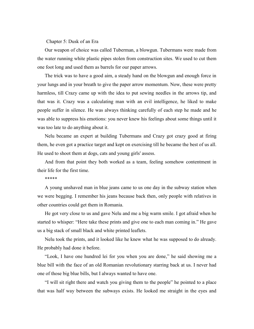## Chapter 5: Dusk of an Era

Our weapon of choice was called Tuberman, a blowgun. Tubermans were made from the water running white plastic pipes stolen from construction sites. We used to cut them one foot long and used them as barrels for our paper arrows.

The trick was to have a good aim, a steady hand on the blowgun and enough force in your lungs and in your breath to give the paper arrow momentum. Now, these were pretty harmless, till Crazy came up with the idea to put sewing needles in the arrows tip, and that was it. Crazy was a calculating man with an evil intelligence, he liked to make people suffer in silence. He was always thinking carefully of each step he made and he was able to suppress his emotions: you never knew his feelings about some things until it was too late to do anything about it.

Nelu became an expert at building Tubermans and Crazy got crazy good at firing them, he even got a practice target and kept on exercising till he became the best of us all. He used to shoot them at dogs, cats and young girls' assess.

And from that point they both worked as a team, feeling somehow contentment in their life for the first time.

\*\*\*\*\*

A young unshaved man in blue jeans came to us one day in the subway station when we were begging. I remember his jeans because back then, only people with relatives in other countries could get them in Romania.

He got very close to us and gave Nelu and me a big warm smile. I got afraid when he started to whisper: "Here take these prints and give one to each man coming in." He gave us a big stack of small black and white printed leaflets.

Nelu took the prints, and it looked like he knew what he was supposed to do already. He probably had done it before.

"Look, I have one hundred lei for you when you are done," he said showing me a blue bill with the face of an old Romanian revolutionary starring back at us. I never had one of those big blue bills, but I always wanted to have one.

"I will sit right there and watch you giving them to the people" he pointed to a place that was half way between the subways exists. He looked me straight in the eyes and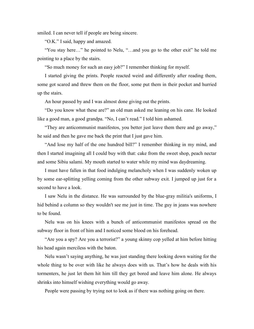smiled. I can never tell if people are being sincere.

"O.K." I said, happy and amazed.

"You stay here…" he pointed to Nelu, "…and you go to the other exit" he told me pointing to a place by the stairs.

"So much money for such an easy job?" I remember thinking for myself.

I started giving the prints. People reacted weird and differently after reading them, some got scared and threw them on the floor, some put them in their pocket and hurried up the stairs.

An hour passed by and I was almost done giving out the prints.

"Do you know what these are?" an old man asked me leaning on his cane. He looked like a good man, a good grandpa. "No, I can't read." I told him ashamed.

"They are anticommunist manifestos, you better just leave them there and go away," he said and then he gave me back the print that I just gave him.

"And lose my half of the one hundred bill?" I remember thinking in my mind, and then I started imagining all I could buy with that: cake from the sweet shop, peach nectar and some Sibiu salami. My mouth started to water while my mind was daydreaming.

I must have fallen in that food indulging melancholy when I was suddenly woken up by some ear-splitting yelling coming from the other subway exit. I jumped up just for a second to have a look.

I saw Nelu in the distance. He was surrounded by the blue-gray militia's uniforms, I hid behind a column so they wouldn't see me just in time. The guy in jeans was nowhere to be found.

Nelu was on his knees with a bunch of anticommunist manifestos spread on the subway floor in front of him and I noticed some blood on his forehead.

"Are you a spy? Are you a terrorist?" a young skinny cop yelled at him before hitting his head again merciless with the baton.

Nelu wasn't saying anything, he was just standing there looking down waiting for the whole thing to be over with like he always does with us. That's how he deals with his tormenters, he just let them hit him till they get bored and leave him alone. He always shrinks into himself wishing everything would go away.

People were passing by trying not to look as if there was nothing going on there.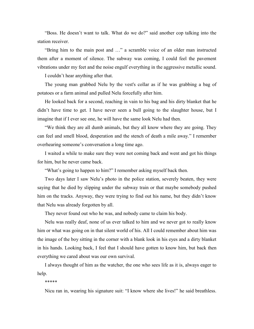"Boss. He doesn't want to talk. What do we do?" said another cop talking into the station receiver.

"Bring him to the main post and …" a scramble voice of an older man instructed them after a moment of silence. The subway was coming, I could feel the pavement vibrations under my feet and the noise engulf everything in the aggressive metallic sound.

I couldn't hear anything after that.

The young man grabbed Nelu by the vest's collar as if he was grabbing a bag of potatoes or a farm animal and pulled Nelu forcefully after him.

He looked back for a second, reaching in vain to his bag and his dirty blanket that he didn't have time to get. I have never seen a bull going to the slaughter house, but I imagine that if I ever see one, he will have the same look Nelu had then.

"We think they are all dumb animals, but they all know where they are going. They can feel and smell blood, desperation and the stench of death a mile away." I remember overhearing someone's conversation a long time ago.

I waited a while to make sure they were not coming back and went and got his things for him, but he never came back.

"What's going to happen to him?" I remember asking myself back then.

Two days later I saw Nelu's photo in the police station, severely beaten, they were saying that he died by slipping under the subway train or that maybe somebody pushed him on the tracks. Anyway, they were trying to find out his name, but they didn't know that Nelu was already forgotten by all.

They never found out who he was, and nobody came to claim his body.

Nelu was really deaf, none of us ever talked to him and we never got to really know him or what was going on in that silent world of his. All I could remember about him was the image of the boy sitting in the corner with a blank look in his eyes and a dirty blanket in his hands. Looking back, I feel that I should have gotten to know him, but back then everything we cared about was our own survival.

I always thought of him as the watcher, the one who sees life as it is, always eager to help.

\*\*\*\*\*

Nicu ran in, wearing his signature suit: "I know where she lives!" he said breathless.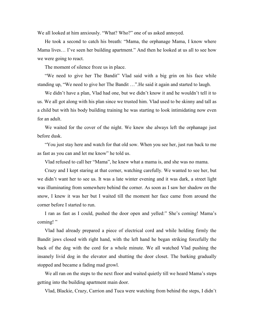We all looked at him anxiously. "What? Who?" one of us asked annoyed.

He took a second to catch his breath: "Mama, the orphanage Mama, I know where Mama lives… I've seen her building apartment." And then he looked at us all to see how we were going to react.

The moment of silence froze us in place.

"We need to give her The Bandit" Vlad said with a big grin on his face while standing up, "We need to give her The Bandit …".He said it again and started to laugh.

We didn't have a plan, Vlad had one, but we didn't know it and he wouldn't tell it to us. We all got along with his plan since we trusted him. Vlad used to be skinny and tall as a child but with his body building training he was starting to look intimidating now even for an adult.

We waited for the cover of the night. We knew she always left the orphanage just before dusk.

"You just stay here and watch for that old sow. When you see her, just run back to me as fast as you can and let me know" he told us.

Vlad refused to call her "Mama", he knew what a mama is, and she was no mama.

Crazy and I kept staring at that corner, watching carefully. We wanted to see her, but we didn't want her to see us. It was a late winter evening and it was dark, a street light was illuminating from somewhere behind the corner. As soon as I saw her shadow on the snow, I knew it was her but I waited till the moment her face came from around the corner before I started to run.

I ran as fast as I could, pushed the door open and yelled:" She's coming! Mama's coming!"

Vlad had already prepared a piece of electrical cord and while holding firmly the Bandit jaws closed with right hand, with the left hand he began striking forcefully the back of the dog with the cord for a whole minute. We all watched Vlad pushing the insanely livid dog in the elevator and shutting the door closet. The barking gradually stopped and became a fading mad growl.

We all ran on the steps to the next floor and waited quietly till we heard Mama's steps getting into the building apartment main door.

Vlad, Blackie, Crazy, Carrion and Tuca were watching from behind the steps, I didn't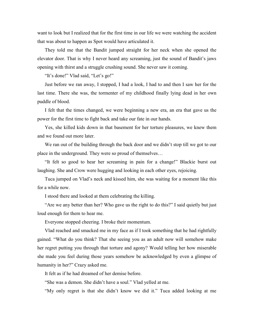want to look but I realized that for the first time in our life we were watching the accident that was about to happen as Spot would have articulated it.

They told me that the Bandit jumped straight for her neck when she opened the elevator door. That is why I never heard any screaming, just the sound of Bandit's jaws opening with thirst and a struggle crushing sound. She never saw it coming.

"It's done!" Vlad said, "Let's go!"

Just before we ran away, I stopped, I had a look, I had to and then I saw her for the last time. There she was, the tormenter of my childhood finally lying dead in her own puddle of blood.

I felt that the times changed, we were beginning a new era, an era that gave us the power for the first time to fight back and take our fate in our hands.

Yes, she killed kids down in that basement for her torture pleasures, we knew them and we found out more later.

We ran out of the building through the back door and we didn't stop till we got to our place in the underground. They were so proud of themselves…

"It felt so good to hear her screaming in pain for a change!" Blackie burst out laughing. She and Crow were hugging and looking in each other eyes, rejoicing.

Tuca jumped on Vlad's neck and kissed him, she was waiting for a moment like this for a while now.

I stood there and looked at them celebrating the killing.

"Are we any better than her? Who gave us the right to do this?" I said quietly but just loud enough for them to hear me.

Everyone stopped cheering. I broke their momentum.

Vlad reached and smacked me in my face as if I took something that he had rightfully gained. "What do you think? That she seeing you as an adult now will somehow make her regret putting you through that torture and agony? Would telling her how miserable she made you feel during those years somehow be acknowledged by even a glimpse of humanity in her?" Crazy asked me.

It felt as if he had dreamed of her demise before.

"She was a demon. She didn't have a soul." Vlad yelled at me.

"My only regret is that she didn't know we did it." Tuca added looking at me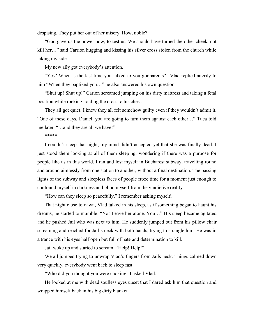despising. They put her out of her misery. How, noble?

"God gave us the power now, to test us. We should have turned the other cheek, not kill her…" said Carrion hugging and kissing his silver cross stolen from the church while taking my side.

My new ally got everybody's attention.

"Yes? When is the last time you talked to you godparents?" Vlad replied angrily to him "When they baptized you..." he also answered his own question.

"Shut up! Shut up!" Carion screamed jumping on his dirty mattress and taking a fetal position while rocking holding the cross to his chest.

They all got quiet. I knew they all felt somehow guilty even if they wouldn't admit it. "One of these days, Daniel, you are going to turn them against each other…" Tuca told me later, "…and they are all we have!"

#### \*\*\*\*\*

I couldn't sleep that night, my mind didn't accepted yet that she was finally dead. I just stood there looking at all of them sleeping, wondering if there was a purpose for people like us in this world. I ran and lost myself in Bucharest subway, travelling round and around aimlessly from one station to another, without a final destination. The passing lights of the subway and sleepless faces of people froze time for a moment just enough to confound myself in darkness and blind myself from the vindictive reality.

"How can they sleep so peacefully," I remember asking myself.

That night close to dawn, Vlad talked in his sleep, as if something began to haunt his dreams, he started to mumble: "No! Leave her alone. You…" His sleep became agitated and he pushed Jail who was next to him. He suddenly jumped out from his pillow chair screaming and reached for Jail's neck with both hands, trying to strangle him. He was in a trance with his eyes half open but full of hate and determination to kill.

Jail woke up and started to scream: "Help! Help!"

We all jumped trying to unwrap Vlad's fingers from Jails neck. Things calmed down very quickly, everybody went back to sleep fast.

"Who did you thought you were choking" I asked Vlad.

He looked at me with dead soulless eyes upset that I dared ask him that question and wrapped himself back in his big dirty blanket.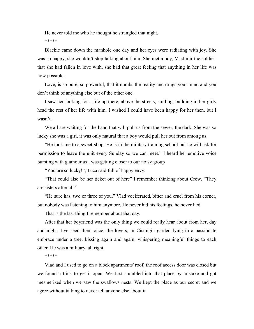He never told me who he thought he strangled that night. \*\*\*\*\*

Blackie came down the manhole one day and her eyes were radiating with joy. She was so happy, she wouldn't stop talking about him. She met a boy, Vladimir the soldier, that she had fallen in love with, she had that great feeling that anything in her life was now possible..

Love, is so pure, so powerful, that it numbs the reality and drugs your mind and you don't think of anything else but of the other one.

I saw her looking for a life up there, above the streets, smiling, building in her girly head the rest of her life with him. I wished I could have been happy for her then, but I wasn't.

We all are waiting for the hand that will pull us from the sewer, the dark. She was so lucky she was a girl, it was only natural that a boy would pull her out from among us.

"He took me to a sweet-shop. He is in the military training school but he will ask for permission to leave the unit every Sunday so we can meet." I heard her emotive voice bursting with glamour as I was getting closer to our noisy group

"You are so lucky!", Tuca said full of happy envy.

"That could also be her ticket out of here" I remember thinking about Crow, "They are sisters after all."

"He sure has, two or three of you." Vlad vociferated, bitter and cruel from his corner, but nobody was listening to him anymore. He never hid his feelings, he never lied.

That is the last thing I remember about that day.

After that her boyfriend was the only thing we could really hear about from her, day and night. I've seen them once, the lovers, in Cismigiu garden lying in a passionate embrace under a tree, kissing again and again, whispering meaningful things to each other. He was a military, all right.

\*\*\*\*\*

Vlad and I used to go on a block apartments' roof, the roof access door was closed but we found a trick to get it open. We first stumbled into that place by mistake and got mesmerized when we saw the swallows nests. We kept the place as our secret and we agree without talking to never tell anyone else about it.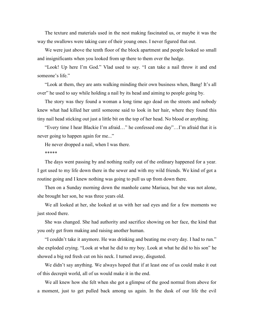The texture and materials used in the nest making fascinated us, or maybe it was the way the swallows were taking care of their young ones. I never figured that out.

We were just above the tenth floor of the block apartment and people looked so small and insignificants when you looked from up there to them over the hedge.

"Look! Up here I'm God." Vlad used to say. "I can take a nail throw it and end someone's life."

"Look at them, they are ants walking minding their own business when, Bang! It's all over" he used to say while holding a nail by its head and aiming to people going by.

The story was they found a woman a long time ago dead on the streets and nobody knew what had killed her until someone said to look in her hair, where they found this tiny nail head sticking out just a little bit on the top of her head. No blood or anything.

"Every time I hear Blackie I'm afraid…" he confessed one day"…I'm afraid that it is never going to happen again for me..."

He never dropped a nail, when I was there.

\*\*\*\*\*

The days went passing by and nothing really out of the ordinary happened for a year. I got used to my life down there in the sewer and with my wild friends. We kind of got a routine going and I knew nothing was going to pull us up from down there.

Then on a Sunday morning down the manhole came Mariuca, but she was not alone, she brought her son, he was three years old.

We all looked at her, she looked at us with her sad eyes and for a few moments we just stood there.

She was changed. She had authority and sacrifice showing on her face, the kind that you only get from making and raising another human.

"I couldn't take it anymore. He was drinking and beating me every day. I had to run." she exploded crying. "Look at what he did to my boy. Look at what he did to his son" he showed a big red fresh cut on his neck. I turned away, disgusted.

We didn't say anything. We always hoped that if at least one of us could make it out of this decrepit world, all of us would make it in the end.

We all knew how she felt when she got a glimpse of the good normal from above for a moment, just to get pulled back among us again. In the dusk of our life the evil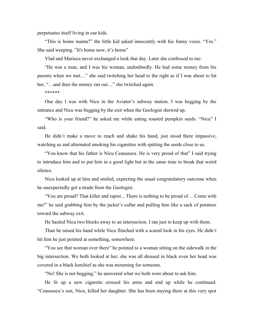perpetuates itself living in our kids.

"This is home mama?" the little kid asked innocently with his funny voice. "Yes." She said weeping. "It's home now, it's home"

Vlad and Mariuca never exchanged a look that day. Later she confessed to me:

"He was a man, and I was his woman, undoubtedly. He had some money from his parents when we met…" she said twitching her head to the right as if I was about to hit her, "...and then the money ran out..." she twitched again.

\*\*\*\*\*\*

One day I was with Nicu in the Aviator's subway station. I was begging by the entrance and Nicu was begging by the exit when the Geologist showed up.

"Who is your friend?" he asked me while eating roasted pumpkin seeds. "Nicu" I said.

He didn't make a move to reach and shake his hand, just stood there impassive, watching us and alternated smoking his cigarettes with spitting the seeds close to us.

"You know that his father is Nicu Ceausescu. He is very proud of that" I said trying to introduce him and to put him in a good light but at the same time to break that weird silence.

Nicu looked up at him and smiled, expecting the usual congratulatory outcome when he unexpectedly got a tirade from the Geologist.

"You are proud? That killer and rapist... There is nothing to be proud of… Come with me!" he said grabbing him by the jacket's collar and pulling him like a sack of potatoes toward the subway exit.

He hauled Nicu two blocks away to an intersection. I ran just to keep up with them.

Than he raised his hand while Nicu flinched with a scared look in his eyes. He didn't hit him he just pointed at something, somewhere.

"You see that woman over there" he pointed to a woman sitting on the sidewalk in the big intersection. We both looked at her; she was all dressed in black even her head was covered in a black kerchief as she was mourning for someone.

"No! She is not begging," he answered what we both were about to ask him.

He lit up a new cigarette crossed his arms and end up while he continued: "Ceausescu's son, Nicu, killed her daughter. She has been staying there at this very spot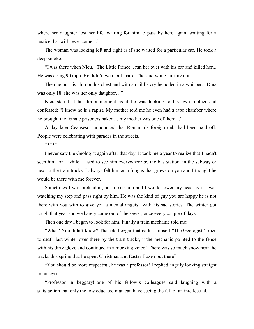where her daughter lost her life, waiting for him to pass by here again, waiting for a justice that will never come…"

The woman was looking left and right as if she waited for a particular car. He took a deep smoke.

"I was there when Nicu, "The Little Prince", ran her over with his car and killed her... He was doing 90 mph. He didn't even look back..."he said while puffing out.

Then he put his chin on his chest and with a child's cry he added in a whisper: "Dina was only 18, she was her only daughter..."

Nicu stared at her for a moment as if he was looking to his own mother and confessed: "I know he is a rapist. My mother told me he even had a rape chamber where he brought the female prisoners naked… my mother was one of them…"

A day later Ceausescu announced that Romania's foreign debt had been paid off. People were celebrating with parades in the streets.

\*\*\*\*\*

I never saw the Geologist again after that day. It took me a year to realize that I hadn't seen him for a while. I used to see him everywhere by the bus station, in the subway or next to the train tracks. I always felt him as a fungus that grows on you and I thought he would be there with me forever.

Sometimes I was pretending not to see him and I would lower my head as if I was watching my step and pass right by him. He was the kind of guy you are happy he is not there with you with to give you a mental anguish with his sad stories. The winter got tough that year and we barely came out of the sewer, once every couple of days.

Then one day I began to look for him. Finally a train mechanic told me:

"What? You didn't know? That old beggar that called himself "The Geologist" froze to death last winter over there by the train tracks, " the mechanic pointed to the fence with his dirty glove and continued in a mocking voice "There was so much snow near the tracks this spring that he spent Christmas and Easter frozen out there"

"You should be more respectful, he was a professor! I replied angrily looking straight in his eyes.

"Professor in beggary!"one of his fellow's colleagues said laughing with a satisfaction that only the low educated man can have seeing the fall of an intellectual.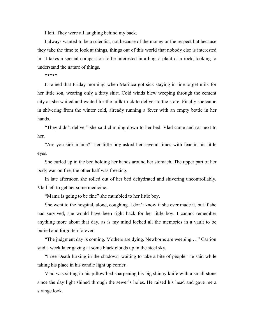I left. They were all laughing behind my back.

I always wanted to be a scientist, not because of the money or the respect but because they take the time to look at things, things out of this world that nobody else is interested in. It takes a special compassion to be interested in a bug, a plant or a rock, looking to understand the nature of things.

\*\*\*\*\*

It rained that Friday morning, when Mariuca got sick staying in line to get milk for her little son, wearing only a dirty shirt. Cold winds blew weeping through the cement city as she waited and waited for the milk truck to deliver to the store. Finally she came in shivering from the winter cold, already running a fever with an empty bottle in her hands.

"They didn't deliver" she said climbing down to her bed. Vlad came and sat next to her.

"Are you sick mama?" her little boy asked her several times with fear in his little eyes.

She curled up in the bed holding her hands around her stomach. The upper part of her body was on fire, the other half was freezing.

In late afternoon she rolled out of her bed dehydrated and shivering uncontrollably. Vlad left to get her some medicine.

"Mama is going to be fine" she mumbled to her little boy.

She went to the hospital, alone, coughing. I don't know if she ever made it, but if she had survived, she would have been right back for her little boy. I cannot remember anything more about that day, as is my mind locked all the memories in a vault to be buried and forgotten forever.

"The judgment day is coming. Mothers are dying. Newborns are weeping …" Carrion said a week later gazing at some black clouds up in the steel sky.

"I see Death lurking in the shadows, waiting to take a bite of people" he said while taking his place in his candle light up corner.

Vlad was sitting in his pillow bed sharpening his big shinny knife with a small stone since the day light shined through the sewer's holes. He raised his head and gave me a strange look.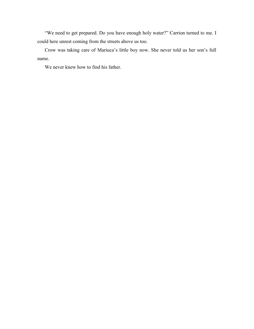"We need to get prepared. Do you have enough holy water?" Carrion turned to me. I could here unrest coming from the streets above us too.

Crow was taking care of Mariuca's little boy now. She never told us her son's full name.

We never knew how to find his father.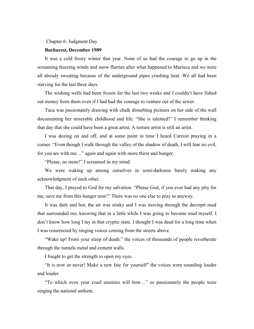#### Chapter 6: Judgment Day

## **Bucharest, December 1989**

It was a cold frosty winter that year. None of us had the courage to go up in the screaming freezing winds and snow flurries after what happened to Mariuca and we were all already sweating because of the underground pipes crushing heat. We all had been starving for the last three days.

The wishing wells had been frozen for the last two weeks and I couldn't have fished out money from them even if I had had the courage to venture out of the sewer.

Tuca was passionately drawing with chalk disturbing pictures on her side of the wall documenting her miserable childhood and life. "She is talented!" I remember thinking that day that she could have been a great artist. A torture artist is still an artist.

I was dozing on and off, and at some point in time I heard Carrion praying in a corner: "Even though I walk through the valley of the shadow of death, I will fear no evil, for you are with me…" again and again with more thirst and hunger.

"Please, no more!" I screamed in my mind.

We were waking up among ourselves in semi-darkness barely making any acknowledgment of each other.

That day, I prayed to God for my salvation. "Please God, if you ever had any pity for me, save me from this hunger now!" There was no one else to pray to anyway.

It was dark and hot, the air was stinky and I was moving through the decrepit mud that surrounded me, knowing that in a little while I was going to become mud myself. I don't know how long I lay in that cryptic state. I thought I was dead for a long time when I was resurrected by singing voices coming from the streets above.

"Wake up! From your sleep of death." the voices of thousands of people reverberate through the tunnels metal and cement walls.

I fought to get the strength to open my eyes.

"It is now or never! Make a new fate for yourself" the voices were sounding louder and louder.

"To which even your cruel enemies will bow…" so passionately the people were singing the national anthem.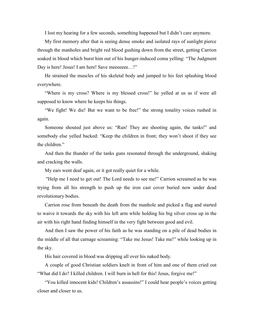I lost my hearing for a few seconds, something happened but I didn't care anymore.

My first memory after that is seeing dense smoke and isolated rays of sunlight pierce through the manholes and bright red blood gushing down from the street, getting Carrion soaked in blood which burst him out of his hunger-induced coma yelling: "The Judgment Day is here! Jesus! I am here! Save meeeeee...!"

He strained the muscles of his skeletal body and jumped to his feet splashing blood everywhere.

"Where is my cross? Where is my blessed cross!" he yelled at us as if were all supposed to know where he keeps his things.

"We fight! We die! But we want to be free!" the strong tonality voices rushed in again.

Someone shouted just above us: "Run! They are shooting again, the tanks!" and somebody else yelled backed: "Keep the children in front; they won't shoot if they see the children"

And then the thunder of the tanks guns resonated through the underground, shaking and cracking the walls.

My ears went deaf again, or it got really quiet for a while.

"Help me I need to get out! The Lord needs to see me!" Carrion screamed as he was trying from all his strength to push up the iron cast cover buried now under dead revolutionary bodies.

Carrion rose from beneath the death from the manhole and picked a flag and started to waive it towards the sky with his left arm while holding his big silver cross up in the air with his right hand finding himself in the very fight between good and evil.

And then I saw the power of his faith as he was standing on a pile of dead bodies in the middle of all that carnage screaming: "Take me Jesus! Take me!" while looking up in the sky.

His hair covered in blood was dripping all over his naked body.

A couple of good Christian soldiers knelt in front of him and one of them cried out "What did I do? I killed children. I will burn in hell for this! Jesus, forgive me!"

"You killed innocent kids! Children's assassins!" I could hear people's voices getting closer and closer to us.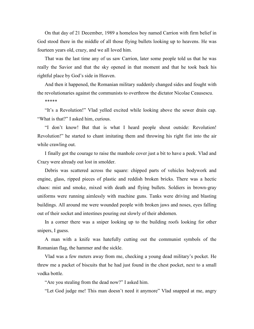On that day of 21 December, 1989 a homeless boy named Carrion with firm belief in God stood there in the middle of all those flying bullets looking up to heavens. He was fourteen years old, crazy, and we all loved him.

That was the last time any of us saw Carrion, later some people told us that he was really the Savior and that the sky opened in that moment and that he took back his rightful place by God's side in Heaven.

And then it happened, the Romanian military suddenly changed sides and fought with the revolutionaries against the communists to overthrow the dictator Nicolae Ceausescu.

\*\*\*\*\*

"It's a Revolution!" Vlad yelled excited while looking above the sewer drain cap. "What is that?" I asked him, curious.

"I don't know! But that is what I heard people shout outside: Revolution! Revolution!" he started to chant imitating them and throwing his right fist into the air while crawling out.

I finally got the courage to raise the manhole cover just a bit to have a peek. Vlad and Crazy were already out lost in smolder.

Debris was scattered across the square: chipped parts of vehicles bodywork and engine, glass, ripped pieces of plastic and reddish broken bricks. There was a hectic chaos: mist and smoke, mixed with death and flying bullets. Soldiers in brown-gray uniforms were running aimlessly with machine guns. Tanks were driving and blasting buildings. All around me were wounded people with broken jaws and noses, eyes falling out of their socket and intestines pouring out slowly of their abdomen.

In a corner there was a sniper looking up to the building roofs looking for other snipers, I guess.

A man with a knife was hatefully cutting out the communist symbols of the Romanian flag, the hammer and the sickle.

Vlad was a few meters away from me, checking a young dead military's pocket. He threw me a packet of biscuits that he had just found in the chest pocket, next to a small vodka bottle.

"Are you stealing from the dead now?" I asked him.

"Let God judge me! This man doesn't need it anymore" Vlad snapped at me, angry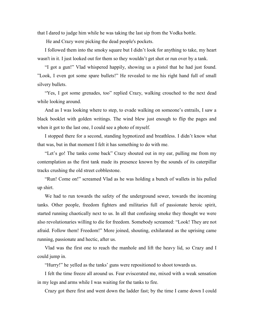that I dared to judge him while he was taking the last sip from the Vodka bottle.

He and Crazy were picking the dead people's pockets.

I followed them into the smoky square but I didn't look for anything to take, my heart wasn't in it. I just looked out for them so they wouldn't get shot or run over by a tank.

"I got a gun!" Vlad whispered happily, showing us a pistol that he had just found. "Look, I even got some spare bullets!" He revealed to me his right hand full of small silvery bullets.

"Yes, I got some grenades, too" replied Crazy, walking crouched to the next dead while looking around.

And as I was looking where to step, to evade walking on someone's entrails, I saw a black booklet with golden writings. The wind blew just enough to flip the pages and when it got to the last one, I could see a photo of myself.

I stopped there for a second, standing hypnotized and breathless. I didn't know what that was, but in that moment I felt it has something to do with me.

"Let's go! The tanks come back" Crazy shouted out in my ear, pulling me from my contemplation as the first tank made its presence known by the sounds of its caterpillar tracks crushing the old street cobblestone.

"Run! Come on!" screamed Vlad as he was holding a bunch of wallets in his pulled up shirt.

We had to run towards the safety of the underground sewer, towards the incoming tanks. Other people, freedom fighters and militaries full of passionate heroic spirit, started running chaotically next to us. In all that confusing smoke they thought we were also revolutionaries willing to die for freedom. Somebody screamed: "Look! They are not afraid. Follow them! Freedom!" More joined, shouting, exhilarated as the uprising came running, passionate and hectic, after us.

Vlad was the first one to reach the manhole and lift the heavy lid, so Crazy and I could jump in.

"Hurry!" he yelled as the tanks' guns were repositioned to shoot towards us.

I felt the time freeze all around us. Fear eviscerated me, mixed with a weak sensation in my legs and arms while I was waiting for the tanks to fire.

Crazy got there first and went down the ladder fast; by the time I came down I could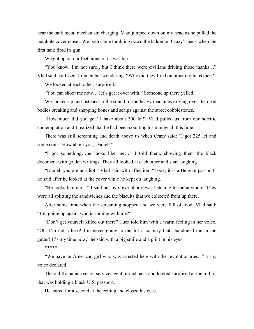hear the tank metal mechanism charging. Vlad jumped down on my head as he pulled the manhole cover closet. We both came tumbling down the ladder on Crazy's back when the first tank fired its gun.

We got up on our feet, none of us was hurt.

"You know, I'm not sure…but I think there were civilians driving those thanks…" Vlad said confused. I remember wondering: "Why did they fired on other civilians then?"

We looked at each other, surprised.

"You can shoot me now… let's get it over with." Someone up there yelled.

We looked up and listened to the sound of the heavy machines driving over the dead bodies breaking and snapping bones and scalps against the street cobblestones.

"How much did you get? I have about 300 lei!" Vlad pulled us from our horrific contemplation and I realized that he had been counting his money all this time.

There was still screaming and death above us when Crazy said: "I got 225 lei and some coins. How about you, Daniel?"

"I got something…he looks like me…" I told them, showing them the black document with golden writings. They all looked at each other and start laughing.

"Daniel, you are an idiot." Vlad said with affection. "Look, it is a Belgian passport" he said after he looked at the cover while he kept on laughing.

"He looks like me…" I said but by now nobody was listening to me anymore. They were all splitting the sandwiches and the biscuits that we collected from up there.

After some time when the screaming stopped and we were full of food, Vlad said: "I'm going up again, who is coming with me?"

"Don't get yourself killed out there" Tuca told him with a warm feeling in her voice. "Oh. I'm not a hero! I'm never going to die for a country that abandoned me in the gutter! It's my time now," he said with a big smile and a glint in his eyes.

### \*\*\*\*\*

"We have an American girl who was arrested here with the revolutionaries..." a shy voice declared.

The old Romanian secret service agent turned back and looked surprised at the militia that was holding a black U.S. passport.

He stared for a second at the ceiling and closed his eyes.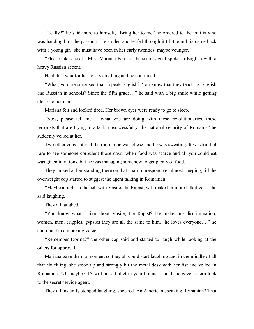"Really?" he said more to himself, "Bring her to me" he ordered to the militia who was handing him the passport. He smiled and leafed through it till the militia came back with a young girl, she must have been in her early twenties, maybe younger.

"Please take a seat…Miss Mariana Farcas" the secret agent spoke in English with a heavy Russian accent.

He didn't wait for her to say anything and he continued:

"What, you are surprised that I speak English? You know that they teach us English and Russian in schools? Since the fifth grade…" he said with a big smile while getting closer to her chair.

Mariana felt and looked tired. Her brown eyes were ready to go to sleep.

"Now, please tell me ….what you are doing with these revolutionaries, these terrorists that are trying to attack, unsuccessfully, the national security of Romania" he suddenly yelled at her.

Two other cops entered the room, one was obese and he was sweating. It was kind of rare to see someone corpulent those days, when food was scarce and all you could eat was given in rations, but he was managing somehow to get plenty of food.

They looked at her standing there on that chair, unresponsive, almost sleeping, till the overweight cop started to suggest the agent talking in Romanian:

"Maybe a night in the cell with Vasile, the Rapist, will make her more talkative…" he said laughing.

They all laughed.

"You know what I like about Vasile, the Rapist? He makes no discrimination, women, men, cripples, gypsies they are all the same to him…he loves everyone…." he continued in a mocking voice.

"Remember Dorina?" the other cop said and started to laugh while looking at the others for approval.

Mariana gave them a moment so they all could start laughing and in the middle of all that chuckling, she stood up and strongly hit the metal desk with her fist and yelled in Romanian: "Or maybe CIA will put a bullet in your brains…" and she gave a stern look to the secret service agent.

They all instantly stopped laughing, shocked. An American speaking Romanian? That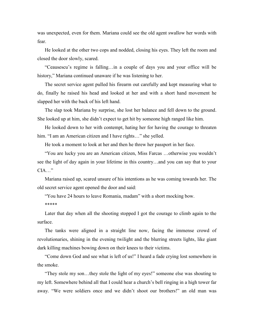was unexpected, even for them. Mariana could see the old agent swallow her words with fear.

He looked at the other two cops and nodded, closing his eyes. They left the room and closed the door slowly, scared.

"Ceausescu's regime is falling…in a couple of days you and your office will be history," Mariana continued unaware if he was listening to her.

The secret service agent pulled his firearm out carefully and kept measuring what to do, finally he raised his head and looked at her and with a short hand movement he slapped her with the back of his left hand.

The slap took Mariana by surprise, she lost her balance and fell down to the ground. She looked up at him, she didn't expect to get hit by someone high ranged like him.

He looked down to her with contempt, hating her for having the courage to threaten him. "I am an American citizen and I have rights..." she yelled.

He took a moment to look at her and then he threw her passport in her face.

"You are lucky you are an American citizen, Miss Farcas …otherwise you wouldn't see the light of day again in your lifetime in this country…and you can say that to your CIA…"

Mariana raised up, scared unsure of his intentions as he was coming towards her. The old secret service agent opened the door and said:

"You have 24 hours to leave Romania, madam" with a short mocking bow.

\*\*\*\*\*

Later that day when all the shooting stopped I got the courage to climb again to the surface.

The tanks were aligned in a straight line now, facing the immense crowd of revolutionaries, shining in the evening twilight and the blurring streets lights, like giant dark killing machines bowing down on their knees to their victims.

"Come down God and see what is left of us!" I heard a fade crying lost somewhere in the smoke.

"They stole my son…they stole the light of my eyes!" someone else was shouting to my left. Somewhere behind all that I could hear a church's bell ringing in a high tower far away. "We were soldiers once and we didn't shoot our brothers!" an old man was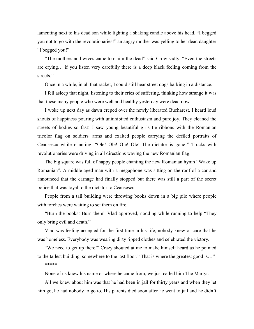lamenting next to his dead son while lighting a shaking candle above his head. "I begged you not to go with the revolutionaries!" an angry mother was yelling to her dead daughter "I begged you!"

"The mothers and wives came to claim the dead" said Crow sadly. "Even the streets are crying… if you listen very carefully there is a deep black feeling coming from the streets."

Once in a while, in all that racket, I could still hear street dogs barking in a distance.

I fell asleep that night, listening to their cries of suffering, thinking how strange it was that these many people who were well and healthy yesterday were dead now.

I woke up next day as dawn creped over the newly liberated Bucharest. I heard loud shouts of happiness pouring with uninhibited enthusiasm and pure joy. They cleaned the streets of bodies so fast! I saw young beautiful girls tie ribbons with the Romanian tricolor flag on soldiers' arms and exalted people carrying the defiled portraits of Ceausescu while chanting: "Ole! Ole! Ole! Ole! The dictator is gone!" Trucks with revolutionaries were driving in all directions waving the new Romanian flag.

The big square was full of happy people chanting the new Romanian hymn "Wake up Romanian". A middle aged man with a megaphone was sitting on the roof of a car and announced that the carnage had finally stopped but there was still a part of the secret police that was loyal to the dictator to Ceausescu.

People from a tall building were throwing books down in a big pile where people with torches were waiting to set them on fire.

"Burn the books! Burn them" Vlad approved, nodding while running to help "They only bring evil and death."

Vlad was feeling accepted for the first time in his life, nobody knew or care that he was homeless. Everybody was wearing dirty ripped clothes and celebrated the victory.

"We need to get up there!" Crazy shouted at me to make himself heard as he pointed to the tallest building, somewhere to the last floor." That is where the greatest good is…" \*\*\*\*\*

None of us knew his name or where he came from, we just called him The Martyr.

All we knew about him was that he had been in jail for thirty years and when they let him go, he had nobody to go to. His parents died soon after he went to jail and he didn't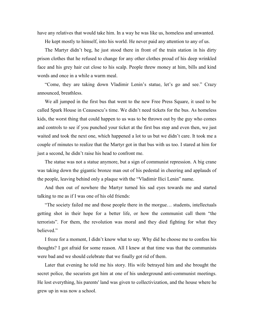have any relatives that would take him. In a way he was like us, homeless and unwanted.

He kept mostly to himself, into his world. He never paid any attention to any of us.

The Martyr didn't beg, he just stood there in front of the train station in his dirty prison clothes that he refused to change for any other clothes proud of his deep wrinkled face and his grey hair cut close to his scalp. People threw money at him, bills and kind words and once in a while a warm meal.

"Come, they are taking down Vladimir Lenin's statue, let's go and see." Crazy announced, breathless.

We all jumped in the first bus that went to the new Free Press Square, it used to be called Spark House in Ceausescu's time. We didn't need tickets for the bus. As homeless kids, the worst thing that could happen to us was to be thrown out by the guy who comes and controls to see if you punched your ticket at the first bus stop and even then, we just waited and took the next one, which happened a lot to us but we didn't care. It took me a couple of minutes to realize that the Martyr got in that bus with us too. I stared at him for just a second, he didn't raise his head to confront me.

The statue was not a statue anymore, but a sign of communist repression. A big crane was taking down the gigantic bronze man out of his pedestal in cheering and applauds of the people, leaving behind only a plaque with the "Vladimir Ilici Lenin" name.

And then out of nowhere the Martyr turned his sad eyes towards me and started talking to me as if I was one of his old friends:

"The society failed me and those people there in the morgue… students, intellectuals getting shot in their hope for a better life, or how the communist call them "the terrorists". For them, the revolution was moral and they died fighting for what they believed."

I froze for a moment, I didn't know what to say. Why did he choose me to confess his thoughts? I got afraid for some reason. All I knew at that time was that the communists were bad and we should celebrate that we finally got rid of them.

Later that evening he told me his story. His wife betrayed him and she brought the secret police, the securists got him at one of his underground anti-communist meetings. He lost everything, his parents' land was given to collectivization, and the house where he grew up in was now a school.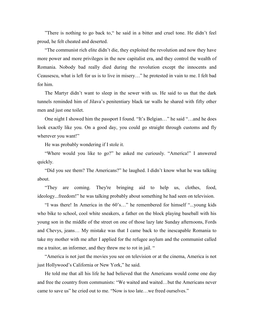"There is nothing to go back to," he said in a bitter and cruel tone. He didn't feel proud, he felt cheated and deserted.

"The communist rich elite didn't die, they exploited the revolution and now they have more power and more privileges in the new capitalist era, and they control the wealth of Romania. Nobody bad really died during the revolution except the innocents and Ceausescu, what is left for us is to live in misery…" he protested in vain to me. I felt bad for him.

The Martyr didn't want to sleep in the sewer with us. He said to us that the dark tunnels reminded him of Jilava's penitentiary black tar walls he shared with fifty other men and just one toilet.

One night I showed him the passport I found. "It's Belgian…" he said "…and he does look exactly like you. On a good day, you could go straight through customs and fly wherever you want!"

He was probably wondering if I stole it.

"Where would you like to go?" he asked me curiously. "America!" I answered quickly.

"Did you see them? The Americans?" he laughed. I didn't know what he was talking about.

"They are coming. They're bringing aid to help us, clothes, food, ideology...freedom!" he was talking probably about something he had seen on television.

"I was there! In America in the 60's…" he remembered for himself "...young kids who bike to school, cool white sneakers, a father on the block playing baseball with his young son in the middle of the street on one of those lazy late Sunday afternoons, Fords and Chevys, jeans… My mistake was that I came back to the inescapable Romania to take my mother with me after I applied for the refugee asylum and the communist called me a traitor, an informer, and they threw me to rot in jail. "

"America is not just the movies you see on television or at the cinema, America is not just Hollywood's California or New York," he said.

He told me that all his life he had believed that the Americans would come one day and free the country from communists: "We waited and waited…but the Americans never came to save us" he cried out to me. "Now is too late…we freed ourselves."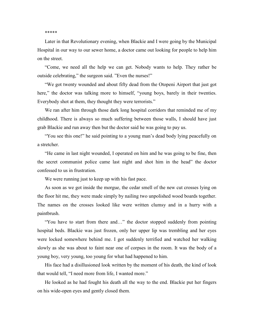\*\*\*\*\*

Later in that Revolutionary evening, when Blackie and I were going by the Municipal Hospital in our way to our sewer home, a doctor came out looking for people to help him on the street.

"Come, we need all the help we can get. Nobody wants to help. They rather be outside celebrating," the surgeon said. "Even the nurses!"

"We got twenty wounded and about fifty dead from the Otopeni Airport that just got here," the doctor was talking more to himself, "young boys, barely in their twenties. Everybody shot at them, they thought they were terrorists."

We ran after him through those dark long hospital corridors that reminded me of my childhood. There is always so much suffering between those walls, I should have just grab Blackie and run away then but the doctor said he was going to pay us.

"You see this one!" he said pointing to a young man's dead body lying peacefully on a stretcher.

"He came in last night wounded, I operated on him and he was going to be fine, then the secret communist police came last night and shot him in the head" the doctor confessed to us in frustration.

We were running just to keep up with his fast pace.

As soon as we got inside the morgue, the cedar smell of the new cut crosses lying on the floor hit me, they were made simply by nailing two unpolished wood boards together. The names on the crosses looked like were written clumsy and in a hurry with a paintbrush.

"You have to start from there and…" the doctor stopped suddenly from pointing hospital beds. Blackie was just frozen, only her upper lip was trembling and her eyes were locked somewhere behind me. I got suddenly terrified and watched her walking slowly as she was about to faint near one of corpses in the room. It was the body of a young boy, very young, too young for what had happened to him.

His face had a disillusioned look written by the moment of his death, the kind of look that would tell, "I need more from life, I wanted more."

He looked as he had fought his death all the way to the end. Blackie put her fingers on his wide-open eyes and gently closed them.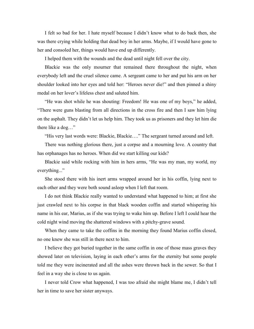I felt so bad for her. I hate myself because I didn't know what to do back then, she was there crying while holding that dead boy in her arms. Maybe, if I would have gone to her and consoled her, things would have end up differently.

I helped them with the wounds and the dead until night fell over the city.

Blackie was the only mourner that remained there throughout the night, when everybody left and the cruel silence came. A sergeant came to her and put his arm on her shoulder looked into her eyes and told her: "Heroes never die!" and then pinned a shiny medal on her lover's lifeless chest and saluted him.

"He was shot while he was shouting: Freedom! He was one of my boys," he added, "There were guns blasting from all directions in the cross fire and then I saw him lying on the asphalt. They didn't let us help him. They took us as prisoners and they let him die there like a dog…"

"His very last words were: Blackie, Blackie…." The sergeant turned around and left.

There was nothing glorious there, just a corpse and a mourning love. A country that has orphanages has no heroes. When did we start killing our kids?

Blackie said while rocking with him in hers arms, "He was my man, my world, my everything..."

She stood there with his inert arms wrapped around her in his coffin, lying next to each other and they were both sound asleep when I left that room.

I do not think Blackie really wanted to understand what happened to him; at first she just crawled next to his corpse in that black wooden coffin and started whispering his name in his ear, Marius, as if she was trying to wake him up. Before I left I could hear the cold night wind moving the shattered windows with a pitchy-grave sound.

When they came to take the coffins in the morning they found Marius coffin closed, no one knew she was still in there next to him.

I believe they got buried together in the same coffin in one of those mass graves they showed later on television, laying in each other's arms for the eternity but some people told me they were incinerated and all the ashes were thrown back in the sewer. So that I feel in a way she is close to us again.

I never told Crow what happened, I was too afraid she might blame me, I didn't tell her in time to save her sister anyways.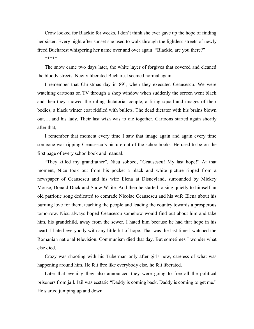Crow looked for Blackie for weeks. I don't think she ever gave up the hope of finding her sister. Every night after sunset she used to walk through the lightless streets of newly freed Bucharest whispering her name over and over again: "Blackie, are you there?"

## \*\*\*\*\*

The snow came two days later, the white layer of forgives that covered and cleaned the bloody streets. Newly liberated Bucharest seemed normal again.

I remember that Christmas day in 89', when they executed Ceausescu. We were watching cartoons on TV through a shop window when suddenly the screen went black and then they showed the ruling dictatorial couple, a firing squad and images of their bodies, a black winter coat riddled with bullets. The dead dictator with his brains blown out…. and his lady. Their last wish was to die together. Cartoons started again shortly after that,

I remember that moment every time I saw that image again and again every time someone was ripping Ceausescu's picture out of the schoolbooks. He used to be on the first page of every schoolbook and manual.

"They killed my grandfather", Nicu sobbed, "Ceausescu! My last hope!" At that moment, Nicu took out from his pocket a black and white picture ripped from a newspaper of Ceausescu and his wife Elena at Disneyland, surrounded by Mickey Mouse, Donald Duck and Snow White. And then he started to sing quietly to himself an old patriotic song dedicated to comrade Nicolae Ceausescu and his wife Elena about his burning love for them, teaching the people and leading the country towards a prosperous tomorrow. Nicu always hoped Ceausescu somehow would find out about him and take him, his grandchild, away from the sewer. I hated him because he had that hope in his heart. I hated everybody with any little bit of hope. That was the last time I watched the Romanian national television. Communism died that day. But sometimes I wonder what else died.

Crazy was shooting with his Tuberman only after girls now, careless of what was happening around him. He felt free like everybody else, he felt liberated.

Later that evening they also announced they were going to free all the political prisoners from jail. Jail was ecstatic "Daddy is coming back. Daddy is coming to get me." He started jumping up and down.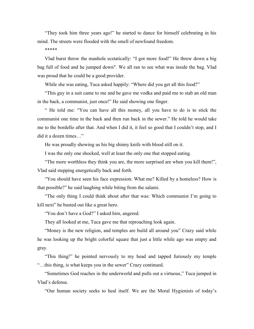"They took him three years ago!" he started to dance for himself celebrating in his mind. The streets were flooded with the smell of newfound freedom.

\*\*\*\*\*

Vlad burst throw the manhole ecstatically: "I got more food!" He threw down a big bag full of food and he jumped down". We all ran to see what was inside the bag. Vlad was proud that he could be a good provider.

While she was eating, Tuca asked happily: "Where did you get all this food?"

"This guy in a suit came to me and he gave me vodka and paid me to stab an old man in the back, a communist, just once!" He said showing one finger.

" He told me: "You can have all this money, all you have to do is to stick the communist one time in the back and then run back in the sewer." He told he would take me to the bordello after that. And when I did it, it feel so good that I couldn't stop, and I did it a dozen times…"

He was proudly showing us his big shinny knife with blood still on it.

I was the only one shocked, well at least the only one that stopped eating.

"The more worthless they think you are, the more surprised are when you kill them!", Vlad said stepping energetically back and forth.

"You should have seen his face expression: What me? Killed by a homeless? How is that possible?" he said laughing while biting from the salami.

"The only thing I could think about after that was: Which communist I'm going to kill next" he busted out like a great hero.

"You don't have a God?" I asked him, angered.

They all looked at me, Tuca gave me that reproaching look again.

"Money is the new religion, and temples are build all around you" Crazy said while he was looking up the bright colorful square that just a little while ago was empty and gray.

"This thing!" he pointed nervously to my head and tapped furiously my temple "…this thing, is what keeps you in the sewer" Crazy continued.

"Sometimes God reaches in the underworld and pulls out a virtuous," Tuca jumped in Vlad's defense.

"Our human society seeks to heal itself. We are the Moral Hygienists of today's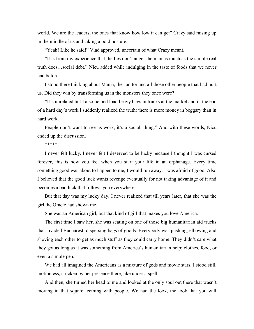world. We are the leaders, the ones that know how low it can get" Crazy said raising up in the middle of us and taking a bold posture.

"Yeah! Like he said!" Vlad approved, uncertain of what Crazy meant.

"It is from my experience that the lies don't anger the man as much as the simple real truth does…social debt." Nicu added while indulging in the taste of foods that we never had before.

I stood there thinking about Mama, the Janitor and all those other people that had hurt us. Did they win by transforming us in the monsters they once were?

"It's unrelated but I also helped load heavy bags in trucks at the market and in the end of a hard day's work I suddenly realized the truth: there is more money in beggary than in hard work.

People don't want to see us work, it's a social; thing." And with these words, Nicu ended up the discussion.

\*\*\*\*\*

I never felt lucky. I never felt I deserved to be lucky because I thought I was cursed forever, this is how you feel when you start your life in an orphanage. Every time something good was about to happen to me, I would run away. I was afraid of good. Also I believed that the good luck wants revenge eventually for not taking advantage of it and becomes a bad luck that follows you everywhere.

But that day was my lucky day. I never realized that till years later, that she was the girl the Oracle had shown me.

She was an American girl, but that kind of girl that makes you love America.

The first time I saw her, she was seating on one of those big humanitarian aid trucks that invaded Bucharest, dispersing bags of goods. Everybody was pushing, elbowing and shoving each other to get as much stuff as they could carry home. They didn't care what they got as long as it was something from America's humanitarian help: clothes, food, or even a simple pen.

We had all imagined the Americans as a mixture of gods and movie stars. I stood still, motionless, stricken by her presence there, like under a spell.

And then, she turned her head to me and looked at the only soul out there that wasn't moving in that square teeming with people. We had the look, the look that you will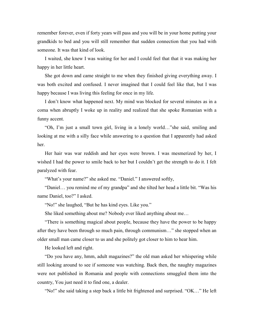remember forever, even if forty years will pass and you will be in your home putting your grandkids to bed and you will still remember that sudden connection that you had with someone. It was that kind of look.

I waited, she knew I was waiting for her and I could feel that that it was making her happy in her little heart.

She got down and came straight to me when they finished giving everything away. I was both excited and confused. I never imagined that I could feel like that, but I was happy because I was living this feeling for once in my life.

I don't know what happened next. My mind was blocked for several minutes as in a coma when abruptly I woke up in reality and realized that she spoke Romanian with a funny accent.

"Oh, I'm just a small town girl, living in a lonely world…"she said, smiling and looking at me with a silly face while answering to a question that I apparently had asked her.

Her hair was war reddish and her eyes were brown. I was mesmerized by her, I wished I had the power to smile back to her but I couldn't get the strength to do it. I felt paralyzed with fear.

"What's your name?" she asked me. "Daniel." I answered softly,

"Daniel… you remind me of my grandpa" and she tilted her head a little bit. "Was his name Daniel, too?" I asked.

"No!" she laughed, "But he has kind eyes. Like you."

She liked something about me? Nobody ever liked anything about me…

"There is something magical about people, because they have the power to be happy after they have been through so much pain, through communism…" she stopped when an older small man came closer to us and she politely got closer to him to hear him.

He looked left and right.

"Do you have any, hmm, adult magazines?" the old man asked her whispering while still looking around to see if someone was watching. Back then, the naughty magazines were not published in Romania and people with connections smuggled them into the country, You just need it to find one, a dealer.

"No!" she said taking a step back a little bit frightened and surprised. "OK…" He left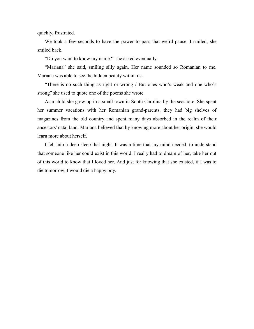quickly, frustrated.

We took a few seconds to have the power to pass that weird pause. I smiled, she smiled back.

"Do you want to know my name?" she asked eventually.

"Mariana" she said, smiling silly again. Her name sounded so Romanian to me. Mariana was able to see the hidden beauty within us.

"There is no such thing as right or wrong / But ones who's weak and one who's strong" she used to quote one of the poems she wrote.

As a child she grew up in a small town in South Carolina by the seashore. She spent her summer vacations with her Romanian grand-parents, they had big shelves of magazines from the old country and spent many days absorbed in the realm of their ancestors' natal land. Mariana believed that by knowing more about her origin, she would learn more about herself.

I fell into a deep sleep that night. It was a time that my mind needed, to understand that someone like her could exist in this world. I really had to dream of her, take her out of this world to know that I loved her. And just for knowing that she existed, if I was to die tomorrow, I would die a happy boy.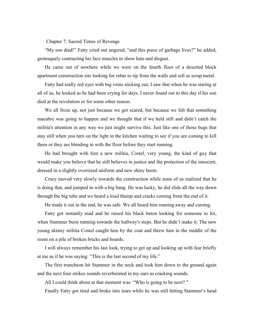Chapter 7: Sacred Times of Revenge

"My son died!" Fatty cried out angered, "and this piece of garbage lives?" he added, grotesquely contracting his face muscles to show hate and disgust.

He came out of nowhere while we were on the fourth floor of a deserted block apartment construction site looking for rebar to rip from the walls and sell as scrap metal.

Fatty had really red eyes with big veins sticking out, I saw that when he was staring at all of us, he looked as he had been crying for days. I never found out to this day if his son died at the revolution or for some other reason.

We all froze up, not just because we got scared, but because we felt that something macabre was going to happen and we thought that if we held still and didn't catch the militia's attention in any way we just might survive this. Just like one of those bugs that stay still when you turn on the light in the kitchen waiting to see if you are coming to kill them or they are blending in with the floor before they start running.

He had brought with him a new militia, Costel, very young, the kind of guy that would make you believe that he still believes in justice and the protection of the innocent, dressed in a slightly oversized uniform and new shiny boots.

Crazy moved very slowly towards the construction while none of us realized that he is doing that, and jumped in with a big bang. He was lucky, he did slide all the way down through the big tube and we heard a loud thump and cracks coming from the end of it.

He made it out in the end, he was safe. We all heard him running away and cursing.

Fatty got instantly mad and he raised his black baton looking for someone to hit, when Stammer burst running towards the hallway's steps. But he didn't make it. The new young skinny militia Costel caught him by the coat and threw him in the middle of the room on a pile of broken bricks and boards.

I will always remember his last look, trying to get up and looking up with fear briefly at me as if he was saying: "This is the last second of my life."

The first truncheon hit Stammer in the neck and took him down to the ground again and the next four strikes sounds reverberated in my ears as cracking sounds.

All I could think about at that moment was: "Who is going to be next? "

Finally Fatty got tired and broke into tears while he was still hitting Stammer's head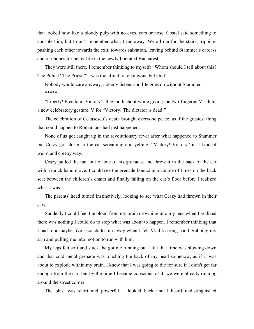that looked now like a bloody pulp with no eyes, ears or nose. Costel said something to console him, but I don't remember what. I ran away. We all ran for the stairs, tripping, pushing each other towards the exit, towards salvation, leaving behind Stammer's carcass and our hopes for better life in the newly liberated Bucharest.

They were still there. I remember thinking to myself: "Whom should I tell about this? The Police? The Priest?" I was too afraid to tell anyone but God.

Nobody would care anyway, nobody listens and life goes on without Stammer. \*\*\*\*\*

"Liberty! Freedom! Victory!" they both shout while giving the two-fingered V salute, a new celebratory gesture. V for "Victory! The dictator is dead!"

The celebration of Ceausescu's death brought everyone peace, as if the greatest thing that could happen to Romanians had just happened.

None of us got caught up in the revolutionary fever after what happened to Stammer but Crazy got closer to the car screaming and yelling: "Victory! Victory" in a kind of weird and creepy way.

Crazy pulled the nail out of one of his grenades and threw it in the back of the car with a quick hand move. I could see the grenade bouncing a couple of times on the back seat between the children's chairs and finally falling on the car's floor before I realized what it was.

The parents' head turned instinctively, looking to see what Crazy had thrown in their cars.

Suddenly I could feel the blood from my brain drowning into my legs when I realized there was nothing I could do to stop what was about to happen. I remember thinking that I had four maybe five seconds to run away when I felt Vlad's strong hand grabbing my arm and pulling me into motion to run with him.

My legs felt soft and stuck, he got me running but I felt that time was slowing down and that cold metal grenade was touching the back of my head somehow, as if it was about to explode within my brain. I knew that I was going to die for sure if I didn't get far enough from the car, but by the time I became conscious of it, we were already running around the street corner.

The blast was short and powerful. I looked back and I heard undistinguished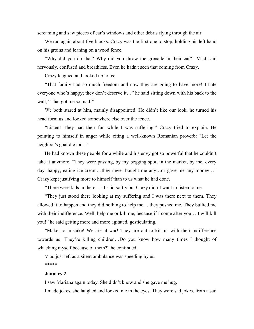screaming and saw pieces of car's windows and other debris flying through the air.

We ran again about five blocks. Crazy was the first one to stop, holding his left hand on his groins and leaning on a wood fence.

"Why did you do that? Why did you throw the grenade in their car?" Vlad said nervously, confused and breathless. Even he hadn't seen that coming from Crazy.

Crazy laughed and looked up to us:

"That family had so much freedom and now they are going to have more! I hate everyone who's happy; they don't deserve it…" he said sitting down with his back to the wall, "That got me so mad!"

We both stared at him, mainly disappointed. He didn't like our look, he turned his head form us and looked somewhere else over the fence.

"Listen! They had their fun while I was suffering." Crazy tried to explain. He pointing to himself in anger while citing a well-known Romanian proverb: "Let the neighbor's goat die too..."

He had known these people for a while and his envy got so powerful that he couldn't take it anymore. "They were passing, by my begging spot, in the market, by me, every day, happy, eating ice-cream…they never bought me any…or gave me any money…" Crazy kept justifying more to himself than to us what he had done.

"There were kids in there…" I said softly but Crazy didn't want to listen to me.

"They just stood there looking at my suffering and I was there next to them. They allowed it to happen and they did nothing to help me… they pushed me. They bullied me with their indifference. Well, help me or kill me, because if I come after you… I will kill you!" he said getting more and more agitated, gesticulating.

"Make no mistake! We are at war! They are out to kill us with their indifference towards us! They're killing children…Do you know how many times I thought of whacking myself because of them?" he continued.

Vlad just left as a silent ambulance was speeding by us. \*\*\*\*\*

# **January 2**

I saw Mariana again today. She didn't know and she gave me hug.

I made jokes, she laughed and looked me in the eyes. They were sad jokes, from a sad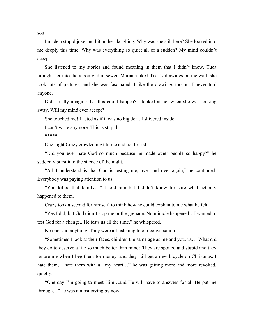soul.

I made a stupid joke and hit on her, laughing. Why was she still here? She looked into me deeply this time. Why was everything so quiet all of a sudden? My mind couldn't accept it.

She listened to my stories and found meaning in them that I didn't know. Tuca brought her into the gloomy, dim sewer. Mariana liked Tuca's drawings on the wall, she took lots of pictures, and she was fascinated. I like the drawings too but I never told anyone.

Did I really imagine that this could happen? I looked at her when she was looking away. Will my mind ever accept?

She touched me! I acted as if it was no big deal. I shivered inside.

I can't write anymore. This is stupid!

\*\*\*\*\*

One night Crazy crawled next to me and confessed:

"Did you ever hate God so much because he made other people so happy?" he suddenly burst into the silence of the night.

"All I understand is that God is testing me, over and over again," he continued. Everybody was paying attention to us.

"You killed that family…" I told him but I didn't know for sure what actually happened to them.

Crazy took a second for himself, to think how he could explain to me what he felt.

"Yes I did, but God didn't stop me or the grenade. No miracle happened…I wanted to test God for a change...He tests us all the time." he whispered.

No one said anything. They were all listening to our conversation.

"Sometimes I look at their faces, children the same age as me and you, us… What did they do to deserve a life so much better than mine? They are spoiled and stupid and they ignore me when I beg them for money, and they still get a new bicycle on Christmas. I hate them, I hate them with all my heart..." he was getting more and more revolted, quietly.

"One day I'm going to meet Him…and He will have to answers for all He put me through…" he was almost crying by now.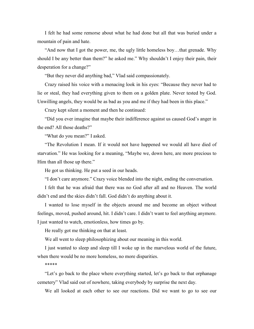I felt he had some remorse about what he had done but all that was buried under a mountain of pain and hate.

"And now that I got the power, me, the ugly little homeless boy…that grenade. Why should I be any better than them?" he asked me." Why shouldn't I enjoy their pain, their desperation for a change?"

"But they never did anything bad," Vlad said compassionately.

Crazy raised his voice with a menacing look in his eyes: "Because they never had to lie or steal, they had everything given to them on a golden plate. Never tested by God. Unwilling angels, they would be as bad as you and me if they had been in this place."

Crazy kept silent a moment and then he continued:

"Did you ever imagine that maybe their indifference against us caused God's anger in the end? All those deaths?"

"What do you mean?" I asked.

"The Revolution I mean. If it would not have happened we would all have died of starvation." He was looking for a meaning, "Maybe we, down here, are more precious to Him than all those up there."

He got us thinking. He put a seed in our heads.

"I don't care anymore." Crazy voice blended into the night, ending the conversation.

I felt that he was afraid that there was no God after all and no Heaven. The world didn't end and the skies didn't fall. God didn't do anything about it.

I wanted to lose myself in the objects around me and become an object without feelings, moved, pushed around, hit. I didn't care. I didn't want to feel anything anymore. I just wanted to watch, emotionless, how times go by.

He really got me thinking on that at least.

We all went to sleep philosophizing about our meaning in this world.

I just wanted to sleep and sleep till I woke up in the marvelous world of the future, when there would be no more homeless, no more disparities.

\*\*\*\*\*

"Let's go back to the place where everything started, let's go back to that orphanage cemetery" Vlad said out of nowhere, taking everybody by surprise the next day.

We all looked at each other to see our reactions. Did we want to go to see our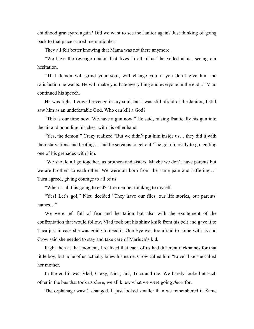childhood graveyard again? Did we want to see the Janitor again? Just thinking of going back to that place scared me motionless.

They all felt better knowing that Mama was not there anymore.

"We have the revenge demon that lives in all of us" he yelled at us, seeing our hesitation.

"That demon will grind your soul, will change you if you don't give him the satisfaction he wants. He will make you hate everything and everyone in the end..." Vlad continued his speech.

He was right. I craved revenge in my soul, but I was still afraid of the Janitor, I still saw him as an undefeatable God. Who can kill a God?

"This is our time now. We have a gun now," He said, raising frantically his gun into the air and pounding his chest with his other hand.

"Yes, the demon!" Crazy realized "But we didn't put him inside us… they did it with their starvations and beatings…and he screams to get out!" he got up, ready to go, getting one of his grenades with him.

"We should all go together, as brothers and sisters. Maybe we don't have parents but we are brothers to each other. We were all born from the same pain and suffering…" Tuca agreed, giving courage to all of us.

"When is all this going to end?" I remember thinking to myself.

"Yes! Let's go!," Nicu decided "They have our files, our life stories, our parents' names…"

We were left full of fear and hesitation but also with the excitement of the confrontation that would follow. Vlad took out his shiny knife from his belt and gave it to Tuca just in case she was going to need it. One Eye was too afraid to come with us and Crow said she needed to stay and take care of Mariuca's kid.

Right then at that moment, I realized that each of us had different nicknames for that little boy, but none of us actually knew his name. Crow called him "Love" like she called her mother.

In the end it was Vlad, Crazy, Nicu, Jail, Tuca and me. We barely looked at each other in the bus that took us *there*, we all knew what we were going *there* for.

The orphanage wasn't changed. It just looked smaller than we remembered it. Same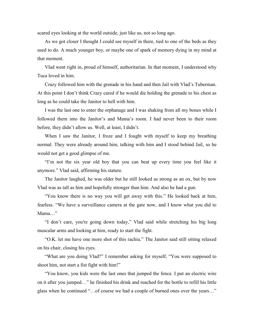scared eyes looking at the world outside, just like us, not so long ago.

As we got closer I thought I could see myself in there, tied to one of the beds as they used to do. A much younger boy, or maybe one of spark of memory dying in my mind at that moment.

Vlad went right in, proud of himself, authoritarian. In that moment, I understood why Tuca loved in him.

Crazy followed him with the grenade in his hand and then Jail with Vlad's Tuberman. At this point I don't think Crazy cared if he would die holding the grenade to his chest as long as he could take the Janitor to hell with him.

I was the last one to enter the orphanage and I was shaking from all my bones while I followed them into the Janitor's and Mama's room. I had never been to their room before, they didn't allow us. Well, at least, I didn't.

When I saw the Janitor, I froze and I fought with myself to keep my breathing normal. They were already around him, talking with him and I stood behind Jail, so he would not get a good glimpse of me.

"I'm not the six year old boy that you can beat up every time you feel like it anymore." Vlad said, affirming his stature.

The Janitor laughed, he was older but he still looked as strong as an ox, but by now Vlad was as tall as him and hopefully stronger than him. And also he had a gun.

"You know there is no way you will get away with this." He looked back at him, fearless. "We have a surveillance camera at the gate now, and I know what you did to Mama…"

"I don't care, you're going down today," Vlad said while stretching his big long muscular arms and looking at him, ready to start the fight.

"O.K. let me have one more shot of this rachiu." The Janitor said still sitting relaxed on his chair, closing his eyes.

"What are you doing Vlad?" I remember asking for myself, "You were supposed to shoot him, not start a fist fight with him!"

"You know, you kids were the last ones that jumped the fence. I put an electric wire on it after you jumped…" he finished his drink and reached for the bottle to refill his little glass when he continued "…of course we had a couple of burned ones over the years…"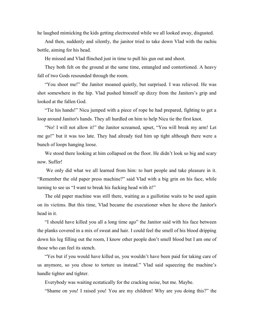he laughed mimicking the kids getting electrocuted while we all looked away, disgusted.

And then, suddenly and silently, the janitor tried to take down Vlad with the rachiu bottle, aiming for his head.

He missed and Vlad flinched just in time to pull his gun out and shoot.

They both felt on the ground at the same time, entangled and contortioned. A heavy fall of two Gods resounded through the room.

"You shoot me!" the Janitor moaned quietly, but surprised. I was relieved. He was shot somewhere in the hip. Vlad pushed himself up dizzy from the Janitors's grip and looked at the fallen God.

"Tie his hands!" Nicu jumped with a piece of rope he had prepared, fighting to get a loop around Janitor's hands. They all hurdled on him to help Nicu tie the first knot.

"No! I will not allow it!" the Janitor screamed, upset, "You will break my arm! Let me go!" but it was too late. They had already tied him up tight although there were a bunch of loops hanging loose.

We stood there looking at him collapsed on the floor. He didn't look so big and scary now. Suffer!

We only did what we all learned from him: to hurt people and take pleasure in it. "Remember the old paper press machine?" said Vlad with a big grin on his face, while turning to see us "I want to break his fucking head with it!"

The old paper machine was still there, waiting as a guillotine waits to be used again on its victims. But this time, Vlad became the executioner when he shove the Janitor's head in it.

"I should have killed you all a long time ago" the Janitor said with his face between the planks covered in a mix of sweat and hair. I could feel the smell of his blood dripping down his leg filling out the room, I know other people don't smell blood but I am one of those who can feel its stench.

"Yes but if you would have killed us, you wouldn't have been paid for taking care of us anymore, so you chose to torture us instead." Vlad said squeezing the machine's handle tighter and tighter.

Everybody was waiting ecstatically for the cracking noise, but me. Maybe.

"Shame on you! I raised you! You are my children! Why are you doing this?" the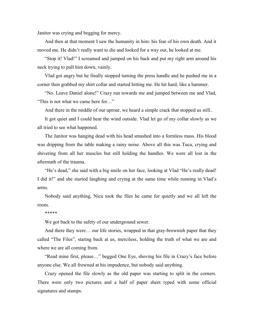Janitor was crying and begging for mercy.

And then at that moment I saw the humanity in him: his fear of his own death. And it moved me. He didn't really want to die and looked for a way out, he looked at me.

"Stop it! Vlad!" I screamed and jumped on his back and put my right arm around his neck trying to pull him down, vainly.

Vlad got angry but he finally stopped turning the press handle and he pushed me in a corner then grabbed my shirt collar and started hitting me. He hit hard, like a hammer.

"No. Leave Daniel alone!" Crazy run towards me and jumped between me and Vlad, "This is not what we came here for…"

And there in the middle of our uproar, we heard a simple crack that stopped us still..

It got quiet and I could hear the wind outside. Vlad let go of my collar slowly as we all tried to see what happened.

The Janitor was hanging dead with his head smashed into a formless mass. His blood was dripping from the table making a rainy noise. Above all this was Tuca, crying and shivering from all her muscles but still holding the handles. We were all lost in the aftermath of the trauma.

"He's dead," she said with a big smile on her face, looking at Vlad "He's really dead! I did it!" and she started laughing and crying at the same time while running in Vlad's arms.

Nobody said anything, Nicu took the files he came for quietly and we all left the room.

\*\*\*\*\*

We got back to the safety of our underground sewer.

And there they were… our life stories, wrapped in that gray-brownish paper that they called "The Files", staring back at us, merciless, holding the truth of what we are and where we are all coming from.

"Read mine first, please…" begged One Eye, shoving his file in Crazy's face before anyone else. We all frowned at his impudence, but nobody said anything.

Crazy opened the file slowly as the old paper was starting to split in the corners. There were only two pictures and a half of paper sheet typed with some official signatures and stamps.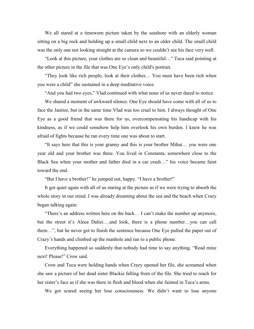We all stared at a timeworn picture taken by the seashore with an elderly woman sitting on a big rock and holding up a small child next to an older child. The small child was the only one not looking straight at the camera so we couldn't see his face very well.

"Look at this picture, your clothes are so clean and beautiful…" Tuca said pointing at the other picture in the file that was One Eye's only child's portrait.

"They look like rich people, look at their clothes… You must have been rich when you were a child" she sustained in a deep meditative voice.

"And you had two eyes," Vlad continued with what none of us never dared to notice.

We shared a moment of awkward silence. One Eye should have come with all of us to face the Janitor, but in the same time Vlad was too cruel to him. I always thought of One Eye as a good friend that was there for us, overcompensating his handicap with his kindness, as if we could somehow help him overlook his own burden. I knew he was afraid of fights because he ran every time one was about to start.

"It says here that this is your granny and this is your brother Mihai… you were one year old and your brother was three. You lived in Constanta, somewhere close to the Black Sea when your mother and father died in a car crash…" his voice became faint toward the end.

"But I have a brother!" he jumped out, happy. "I have a brother!"

It got quiet again with all of us staring at the picture as if we were trying to absorb the whole story in our mind. I was already dreaming about the sea and the beach when Crazy began talking again:

"There's an address written here on the back… I can't make the number up anymore, but the street it's Aleea Daliei….and look, there is a phone number…you can call them…", but he never got to finish the sentence because One Eye pulled the paper out of Crazy's hands and climbed up the manhole and ran to a public phone.

Everything happened so suddenly that nobody had time to say anything. "Read mine next! Please!" Crow said.

Crow and Tuca were holding hands when Crazy opened her file, she screamed when she saw a picture of her dead sister Blackie falling from of the file. She tried to reach for her sister's face as if she was there in flesh and blood when she fainted in Tuca's arms.

We got scared seeing her lose consciousness. We didn't want to lose anyone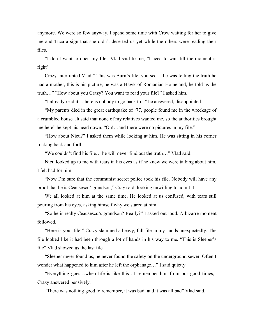anymore. We were so few anyway. I spend some time with Crow waiting for her to give me and Tuca a sign that she didn't deserted us yet while the others were reading their files.

"I don't want to open my file" Vlad said to me, "I need to wait till the moment is right"

Crazy interrupted Vlad:" This was Burn's file, you see… he was telling the truth he had a mother, this is his picture, he was a Hawk of Romanian Homeland, he told us the truth…" "How about you Crazy? You want to read your file?" I asked him.

"I already read it…there is nobody to go back to..." he answered, disappointed.

"My parents died in the great earthquake of '77, people found me in the wreckage of a crumbled house. .It said that none of my relatives wanted me, so the authorities brought me here" he kept his head down, "Oh!...and there were no pictures in my file."

"How about Nicu?" I asked them while looking at him. He was sitting in his corner rocking back and forth.

"We couldn't find his file… he will never find out the truth…" Vlad said.

Nicu looked up to me with tears in his eyes as if he knew we were talking about him, I felt bad for him.

"Now I'm sure that the communist secret police took his file. Nobody will have any proof that he is Ceausescu' grandson," Cray said, looking unwilling to admit it.

We all looked at him at the same time. He looked at us confused, with tears still pouring from his eyes, asking himself why we stared at him.

"So he is really Ceausescu's grandson? Really?" I asked out loud. A bizarre moment followed.

"Here is your file!" Crazy slammed a heavy, full file in my hands unexpectedly. The file looked like it had been through a lot of hands in his way to me. "This is Sleeper's file" Vlad showed us the last file.

"Sleeper never found us, he never found the safety on the underground sewer. Often I wonder what happened to him after he left the orphanage…" I said quietly.

"Everything goes…when life is like this…I remember him from our good times," Crazy answered pensively.

"There was nothing good to remember, it was bad, and it was all bad" Vlad said.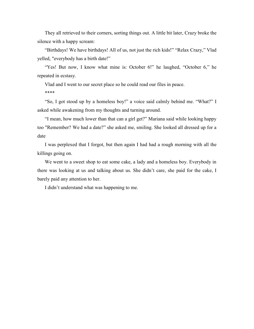They all retrieved to their corners, sorting things out. A little bit later, Crazy broke the silence with a happy scream:

"Birthdays! We have birthdays! All of us, not just the rich kids!" "Relax Crazy," Vlad yelled, "everybody has a birth date!"

"Yes! But now, I know what mine is: October 6!" he laughed, "October 6," he repeated in ecstasy.

Vlad and I went to our secret place so he could read our files in peace.

\*\*\*\*

"So, I got stood up by a homeless boy!" a voice said calmly behind me. "What?" I asked while awakening from my thoughts and turning around.

"I mean, how much lower than that can a girl get?" Mariana said while looking happy too "Remember? We had a date?" she asked me, smiling. She looked all dressed up for a date

I was perplexed that I forgot, but then again I had had a rough morning with all the killings going on.

We went to a sweet shop to eat some cake, a lady and a homeless boy. Everybody in there was looking at us and talking about us. She didn't care, she paid for the cake, I barely paid any attention to her.

I didn't understand what was happening to me.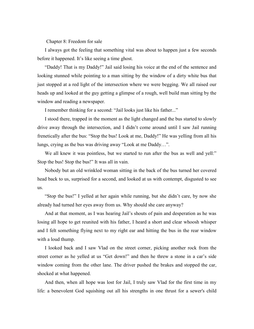Chapter 8: Freedom for sale

I always got the feeling that something vital was about to happen just a few seconds before it happened. It's like seeing a time ghost.

"Daddy! That is my Daddy!" Jail said losing his voice at the end of the sentence and looking stunned while pointing to a man sitting by the window of a dirty white bus that just stopped at a red light of the intersection where we were begging. We all raised our heads up and looked at the guy getting a glimpse of a rough, well build man sitting by the window and reading a newspaper.

I remember thinking for a second: "Jail looks just like his father..."

I stood there, trapped in the moment as the light changed and the bus started to slowly drive away through the intersection, and I didn't come around until I saw Jail running frenetically after the bus: "Stop the bus! Look at me, Daddy!" He was yelling from all his lungs, crying as the bus was driving away "Look at me Daddy…".

We all knew it was pointless, but we started to run after the bus as well and yell:" Stop the bus! Stop the bus!" It was all in vain.

Nobody but an old wrinkled woman sitting in the back of the bus turned her covered head back to us, surprised for a second, and looked at us with contempt, disgusted to see us.

"Stop the bus!" I yelled at her again while running, but she didn't care, by now she already had turned her eyes away from us. Why should she care anyway?

And at that moment, as I was hearing Jail's shouts of pain and desperation as he was losing all hope to get reunited with his father, I heard a short and clear whoosh whisper and I felt something flying next to my right ear and hitting the bus in the rear window with a loud thump.

I looked back and I saw Vlad on the street corner, picking another rock from the street corner as he yelled at us "Get down!" and then he threw a stone in a car's side window coming from the other lane. The driver pushed the brakes and stopped the car, shocked at what happened.

And then, when all hope was lost for Jail, I truly saw Vlad for the first time in my life: a benevolent God squishing out all his strengths in one thrust for a sewer's child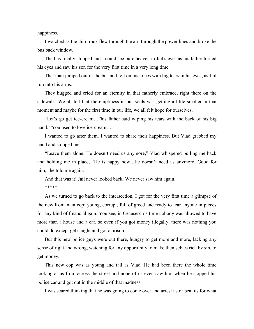happiness.

I watched as the third rock flew through the air, through the power lines and broke the bus back window.

The bus finally stopped and I could see pure heaven in Jail's eyes as his father turned his eyes and saw his son for the very first time in a very long time.

That man jumped out of the bus and fell on his knees with big tears in his eyes, as Jail run into his arms.

They hugged and cried for an eternity in that fatherly embrace, right there on the sidewalk. We all felt that the emptiness in our souls was getting a little smaller in that moment and maybe for the first time in our life, we all felt hope for ourselves.

"Let's go get ice-cream…"his father said wiping his tears with the back of his big hand. "You used to love ice-cream..."

I wanted to go after them. I wanted to share their happiness. But Vlad grabbed my hand and stopped me.

"Leave them alone. He doesn't need us anymore," Vlad whispered pulling me back and holding me in place, "He is happy now…he doesn't need us anymore. Good for him," he told me again.

And that was it! Jail never looked back. We never saw him again. \*\*\*\*\*

As we turned to go back to the intersection, I got for the very first time a glimpse of the new Romanian cop: young, corrupt, full of greed and ready to tear anyone in pieces for any kind of financial gain. You see, in Ceausescu's time nobody was allowed to have more than a house and a car, so even if you got money illegally, there was nothing you could do except get caught and go to prison.

But this new police guys were out there, hungry to get more and more, lacking any sense of right and wrong, watching for any opportunity to make themselves rich by sin, to get money.

This new cop was as young and tall as Vlad. He had been there the whole time looking at us from across the street and none of us even saw him when he stopped his police car and got out in the middle of that madness.

I was scared thinking that he was going to come over and arrest us or beat us for what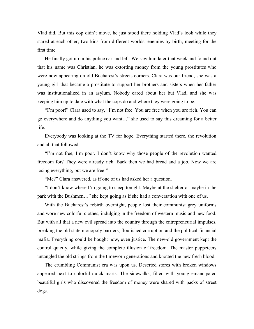Vlad did. But this cop didn't move, he just stood there holding Vlad's look while they stared at each other; two kids from different worlds, enemies by birth, meeting for the first time.

He finally got up in his police car and left. We saw him later that week and found out that his name was Christian, he was extorting money from the young prostitutes who were now appearing on old Bucharest's streets corners. Clara was our friend, she was a young girl that became a prostitute to support her brothers and sisters when her father was institutionalized in an asylum. Nobody cared about her but Vlad, and she was keeping him up to date with what the cops do and where they were going to be.

"I'm poor!" Clara used to say, "I'm not free. You are free when you are rich. You can go everywhere and do anything you want…" she used to say this dreaming for a better life.

Everybody was looking at the TV for hope. Everything started there, the revolution and all that followed.

"I'm not free, I'm poor. I don't know why those people of the revolution wanted freedom for? They were already rich. Back then we had bread and a job. Now we are losing everything, but we are free!"

"Me?" Clara answered, as if one of us had asked her a question.

"I don't know where I'm going to sleep tonight. Maybe at the shelter or maybe in the park with the Bushmen…" she kept going as if she had a conversation with one of us.

With the Bucharest's rebirth overnight, people lost their communist grey uniforms and wore new colorful clothes, indulging in the freedom of western music and new food. But with all that a new evil spread into the country through the entrepreneurial impulses, breaking the old state monopoly barriers, flourished corruption and the political-financial mafia. Everything could be bought now, even justice. The new-old government kept the control quietly, while giving the complete illusion of freedom. The master puppeteers untangled the old strings from the timeworn generations and knotted the new fresh blood.

The crumbling Communist era was upon us. Deserted stores with broken windows appeared next to colorful quick marts. The sidewalks, filled with young emancipated beautiful girls who discovered the freedom of money were shared with packs of street dogs.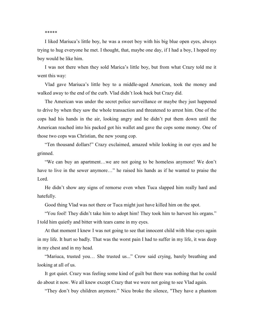## \*\*\*\*\*

I liked Mariuca's little boy, he was a sweet boy with his big blue open eyes, always trying to hug everyone he met. I thought, that, maybe one day, if I had a boy, I hoped my boy would be like him.

I was not there when they sold Marica's little boy, but from what Crazy told me it went this way:

Vlad gave Mariuca's little boy to a middle-aged American, took the money and walked away to the end of the curb. Vlad didn't look back but Crazy did.

The American was under the secret police surveillance or maybe they just happened to drive by when they saw the whole transaction and threatened to arrest him. One of the cops had his hands in the air, looking angry and he didn't put them down until the American reached into his packed got his wallet and gave the cops some money. One of those two cops was Christian, the new young cop.

"Ten thousand dollars!" Crazy exclaimed, amazed while looking in our eyes and he grinned.

"We can buy an apartment…we are not going to be homeless anymore! We don't have to live in the sewer anymore..." he raised his hands as if he wanted to praise the Lord.

He didn't show any signs of remorse even when Tuca slapped him really hard and hatefully.

Good thing Vlad was not there or Tuca might just have killed him on the spot.

"You fool! They didn't take him to adopt him! They took him to harvest his organs." I told him quietly and bitter with tears came in my eyes.

At that moment I knew I was not going to see that innocent child with blue eyes again in my life. It hurt so badly. That was the worst pain I had to suffer in my life, it was deep in my chest and in my head.

"Mariuca, trusted you… She trusted us..." Crow said crying, barely breathing and looking at all of us.

It got quiet. Crazy was feeling some kind of guilt but there was nothing that he could do about it now. We all knew except Crazy that we were not going to see Vlad again.

"They don't buy children anymore." Nicu broke the silence, "They have a phantom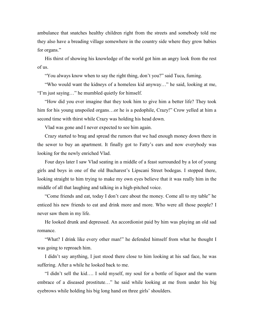ambulance that snatches healthy children right from the streets and somebody told me they also have a breading village somewhere in the country side where they grow babies for organs."

His thirst of showing his knowledge of the world got him an angry look from the rest of us.

"You always know when to say the right thing, don't you?" said Tuca, fuming.

"Who would want the kidneys of a homeless kid anyway…" he said, looking at me, "I'm just saying…" he mumbled quietly for himself.

"How did you ever imagine that they took him to give him a better life? They took him for his young unspoiled organs…or he is a pedophile, Crazy!" Crow yelled at him a second time with thirst while Crazy was holding his head down.

Vlad was gone and I never expected to see him again.

Crazy started to brag and spread the rumors that we had enough money down there in the sewer to buy an apartment. It finally got to Fatty's ears and now everybody was looking for the newly enriched Vlad.

Four days later I saw Vlad seating in a middle of a feast surrounded by a lot of young girls and boys in one of the old Bucharest's Lipscani Street bodegas. I stopped there, looking straight to him trying to make my own eyes believe that it was really him in the middle of all that laughing and talking in a high-pitched voice.

"Come friends and eat, today I don't care about the money. Come all to my table" he enticed his new friends to eat and drink more and more. Who were all those people? I never saw them in my life.

He looked drunk and depressed. An accordionist paid by him was playing an old sad romance.

"What? I drink like every other man!" he defended himself from what he thought I was going to reproach him.

I didn't say anything, I just stood there close to him looking at his sad face, he was suffering. After a while he looked back to me.

"I didn't sell the kid…. I sold myself, my soul for a bottle of liquor and the warm embrace of a diseased prostitute…" he said while looking at me from under his big eyebrows while holding his big long hand on three girls' shoulders.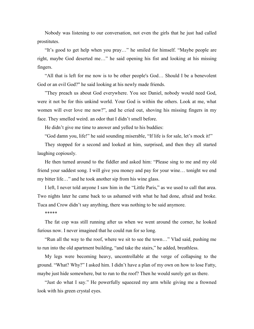Nobody was listening to our conversation, not even the girls that he just had called prostitutes.

"It's good to get help when you pray…" he smiled for himself. "Maybe people are right, maybe God deserted me…" he said opening his fist and looking at his missing fingers.

"All that is left for me now is to be other people's God… Should I be a benevolent God or an evil God?" he said looking at his newly made friends.

"They preach us about God everywhere. You see Daniel, nobody would need God, were it not be for this unkind world. Your God is within the others. Look at me, what women will ever love me now?", and he cried out, shoving his missing fingers in my face. They smelled weird. an odor that I didn't smell before.

He didn't give me time to answer and yelled to his buddies:

"God damn you, life!" he said sounding miserable, "If life is for sale, let's mock it!"

They stopped for a second and looked at him, surprised, and then they all started laughing copiously.

He then turned around to the fiddler and asked him: "Please sing to me and my old friend your saddest song. I will give you money and pay for your wine… tonight we end my bitter life…" and he took another sip from his wine glass.

I left, I never told anyone I saw him in the "Little Paris," as we used to call that area. Two nights later he came back to us ashamed with what he had done, afraid and broke. Tuca and Crow didn't say anything, there was nothing to be said anymore.

\*\*\*\*\*

The fat cop was still running after us when we went around the corner, he looked furious now. I never imagined that he could run for so long.

"Run all the way to the roof, where we sit to see the town…" Vlad said, pushing me to run into the old apartment building, "and take the stairs," he added, breathless.

My legs were becoming heavy, uncontrollable at the verge of collapsing to the ground. "What? Why?" I asked him. I didn't have a plan of my own on how to lose Fatty, maybe just hide somewhere, but to run to the roof? Then he would surely get us there.

"Just do what I say." He powerfully squeezed my arm while giving me a frowned look with his green crystal eyes.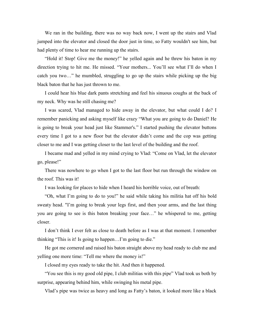We ran in the building, there was no way back now, I went up the stairs and Vlad jumped into the elevator and closed the door just in time, so Fatty wouldn't see him, but had plenty of time to hear me running up the stairs.

"Hold it! Stop! Give me the money!" he yelled again and he threw his baton in my direction trying to hit me. He missed. "Your mothers... You'll see what I'll do when I catch you two…" he mumbled, struggling to go up the stairs while picking up the big black baton that he has just thrown to me.

I could hear his blue dark pants stretching and feel his sinuous coughs at the back of my neck. Why was he still chasing me?

I was scared, Vlad managed to hide away in the elevator, but what could I do? I remember panicking and asking myself like crazy "What you are going to do Daniel? He is going to break your head just like Stammer's." I started pushing the elevator buttons every time I got to a new floor but the elevator didn't come and the cop was getting closer to me and I was getting closer to the last level of the building and the roof.

I became mad and yelled in my mind crying to Vlad: "Come on Vlad, let the elevator go, please!"

There was nowhere to go when I got to the last floor but run through the window on the roof. This was it!

I was looking for places to hide when I heard his horrible voice, out of breath:

"Oh, what I'm going to do to you!" he said while taking his militia hat off his bold sweaty head. "I'm going to break your legs first, and then your arms, and the last thing you are going to see is this baton breaking your face…" he whispered to me, getting closer.

I don't think I ever felt as close to death before as I was at that moment. I remember thinking "This is it! Is going to happen…I'm going to die."

He got me cornered and raised his baton straight above my head ready to club me and yelling one more time: "Tell me where the money is!"

I closed my eyes ready to take the hit. And then it happened.

"You see this is my good old pipe, I club militias with this pipe" Vlad took us both by surprise, appearing behind him, while swinging his metal pipe.

Vlad's pipe was twice as heavy and long as Fatty's baton, it looked more like a black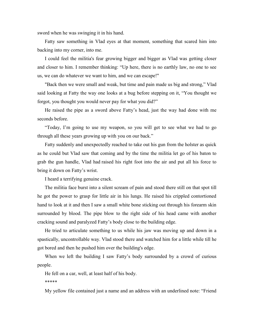sword when he was swinging it in his hand.

Fatty saw something in Vlad eyes at that moment, something that scared him into backing into my corner, into me.

I could feel the militia's fear growing bigger and bigger as Vlad was getting closer and closer to him. I remember thinking: "Up here, there is no earthly law, no one to see us, we can do whatever we want to him, and we can escape!"

"Back then we were small and weak, but time and pain made us big and strong," Vlad said looking at Fatty the way one looks at a bug before stepping on it, "You thought we forgot, you thought you would never pay for what you did?"

He raised the pipe as a sword above Fatty's head, just the way had done with me seconds before.

"Today, I'm going to use my weapon, so you will get to see what we had to go through all these years growing up with you on our back."

Fatty suddenly and unexpectedly reached to take out his gun from the holster as quick as he could but Vlad saw that coming and by the time the militia let go of his baton to grab the gun handle, Vlad had raised his right foot into the air and put all his force to bring it down on Fatty's wrist.

I heard a terrifying genuine crack.

The militia face burst into a silent scream of pain and stood there still on that spot till he got the power to grasp for little air in his lungs. He raised his crippled contortioned hand to look at it and then I saw a small white bone sticking out through his forearm skin surrounded by blood. The pipe blow to the right side of his head came with another cracking sound and paralyzed Fatty's body close to the building edge.

He tried to articulate something to us while his jaw was moving up and down in a spastically, uncontrollable way. Vlad stood there and watched him for a little while till he got bored and then he pushed him over the building's edge.

When we left the building I saw Fatty's body surrounded by a crowd of curious people.

He fell on a car, well, at least half of his body.

\*\*\*\*\*

My yellow file contained just a name and an address with an underlined note: "Friend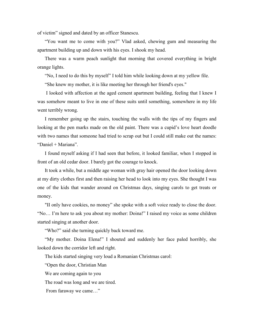of victim" signed and dated by an officer Stanescu.

"You want me to come with you?" Vlad asked, chewing gum and measuring the apartment building up and down with his eyes. I shook my head.

There was a warm peach sunlight that morning that covered everything in bright orange lights.

"No, I need to do this by myself" I told him while looking down at my yellow file.

"She knew my mother, it is like meeting her through her friend's eyes."

I looked with affection at the aged cement apartment building, feeling that I knew I was somehow meant to live in one of these suits until something, somewhere in my life went terribly wrong.

I remember going up the stairs, touching the walls with the tips of my fingers and looking at the pen marks made on the old paint. There was a cupid's love heart doodle with two names that someone had tried to scrap out but I could still make out the names: "Daniel + Mariana".

I found myself asking if I had seen that before, it looked familiar, when I stopped in front of an old cedar door. I barely got the courage to knock.

It took a while, but a middle age woman with gray hair opened the door looking down at my dirty clothes first and then raising her head to look into my eyes. She thought I was one of the kids that wander around on Christmas days, singing carols to get treats or money.

"II only have cookies, no money" she spoke with a soft voice ready to close the door. "No… I'm here to ask you about my mother: Doina!" I raised my voice as some children started singing at another door.

"Who?" said she turning quickly back toward me.

"My mother. Doina Elena!" I shouted and suddenly her face paled horribly, she looked down the corridor left and right.

The kids started singing very loud a Romanian Christmas carol:

"Open the door, Christian Man

We are coming again to you

The road was long and we are tired.

From faraway we came…"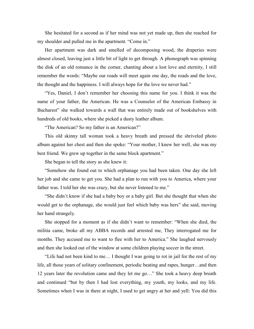She hesitated for a second as if her mind was not yet made up, then she reached for my shoulder and pulled me in the apartment. "Come in."

Her apartment was dark and smelled of decomposing wood, the draperies were almost closed, leaving just a little bit of light to get through. A phonograph was spinning the disk of an old romance in the corner, chanting about a lost love and eternity, I still remember the words: "Maybe our roads will meet again one day, the roads and the love, the thought and the happiness. I will always hope for the love we never had."

"Yes, Daniel, I don't remember her choosing this name for you. I think it was the name of your father, the American. He was a Counselor of the American Embassy in Bucharest" she walked towards a wall that was entirely made out of bookshelves with hundreds of old books, where she picked a dusty leather album.

"The American? So my father is an American?"

This old skinny tall woman took a heavy breath and pressed the shriveled photo album against her chest and then she spoke: "Your mother, I knew her well, she was my best friend. We grew up together in the same block apartment."

She began to tell the story as she knew it:

"Somehow she found out to which orphanage you had been taken. One day she left her job and she came to get you. She had a plan to run with you to America, where your father was. I told her she was crazy, but she never listened to me."

"She didn't know if she had a baby boy or a baby girl. But she thought that when she would get to the orphanage, she would just feel which baby was hers" she said, moving her hand strangely.

She stopped for a moment as if she didn't want to remember: "When she died, the militia came, broke all my ABBA records and arrested me, They interrogated me for months. They accused me to want to flee with her to America." She laughed nervously and then she looked out of the window at some children playing soccer in the street.

"Life had not been kind to me… I thought I was going to rot in jail for the rest of my life, all those years of solitary confinement, periodic beating and rapes, hunger…and then 12 years later the revolution came and they let me go…" She took a heavy deep breath and continued "but by then I had lost everything, my youth, my looks, and my life. Sometimes when I was in there at night, I used to get angry at her and yell: You did this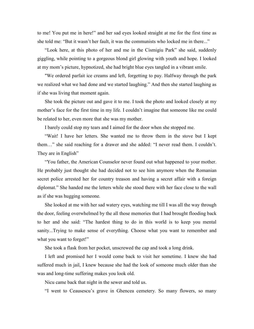to me! You put me in here!" and her sad eyes looked straight at me for the first time as she told me: "But it wasn't her fault, it was the communists who locked me in there..."

"Look here, at this photo of her and me in the Cismigiu Park" she said, suddenly giggling, while pointing to a gorgeous blond girl glowing with youth and hope. I looked at my mom's picture, hypnotized, she had bright blue eyes tangled in a vibrant smile.

"We ordered parfait ice creams and left, forgetting to pay. Halfway through the park we realized what we had done and we started laughing." And then she started laughing as if she was living that moment again.

She took the picture out and gave it to me. I took the photo and looked closely at my mother's face for the first time in my life. I couldn't imagine that someone like me could be related to her, even more that she was my mother.

I barely could stop my tears and I aimed for the door when she stopped me.

"Wait! I have her letters. She wanted me to throw them in the stove but I kept them…" she said reaching for a drawer and she added: "I never read them. I couldn't. They are in English"

"You father, the American Counselor never found out what happened to your mother. He probably just thought she had decided not to see him anymore when the Romanian secret police arrested her for country treason and having a secret affair with a foreign diplomat." She handed me the letters while she stood there with her face close to the wall as if she was hugging someone.

She looked at me with her sad watery eyes, watching me till I was all the way through the door, feeling overwhelmed by the all those memories that I had brought flooding back to her and she said: "The hardest thing to do in this world is to keep you mental sanity...Trying to make sense of everything. Choose what you want to remember and what you want to forget!"

She took a flask from her pocket, unscrewed the cap and took a long drink.

I left and promised her I would come back to visit her sometime. I knew she had suffered much in jail, I knew because she had the look of someone much older than she was and long-time suffering makes you look old.

Nicu came back that night in the sewer and told us.

"I went to Ceausescu's grave in Ghencea cemetery. So many flowers, so many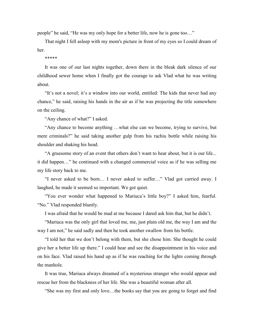people" he said, "He was my only hope for a better life, now he is gone too…"

That night I fell asleep with my mom's picture in front of my eyes so I could dream of her.

## \*\*\*\*\*

It was one of our last nights together, down there in the bleak dark silence of our childhood sewer home when I finally got the courage to ask Vlad what he was writing about.

"It's not a novel; it's a window into our world, entitled: The kids that never had any chance," he said, raising his hands in the air as if he was projecting the title somewhere on the ceiling.

"Any chance of what?" I asked.

"Any chance to become anything …what else can we become, trying to survive, but mere criminals?" he said taking another gulp from his rachiu bottle while raising his shoulder and shaking his head.

"A gruesome story of an event that others don't want to hear about, but it is our life... it did happen…" he continued with a changed commercial voice as if he was selling me my life story back to me.

"I never asked to be born… I never asked to suffer…" Vlad got carried away. I laughed, he made it seemed so important. We got quiet.

"You ever wonder what happened to Mariuca's little boy?" I asked him, fearful. "No." Vlad responded bluntly.

I was afraid that he would be mad at me because I dared ask him that, but he didn't.

"Mariuca was the only girl that loved me, me, just plain old me, the way I am and the way I am not," he said sadly and then he took another swallow from his bottle.

"I told her that we don't belong with them, but she chose him. She thought he could give her a better life up there." I could hear and see the disappointment in his voice and on his face. Vlad raised his hand up as if he was reaching for the lights coming through the manhole.

It was true, Mariuca always dreamed of a mysterious stranger who would appear and rescue her from the blackness of her life. She was a beautiful woman after all.

"She was my first and only love…the books say that you are going to forget and find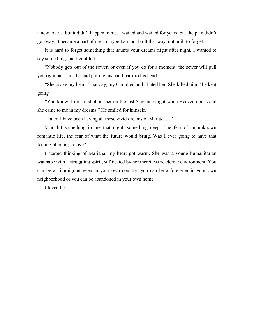a new love… but it didn't happen to me. I waited and waited for years, but the pain didn't go away, it became a part of me…maybe I am not built that way, not built to forget."

It is hard to forget something that haunts your dreams night after night, I wanted to say something, but I couldn't.

"Nobody gets out of the sewer, or even if you do for a moment, the sewer will pull you right back in," he said pulling his hand back to his heart.

"She broke my heart. That day, my God died and I hated her. She killed him," he kept going.

"You know, I dreamed about her on the last Sanziane night when Heaven opens and she came to me in my dreams." He smiled for himself.

"Later, I have been having all these vivid dreams of Mariuca…"

Vlad hit something in me that night, something deep. The fear of an unknown romantic life, the fear of what the future would bring. Was I ever going to have that feeling of being in love?

I started thinking of Mariana, my heart got warm. She was a young humanitarian wannabe with a struggling spirit, suffocated by her merciless academic environment. You can be an immigrant even in your own country, you can be a foreigner in your own neighborhood or you can be abandoned in your own home.

I loved her.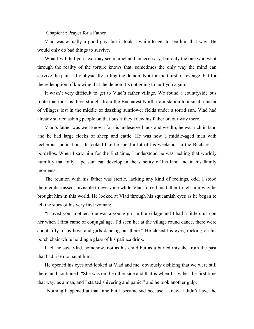Chapter 9: Prayer for a Father

Vlad was actually a good guy, but it took a while to get to see him that way. He would only do bad things to survive.

What I will tell you next may seem cruel and unnecessary, but only the one who went through the reality of the torture knows that, sometimes the only way the mind can survive the pain is by physically killing the demon. Not for the thirst of revenge, but for the redemption of knowing that the demon it's not going to hurt you again.

It wasn't very difficult to get to Vlad's father village. We found a countryside bus route that took us there straight from the Bucharest North train station to a small cluster of villages lost in the middle of dazzling sunflower fields under a torrid sun. Vlad had already started asking people on that bus if they knew his father on our way there.

Vlad's father was well known for his undeserved luck and wealth, he was rich in land and he had large flocks of sheep and cattle. He was now a middle-aged man with lecherous inclinations. It looked like he spent a lot of his weekends in the Bucharest's bordellos. When I saw him for the first time, I understood he was lacking that worldly humility that only a peasant can develop in the sanctity of his land and in his family moments.

The reunion with his father was sterile, lacking any kind of feelings, odd. I stood there embarrassed, invisible to everyone while Vlad forced his father to tell him why he brought him in this world. He looked at Vlad through his squeamish eyes as he began to tell the story of his very first woman:

"I loved your mother. She was a young girl in the village and I had a little crush on her when I first came of conjugal age. I'd seen her at the village round dance, there were about fifty of us boys and girls dancing out there." He closed his eyes, rocking on his porch chair while holding a glass of his palinca drink.

I felt he saw Vlad, somehow, not as his child but as a buried mistake from the past that had risen to haunt him.

He opened his eyes and looked at Vlad and me, obviously disliking that we were still there, and continued: "She was on the other side and that is when I saw her the first time that way, as a man, and I started shivering and panic," and he took another gulp.

"Nothing happened at that time but I became sad because I knew, I didn't have the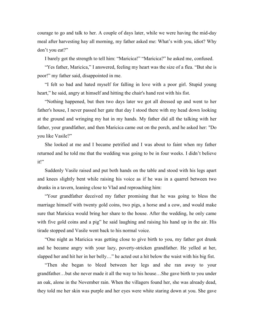courage to go and talk to her. A couple of days later, while we were having the mid-day meal after harvesting hay all morning, my father asked me: What's with you, idiot? Why don't you eat?"

I barely got the strength to tell him: "Maricica!" "Maricica?" he asked me, confused.

"Yes father, Maricica," I answered, feeling my heart was the size of a flea. "But she is poor!" my father said, disappointed in me.

"I felt so bad and hated myself for falling in love with a poor girl. Stupid young heart," he said, angry at himself and hitting the chair's hand rest with his fist.

"Nothing happened, but then two days later we got all dressed up and went to her father's house, I never passed her gate that day I stood there with my head down looking at the ground and wringing my hat in my hands. My father did all the talking with her father, your grandfather, and then Maricica came out on the porch, and he asked her: "Do you like Vasile?"

She looked at me and I became petrified and I was about to faint when my father returned and he told me that the wedding was going to be in four weeks. I didn't believe it!"

Suddenly Vasile raised and put both hands on the table and stood with his legs apart and knees slightly bent while raising his voice as if he was in a quarrel between two drunks in a tavern, leaning close to Vlad and reproaching him:

"Your grandfather deceived my father promising that he was going to bless the marriage himself with twenty gold coins, two pigs, a horse and a cow, and would make sure that Maricica would bring her share to the house. After the wedding, he only came with five gold coins and a pig" he said laughing and raising his hand up in the air. His tirade stopped and Vasile went back to his normal voice.

"One night as Maricica was getting close to give birth to you, my father got drunk and he became angry with your lazy, poverty-stricken grandfather. He yelled at her, slapped her and hit her in her belly…" he acted out a hit below the waist with his big fist.

"Then she began to bleed between her legs and she ran away to your grandfather…but she never made it all the way to his house…She gave birth to you under an oak, alone in the November rain. When the villagers found her, she was already dead, they told me her skin was purple and her eyes were white staring down at you. She gave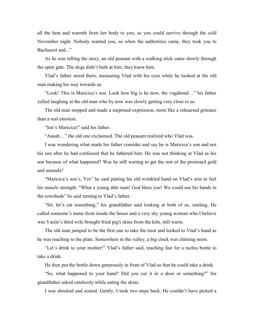all the heat and warmth from her body to you, so you could survive through the cold November night. Nobody wanted you, so when the authorities came, they took you to Bucharest and..."

As he was telling the story, an old peasant with a walking stick came slowly through the open gate. The dogs didn't bark at him, they knew him.

Vlad's father stood there, measuring Vlad with his eyes while he looked at the old man making his way towards us.

"Look! This is Maricica's son. Look how big is he now, the vagabond…" his father yelled laughing at the old man who by now was slowly getting very close to us.

The old man stopped and made a surprised expression, more like a rehearsed grimace than a real emotion.

"Ion's Maricica!" said his father.

"Aaaah…" the old one exclaimed. The old peasant realized who Vlad was.

I was wondering what made his father consider and say he is Maricica's son and not his son after he had confessed that he fathered him. He was not thinking at Vlad as his son because of what happened? Was he still waiting to get the rest of the promised gold and animals?

"Maricica's son's, Yes" he said putting his old wrinkled hand on Vlad's arm to feel his muscle strength. "What a young able man! God bless you! We could use his hands in the cowsheds" he said turning to Vlad's father.

"Sit, let's eat something," his grandfather said looking at both of us, smiling. He called someone's name from inside the house and a very shy young woman who I believe was Vasile's third wife brought fried pig's skins from the kiln, still warm.

The old man jumped to be the first one to take the treat and looked to Vlad's hand as he was reaching to the plate. Somewhere in the valley, a big clock was chiming noon.

"Let's drink to your mother!" Vlad's father said, reaching fast for a rachiu bottle to take a drink.

He then put the bottle down generously in front of Vlad so that he could take a drink.

"So, what happened to your hand? Did you cut it in a door or something?" his grandfather asked carelessly while eating the skins.

I was shocked and scared. Gently, I took two steps back. He couldn't have picked a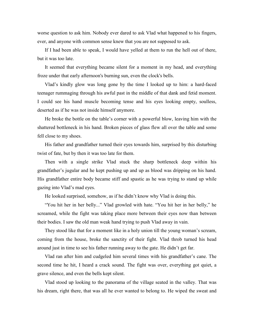worse question to ask him. Nobody ever dared to ask Vlad what happened to his fingers, ever, and anyone with common sense knew that you are not supposed to ask.

If I had been able to speak, I would have yelled at them to run the hell out of there, but it was too late.

It seemed that everything became silent for a moment in my head, and everything froze under that early afternoon's burning sun, even the clock's bells.

Vlad's kindly glow was long gone by the time I looked up to him: a hard-faced teenager rummaging through his awful past in the middle of that dank and fetid moment. I could see his hand muscle becoming tense and his eyes looking empty, soulless, deserted as if he was not inside himself anymore.

He broke the bottle on the table's corner with a powerful blow, leaving him with the shattered bottleneck in his hand. Broken pieces of glass flew all over the table and some fell close to my shoes.

His father and grandfather turned their eyes towards him, surprised by this disturbing twist of fate, but by then it was too late for them.

Then with a single strike Vlad stuck the sharp bottleneck deep within his grandfather's jugular and he kept pushing up and up as blood was dripping on his hand. His grandfather entire body became stiff and spastic as he was trying to stand up while gazing into Vlad's mad eyes.

He looked surprised, somehow, as if he didn't know why Vlad is doing this.

"You hit her in her belly..." Vlad growled with hate. "You hit her in her belly," he screamed, while the fight was taking place more between their eyes now than between their bodies. I saw the old man weak hand trying to push Vlad away in vain.

They stood like that for a moment like in a holy union till the young woman's scream, coming from the house, broke the sanctity of their fight. Vlad throb turned his head around just in time to see his father running away to the gate. He didn't get far.

Vlad ran after him and cudgeled him several times with his grandfather's cane. The second time he hit, I heard a crack sound. The fight was over, everything got quiet, a grave silence, and even the bells kept silent.

Vlad stood up looking to the panorama of the village seated in the valley. That was his dream, right there, that was all he ever wanted to belong to. He wiped the sweat and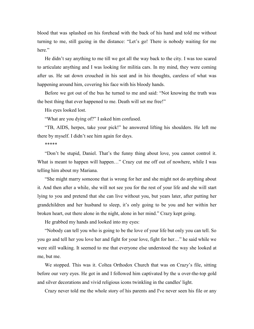blood that was splashed on his forehead with the back of his hand and told me without turning to me, still gazing in the distance: "Let's go! There is nobody waiting for me here."

He didn't say anything to me till we got all the way back to the city. I was too scared to articulate anything and I was looking for militia cars. In my mind, they were coming after us. He sat down crouched in his seat and in his thoughts, careless of what was happening around him, covering his face with his bloody hands.

Before we got out of the bus he turned to me and said: "Not knowing the truth was the best thing that ever happened to me. Death will set me free!"

His eyes looked lost.

"What are you dying of?" I asked him confused.

"TB, AIDS, herpes, take your pick!" he answered lifting his shoulders. He left me there by myself. I didn't see him again for days.

\*\*\*\*\*

"Don't be stupid, Daniel. That's the funny thing about love, you cannot control it. What is meant to happen will happen..." Crazy cut me off out of nowhere, while I was telling him about my Mariana.

"She might marry someone that is wrong for her and she might not do anything about it. And then after a while, she will not see you for the rest of your life and she will start lying to you and pretend that she can live without you, but years later, after putting her grandchildren and her husband to sleep, it's only going to be you and her within her broken heart, out there alone in the night, alone in her mind." Crazy kept going.

He grabbed my hands and looked into my eyes:

"Nobody can tell you who is going to be the love of your life but only you can tell. So you go and tell her you love her and fight for your love, fight for her…" he said while we were still walking. It seemed to me that everyone else understood the way she looked at me, but me.

We stopped. This was it. Coltea Orthodox Church that was on Crazy's file, sitting before our very eyes. He got in and I followed him captivated by the u over-the-top gold and silver decorations and vivid religious icons twinkling in the candles' light.

Crazy never told me the whole story of his parents and I've never seen his file or any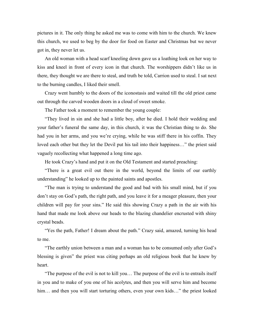pictures in it. The only thing he asked me was to come with him to the church. We knew this church, we used to beg by the door for food on Easter and Christmas but we never got in, they never let us.

An old woman with a head scarf kneeling down gave us a loathing look on her way to kiss and kneel in front of every icon in that church. The worshippers didn't like us in there, they thought we are there to steal, and truth be told, Carrion used to steal. I sat next to the burning candles, I liked their smell.

Crazy went humbly to the doors of the iconostasis and waited till the old priest came out through the carved wooden doors in a cloud of sweet smoke.

The Father took a moment to remember the young couple:

"They lived in sin and she had a little boy, after he died. I hold their wedding and your father's funeral the same day, in this church, it was the Christian thing to do. She had you in her arms, and you we're crying, while he was stiff there in his coffin. They loved each other but they let the Devil put his tail into their happiness…" the priest said vaguely recollecting what happened a long time ago.

He took Crazy's hand and put it on the Old Testament and started preaching:

"There is a great evil out there in the world, beyond the limits of our earthly understanding" he looked up to the painted saints and apostles.

"The man is trying to understand the good and bad with his small mind, but if you don't stay on God's path, the right path, and you leave it for a meager pleasure, then your children will pay for your sins." He said this showing Crazy a path in the air with his hand that made me look above our heads to the blazing chandelier encrusted with shiny crystal beads.

"Yes the path, Father! I dream about the path." Crazy said, amazed, turning his head to me.

"The earthly union between a man and a woman has to be consumed only after God's blessing is given" the priest was citing perhaps an old religious book that he knew by heart.

"The purpose of the evil is not to kill you… The purpose of the evil is to entrails itself in you and to make of you one of his acolytes, and then you will serve him and become him... and then you will start torturing others, even your own kids..." the priest looked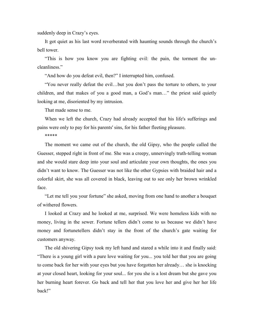suddenly deep in Crazy's eyes.

It got quiet as his last word reverberated with haunting sounds through the church's bell tower.

"This is how you know you are fighting evil: the pain, the torment the uncleanliness."

"And how do you defeat evil, then?" I interrupted him, confused.

"You never really defeat the evil…but you don't pass the torture to others, to your children, and that makes of you a good man, a God's man…" the priest said quietly looking at me, disoriented by my intrusion.

That made sense to me.

When we left the church, Crazy had already accepted that his life's sufferings and pains were only to pay for his parents' sins, for his father fleeting pleasure.

\*\*\*\*\*

The moment we came out of the church, the old Gipsy, who the people called the Guesser, stepped right in front of me. She was a creepy, unnervingly truth-telling woman and she would stare deep into your soul and articulate your own thoughts, the ones you didn't want to know. The Guesser was not like the other Gypsies with braided hair and a colorful skirt, she was all covered in black, leaving out to see only her brown wrinkled face.

"Let me tell you your fortune" she asked, moving from one hand to another a bouquet of withered flowers.

I looked at Crazy and he looked at me, surprised. We were homeless kids with no money, living in the sewer. Fortune tellers didn't come to us because we didn't have money and fortunetellers didn't stay in the front of the church's gate waiting for customers anyway.

The old shivering Gipsy took my left hand and stared a while into it and finally said: "There is a young girl with a pure love waiting for you... you told her that you are going to come back for her with your eyes but you have forgotten her already… she is knocking at your closed heart, looking for your soul... for you she is a lost dream but she gave you her burning heart forever. Go back and tell her that you love her and give her her life back!"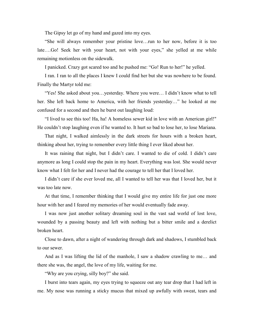The Gipsy let go of my hand and gazed into my eyes.

"She will always remember your pristine love…run to her now, before it is too late….Go! Seek her with your heart, not with your eyes," she yelled at me while remaining motionless on the sidewalk.

I panicked. Crazy got scared too and he pushed me: "Go! Run to her!" he yelled.

I ran. I ran to all the places I knew I could find her but she was nowhere to be found. Finally the Martyr told me:

"Yes! She asked about you…yesterday. Where you were… I didn't know what to tell her. She left back home to America, with her friends yesterday…" he looked at me confused for a second and then he burst out laughing loud:

"I lived to see this too! Ha, ha! A homeless sewer kid in love with an American girl!" He couldn't stop laughing even if he wanted to. It hurt so bad to lose her, to lose Mariana.

That night, I walked aimlessly in the dark streets for hours with a broken heart, thinking about her, trying to remember every little thing I ever liked about her.

It was raining that night, but I didn't care. I wanted to die of cold. I didn't care anymore as long I could stop the pain in my heart. Everything was lost. She would never know what I felt for her and I never had the courage to tell her that I loved her.

I didn't care if she ever loved me, all I wanted to tell her was that I loved her, but it was too late now.

At that time, I remember thinking that I would give my entire life for just one more hour with her and I feared my memories of her would eventually fade away.

I was now just another solitary dreaming soul in the vast sad world of lost love, wounded by a passing beauty and left with nothing but a bitter smile and a derelict broken heart.

Close to dawn, after a night of wandering through dark and shadows, I stumbled back to our sewer.

And as I was lifting the lid of the manhole, I saw a shadow crawling to me… and there she was, the angel, the love of my life, waiting for me.

"Why are you crying, silly boy?" she said.

I burst into tears again, my eyes trying to squeeze out any tear drop that I had left in me. My nose was running a sticky mucus that mixed up awfully with sweat, tears and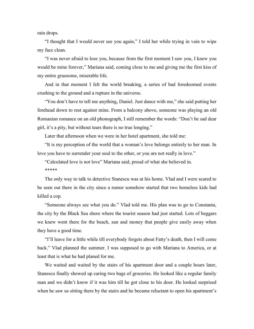rain drops.

"I thought that I would never see you again," I told her while trying in vain to wipe my face clean.

"I was never afraid to lose you, because from the first moment I saw you, I knew you would be mine forever," Mariana said, coming close to me and giving me the first kiss of my entire gruesome, miserable life.

And in that moment I felt the world breaking, a series of bad foredoomed events crushing to the ground and a rupture in the universe.

"You don't have to tell me anything, Daniel. Just dance with me," she said putting her forehead down to rest against mine. From a balcony above, someone was playing an old Romanian romance on an old phonograph, I still remember the words: "Don't be sad dear girl, it's a pity, but without tears there is no true longing."

Later that afternoon when we were in her hotel apartment, she told me:

"It is my perception of the world that a woman's love belongs entirely to her man. In love you have to surrender your soul to the other, or you are not really in love."

"Calculated love is not love" Mariana said, proud of what she believed in. \*\*\*\*\*

The only way to talk to detective Stanescu was at his home. Vlad and I were scared to be seen out there in the city since a rumor somehow started that two homeless kids had killed a cop.

"Someone always see what you do." Vlad told me. His plan was to go to Constanta, the city by the Black Sea shore where the tourist season had just started. Lots of beggars we knew went there for the beach, sun and money that people give easily away when they have a good time.

"I'll leave for a little while till everybody forgets about Fatty's death, then I will come back." Vlad planned the summer. I was supposed to go with Mariana to America, or at least that is what he had planed for me.

We waited and waited by the stairs of his apartment door and a couple hours later, Stanescu finally showed up caring two bags of groceries. He looked like a regular family man and we didn't know if it was him till he got close to his door. He looked surprised when he saw us sitting there by the stairs and he became reluctant to open his apartment's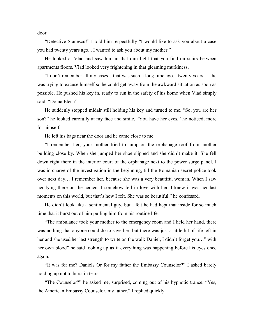door.

"Detective Stanescu!" I told him respectfully "I would like to ask you about a case you had twenty years ago... I wanted to ask you about my mother."

He looked at Vlad and saw him in that dim light that you find on stairs between apartments floors. Vlad looked very frightening in that gleaming murkiness.

"I don't remember all my cases…that was such a long time ago…twenty years…" he was trying to excuse himself so he could get away from the awkward situation as soon as possible. He pushed his key in, ready to run in the safety of his home when Vlad simply said: "Doina Elena".

He suddenly stopped midair still holding his key and turned to me. "So, you are her son?" he looked carefully at my face and smile. "You have her eyes," he noticed, more for himself.

He left his bags near the door and he came close to me.

"I remember her, your mother tried to jump on the orphanage roof from another building close by. When she jumped her shoe slipped and she didn't make it. She fell down right there in the interior court of the orphanage next to the power surge panel. I was in charge of the investigation in the beginning, till the Romanian secret police took over next day… I remember her, because she was a very beautiful woman. When I saw her lying there on the cement I somehow fell in love with her. I knew it was her last moments on this world, but that's how I felt. She was so beautiful," he confessed.

He didn't look like a sentimental guy, but I felt he had kept that inside for so much time that it burst out of him pulling him from his routine life.

"The ambulance took your mother to the emergency room and I held her hand, there was nothing that anyone could do to save her, but there was just a little bit of life left in her and she used her last strength to write on the wall: Daniel, I didn't forget you…" with her own blood" he said looking up as if everything was happening before his eyes once again.

"It was for me? Daniel? Or for my father the Embassy Counselor?" I asked barely holding up not to burst in tears.

"The Counselor?" he asked me, surprised, coming out of his hypnotic trance. "Yes, the American Embassy Counselor, my father." I replied quickly.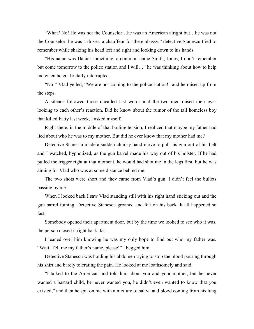"What? No! He was not the Counselor…he was an American alright but…he was not the Counselor, he was a driver, a chauffeur for the embassy," detective Stanescu tried to remember while shaking his head left and right and looking down to his hands.

"His name was Daniel something, a common name Smith, Jones, I don't remember but come tomorrow to the police station and I will…" he was thinking about how to help me when he got brutally interrupted.

"No!" Vlad yelled, "We are not coming to the police station!" and he raised up from the steps.

A silence followed those uncalled last words and the two men raised their eyes looking to each other's reaction. Did he know about the rumor of the tall homeless boy that killed Fatty last week, I asked myself.

Right there, in the middle of that boiling tension, I realized that maybe my father had lied about who he was to my mother. But did he ever know that my mother had me?

Detective Stanescu made a sudden clumsy hand move to pull his gun out of his belt and I watched, hypnotized, as the gun barrel made his way out of his holster. If he had pulled the trigger right at that moment, he would had shot me in the legs first, but he was aiming for Vlad who was at some distance behind me.

The two shots were short and they came from Vlad's gun. I didn't feel the bullets passing by me.

When I looked back I saw Vlad standing still with his right hand sticking out and the gun barrel fuming. Detective Stanescu groaned and felt on his back. It all happened so fast.

Somebody opened their apartment door, but by the time we looked to see who it was, the person closed it right back, fast.

I leaned over him knowing he was my only hope to find out who my father was. "Wait. Tell me my father's name, please!" I begged him.

Detective Stanescu was holding his abdomen trying to stop the blood pouring through his shirt and barely tolerating the pain. He looked at me loathsomely and said:

"I talked to the American and told him about you and your mother, but he never wanted a bastard child, he never wanted you, he didn't even wanted to know that you existed," and then he spit on me with a mixture of saliva and blood coming from his lung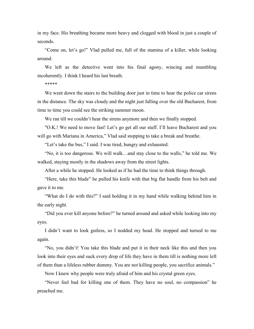in my face. His breathing became more heavy and clogged with blood in just a couple of seconds.

"Come on, let's go!" Vlad pulled me, full of the stamina of a killer, while looking around.

We left as the detective went into his final agony, wincing and mumbling incoherently. I think I heard his last breath.

\*\*\*\*\*

We went down the stairs to the building door just in time to hear the police car sirens in the distance. The sky was cloudy and the night just falling over the old Bucharest, from time to time you could see the striking summer moon.

We ran till we couldn't hear the sirens anymore and then we finally stopped.

"O.K.! We need to move fast! Let's go get all our stuff. I'll leave Bucharest and you will go with Mariana in America," Vlad said stopping to take a break and breathe.

"Let's take the bus," I said. I was tired, hungry and exhausted.

"No, it is too dangerous. We will walk…and stay close to the walls," he told me. We walked, staying mostly in the shadows away from the street lights.

After a while he stopped. He looked as if he had the time to think things through.

"Here, take this blade" he pulled his knife with that big flat handle from his belt and gave it to me.

"What do I do with this?" I said holding it in my hand while walking behind him in the early night.

"Did you ever kill anyone before?" he turned around and asked while looking into my eyes.

I didn't want to look gutless, so I nodded my head. He stopped and turned to me again.

"No, you didn't! You take this blade and put it in their neck like this and then you look into their eyes and suck every drop of life they have in them till is nothing more left of them than a lifeless rubber dummy. You are not killing people, you sacrifice animals."

Now I knew why people were truly afraid of him and his crystal green eyes.

"Never feel bad for killing one of them. They have no soul, no compassion" he preached me.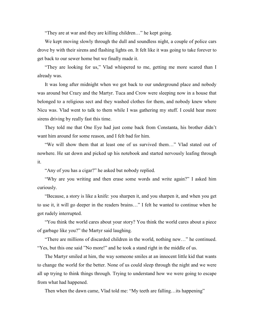"They are at war and they are killing children…" he kept going.

We kept moving slowly through the dull and soundless night, a couple of police cars drove by with their sirens and flashing lights on. It felt like it was going to take forever to get back to our sewer home but we finally made it.

"They are looking for us," Vlad whispered to me, getting me more scared than I already was.

It was long after midnight when we got back to our underground place and nobody was around but Crazy and the Martyr. Tuca and Crow were sleeping now in a house that belonged to a religious sect and they washed clothes for them, and nobody knew where Nicu was. Vlad went to talk to them while I was gathering my stuff. I could hear more sirens driving by really fast this time.

They told me that One Eye had just come back from Constanta, his brother didn't want him around for some reason, and I felt bad for him.

"We will show them that at least one of us survived them…" Vlad stated out of nowhere. He sat down and picked up his notebook and started nervously leafing through it.

"Any of you has a cigar?" he asked but nobody replied.

"Why are you writing and then erase some words and write again?" I asked him curiously.

"Because, a story is like a knife: you sharpen it, and you sharpen it, and when you get to use it, it will go deeper in the readers brains…" I felt he wanted to continue when he got rudely interrupted.

"You think the world cares about your story? You think the world cares about a piece of garbage like you?" the Martyr said laughing.

"There are millions of discarded children in the world, nothing new…" he continued. "Yes, but this one said "No more!" and he took a stand right in the middle of us.

The Martyr smiled at him, the way someone smiles at an innocent little kid that wants to change the world for the better. None of us could sleep through the night and we were all up trying to think things through. Trying to understand how we were going to escape from what had happened.

Then when the dawn came, Vlad told me: "My teeth are falling…its happening"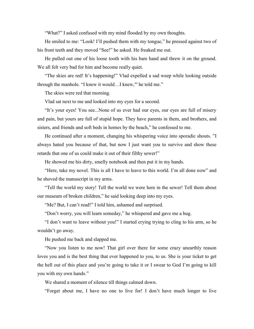"What?" I asked confused with my mind flooded by my own thoughts.

He smiled to me: "Look! I'll pushed them with my tongue," he pressed against two of his front teeth and they moved "See!" he asked. He freaked me out.

He pulled out one of his loose tooth with his bare hand and threw it on the ground. We all felt very bad for him and become really quiet.

"The skies are red! It's happening!" Vlad expelled a sad weep while looking outside through the manhole. "I knew it would…I knew,"' he told me."

The skies were red that morning.

Vlad sat next to me and looked into my eyes for a second.

"It's your eyes! You see...None of us ever had our eyes, our eyes are full of misery and pain, but yours are full of stupid hope. They have parents in them, and brothers, and sisters, and friends and soft beds in homes by the beach," he confessed to me.

He continued after a moment, changing his whispering voice into sporadic shouts. "I always hated you because of that, but now I just want you to survive and show these retards that one of us could make it out of their filthy sewer!"

He showed me his dirty, smelly notebook and then put it in my hands.

"Here, take my novel. This is all I have to leave to this world. I'm all done now" and he shoved the manuscript in my arms.

"Tell the world my story! Tell the world we were here in the sewer! Tell them about our museum of broken children," he said looking deep into my eyes.

"Me? But, I can't read!" I told him, ashamed and surprised.

"Don't worry, you will learn someday," he whispered and gave me a hug.

"I don't want to leave without you!" I started crying trying to cling to his arm, so he wouldn't go away.

He pushed me back and slapped me.

"Now you listen to me now! That girl over there for some crazy unearthly reason loves you and is the best thing that ever happened to you, to us. She is your ticket to get the hell out of this place and you're going to take it or I swear to God I'm going to kill you with my own hands."

We shared a moment of silence till things calmed down.

"Forget about me, I have no one to live for! I don't have much longer to live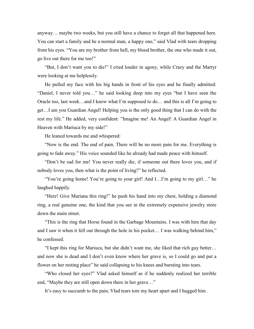anyway… maybe two weeks, but you still have a chance to forget all that happened here. You can start a family and be a normal man, a happy one," said Vlad with tears dropping from his eyes. "You are my brother from hell, my blood brother, the one who made it out, go live out there for me too!"

"But, I don't want you to die!" I cried louder in agony, while Crazy and the Martyr were looking at me helplessly.

He pulled my face with his big hands in front of his eyes and he finally admitted: "Daniel, I never told you…" he said looking deep into my eyes "but I have seen the Oracle too, last week…and I know what I'm supposed to do… and this is all I'm going to get…I am you Guardian Angel! Helping you is the only good thing that I can do with the rest my life." He added, very confident: "Imagine me! An Angel! A Guardian Angel in Heaven with Mariuca by my side!"

He leaned towards me and whispered:

"Now is the end. The end of pain. There will be no more pain for me. Everything is going to fade away." His voice sounded like he already had made peace with himself.

"Don't be sad for me! You never really die, if someone out there loves you, and if nobody loves you, then what is the point of living?" he reflected.

"You're going home! You're going to your girl! And I…I'm going to my girl…" he laughed happily.

"Here! Give Mariana this ring!" he push his hand into my chest, holding a diamond ring, a real genuine one, the kind that you see in the extremely expensive jewelry store down the main street.

"This is the ring that Horse found in the Garbage Mountains. I was with him that day and I saw it when it fell out through the hole in his pocket… I was walking behind him," he confessed.

"I kept this ring for Mariuca, but she didn't want me, she liked that rich guy better… and now she is dead and I don't even know where her grave is, so I could go and put a flower on her resting place" he said collapsing to his knees and bursting into tears.

"Who closed her eyes?" Vlad asked himself as if he suddenly realized her terrible end, "Maybe they are still open down there in her grave…"

It's easy to succumb to the pain, Vlad tears tore my heart apart and I hugged him .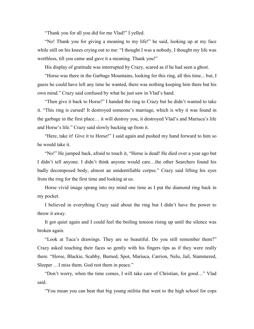"Thank you for all you did for me Vlad!" I yelled.

"No! Thank you for giving a meaning to my life!" he said, looking up at my face while still on his knees crying out to me: "I thought I was a nobody, I thought my life was worthless, till you came and gave it a meaning. Thank you!"

His display of gratitude was interrupted by Crazy, scared as if he had seen a ghost.

"Horse was there in the Garbage Mountains, looking for this ring, all this time... but, I guess he could have left any time he wanted, there was nothing keeping him there but his own mind." Crazy said confused by what he just saw in Vlad's hand.

"Then give it back to Horse!" I handed the ring to Crazy but he didn't wanted to take it. "This ring is cursed! It destroyed someone's marriage, which is why it was found in the garbage in the first place… it will destroy you, it destroyed Vlad's and Mariuca's life and Horse's life." Crazy said slowly backing up from it.

"Here, take it! Give it to Horse!" I said again and pushed my hand forward to him so he would take it.

"No!" He jumped back, afraid to touch it, "Horse is dead! He died over a year ago but I didn't tell anyone. I didn't think anyone would care…the other Searchers found his badly decomposed body, almost an unidentifiable corpse." Crazy said lifting his eyes from the ring for the first time and looking at us.

Horse vivid image sprang into my mind one time as I put the diamond ring back in my pocket.

I believed in everything Crazy said about the ring but I didn't have the power to throw it away.

It got quiet again and I could feel the boiling tension rising up until the silence was broken again.

"Look at Tuca's drawings. They are so beautiful. Do you still remember them?" Crazy asked touching their faces so gently with his fingers tips as if they were really there. "Horse, Blackie, Scabby, Burned, Spot, Mariuca, Carrion, Nelu, Jail, Stammered, Sleeper ... I miss them. God rest them in peace."

"Don't worry, when the time comes, I will take care of Christian, for good…" Vlad said.

"You mean you can beat that big young militia that went to the high school for cops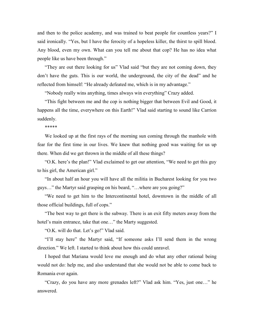and then to the police academy, and was trained to beat people for countless years?" I said ironically. "Yes, but I have the ferocity of a hopeless killer, the thirst to spill blood. Any blood, even my own. What can you tell me about that cop? He has no idea what people like us have been through."

"They are out there looking for us" Vlad said "but they are not coming down, they don't have the guts. This is our world, the underground, the city of the dead" and he reflected from himself: "He already defeated me, which is in my advantage."

"Nobody really wins anything, times always win everything" Crazy added.

"This fight between me and the cop is nothing bigger that between Evil and Good, it happens all the time, everywhere on this Earth!" Vlad said starting to sound like Carrion suddenly.

\*\*\*\*\*

We looked up at the first rays of the morning sun coming through the manhole with fear for the first time in our lives. We knew that nothing good was waiting for us up there. When did we get thrown in the middle of all these things?

"O.K. here's the plan!" Vlad exclaimed to get our attention, "We need to get this guy to his girl, the American girl."

"In about half an hour you will have all the militia in Bucharest looking for you two guys…" the Martyr said grasping on his beard, "…where are you going?"

"We need to get him to the Intercontinental hotel, downtown in the middle of all those official buildings, full of cops."

"The best way to get there is the subway. There is an exit fifty meters away from the hotel's main entrance, take that one..." the Marty suggested.

"O.K. will do that. Let's go!" Vlad said.

"I'll stay here" the Martyr said, "If someone asks I'll send them in the wrong direction." We left. I started to think about how this could unravel.

I hoped that Mariana would love me enough and do what any other rational being would not do: help me, and also understand that she would not be able to come back to Romania ever again.

"Crazy, do you have any more grenades left?" Vlad ask him. "Yes, just one…" he answered.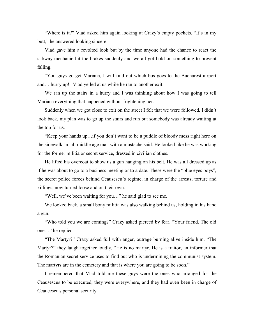"Where is it?" Vlad asked him again looking at Crazy's empty pockets. "It's in my butt," he answered looking sincere.

Vlad gave him a revolted look but by the time anyone had the chance to react the subway mechanic hit the brakes suddenly and we all got hold on something to prevent falling.

"You guys go get Mariana, I will find out which bus goes to the Bucharest airport and… hurry up!" Vlad yelled at us while he ran to another exit.

We ran up the stairs in a hurry and I was thinking about how I was going to tell Mariana everything that happened without frightening her.

Suddenly when we got close to exit on the street I felt that we were followed. I didn't look back, my plan was to go up the stairs and run but somebody was already waiting at the top for us.

"Keep your hands up…if you don't want to be a puddle of bloody mess right here on the sidewalk" a tall middle age man with a mustache said. He looked like he was working for the former militia or secret service, dressed in civilian clothes.

He lifted his overcoat to show us a gun hanging on his belt. He was all dressed up as if he was about to go to a business meeting or to a date. These were the "blue eyes boys", the secret police forces behind Ceausescu's regime, in charge of the arrests, torture and killings, now turned loose and on their own.

"Well, we've been waiting for you…" he said glad to see me.

We looked back, a small bony militia was also walking behind us, holding in his hand a gun.

"Who told you we are coming?" Crazy asked pierced by fear. "Your friend. The old one…" he replied.

"The Martyr?" Crazy asked full with anger, outrage burning alive inside him. "The Martyr?" they laugh together loudly, "He is no martyr. He is a traitor, an informer that the Romanian secret service uses to find out who is undermining the communist system. The martyrs are in the cemetery and that is where you are going to be soon."

I remembered that Vlad told me these guys were the ones who arranged for the Ceausescus to be executed, they were everywhere, and they had even been in charge of Ceaucescu's personal security.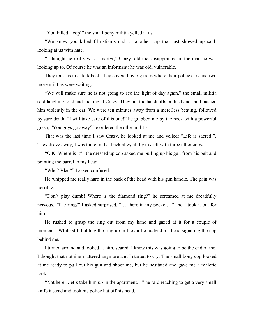"You killed a cop!" the small bony militia yelled at us.

"We know you killed Christian's dad…" another cop that just showed up said, looking at us with hate.

"I thought he really was a martyr," Crazy told me, disappointed in the man he was looking up to. Of course he was an informant: he was old, vulnerable.

They took us in a dark back alley covered by big trees where their police cars and two more militias were waiting.

"We will make sure he is not going to see the light of day again," the small militia said laughing loud and looking at Crazy. They put the handcuffs on his hands and pushed him violently in the car. We were ten minutes away from a merciless beating, followed by sure death. "I will take care of this one!" he grabbed me by the neck with a powerful grasp, "You guys go away" he ordered the other militia.

That was the last time I saw Crazy, he looked at me and yelled: "Life is sacred!". They drove away, I was there in that back alley all by myself with three other cops.

"O.K. Where is it?" the dressed up cop asked me pulling up his gun from his belt and pointing the barrel to my head.

"Who? Vlad?" I asked confused.

He whipped me really hard in the back of the head with his gun handle. The pain was horrible.

"Don't play dumb! Where is the diamond ring?" he screamed at me dreadfully nervous. "The ring?" I asked surprised, "I… here in my pocket…" and I took it out for him.

He rushed to grasp the ring out from my hand and gazed at it for a couple of moments. While still holding the ring up in the air he nudged his head signaling the cop behind me.

I turned around and looked at him, scared. I knew this was going to be the end of me. I thought that nothing mattered anymore and I started to cry. The small bony cop looked at me ready to pull out his gun and shoot me, but he hesitated and gave me a malefic look.

"Not here…let's take him up in the apartment…" he said reaching to get a very small knife instead and took his police hat off his head.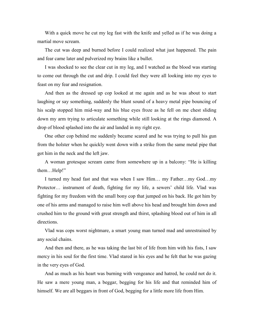With a quick move he cut my leg fast with the knife and yelled as if he was doing a martial move scream.

The cut was deep and burned before I could realized what just happened. The pain and fear came later and pulverized my brains like a bullet.

I was shocked to see the clear cut in my leg, and I watched as the blood was starting to come out through the cut and drip. I could feel they were all looking into my eyes to feast on my fear and resignation.

And then as the dressed up cop looked at me again and as he was about to start laughing or say something, suddenly the blunt sound of a heavy metal pipe bouncing of his scalp stopped him mid-way and his blue eyes froze as he fell on me chest sliding down my arm trying to articulate something while still looking at the rings diamond. A drop of blood splashed into the air and landed in my right eye.

One other cop behind me suddenly became scared and he was trying to pull his gun from the holster when he quickly went down with a strike from the same metal pipe that got him in the neck and the left jaw.

A woman grotesque scream came from somewhere up in a balcony: "He is killing them…Help!"

I turned my head fast and that was when I saw Him… my Father…my God…my Protector… instrument of death, fighting for my life, a sewers' child life. Vlad was fighting for my freedom with the small bony cop that jumped on his back. He got him by one of his arms and managed to raise him well above his head and brought him down and crushed him to the ground with great strength and thirst, splashing blood out of him in all directions.

Vlad was cops worst nightmare, a smart young man turned mad and unrestrained by any social chains.

And then and there, as he was taking the last bit of life from him with his fists, I saw mercy in his soul for the first time. Vlad stared in his eyes and he felt that he was gazing in the very eyes of God.

And as much as his heart was burning with vengeance and hatred, he could not do it. He saw a mere young man, a beggar, begging for his life and that reminded him of himself. We are all beggars in front of God, begging for a little more life from Him.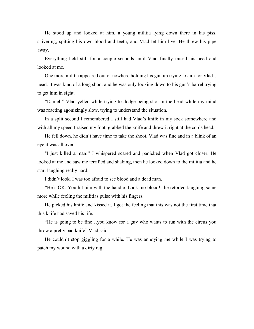He stood up and looked at him, a young militia lying down there in his piss, shivering, spitting his own blood and teeth, and Vlad let him live. He threw his pipe away.

Everything held still for a couple seconds until Vlad finally raised his head and looked at me.

One more militia appeared out of nowhere holding his gun up trying to aim for Vlad's head. It was kind of a long shoot and he was only looking down to his gun's barrel trying to get him in sight.

"Daniel!" Vlad yelled while trying to dodge being shot in the head while my mind was reacting agonizingly slow, trying to understand the situation.

In a split second I remembered I still had Vlad's knife in my sock somewhere and with all my speed I raised my foot, grabbed the knife and threw it right at the cop's head.

He fell down, he didn't have time to take the shoot. Vlad was fine and in a blink of an eye it was all over.

"I just killed a man!" I whispered scared and panicked when Vlad got closer. He looked at me and saw me terrified and shaking, then he looked down to the militia and he start laughing really hard.

I didn't look. I was too afraid to see blood and a dead man.

"He's OK. You hit him with the handle. Look, no blood!" he retorted laughing some more while feeling the militias pulse with his fingers.

He picked his knife and kissed it. I got the feeling that this was not the first time that this knife had saved his life.

"He is going to be fine…you know for a guy who wants to run with the circus you throw a pretty bad knife" Vlad said.

He couldn't stop giggling for a while. He was annoying me while I was trying to patch my wound with a dirty rag.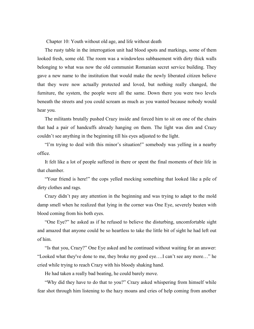Chapter 10: Youth without old age, and life without death

The rusty table in the interrogation unit had blood spots and markings, some of them looked fresh, some old. The room was a windowless subbasement with dirty thick walls belonging to what was now the old communist Romanian secret service building. They gave a new name to the institution that would make the newly liberated citizen believe that they were now actually protected and loved, but nothing really changed, the furniture, the system, the people were all the same. Down there you were two levels beneath the streets and you could scream as much as you wanted because nobody would hear you.

The militants brutally pushed Crazy inside and forced him to sit on one of the chairs that had a pair of handcuffs already hanging on them. The light was dim and Crazy couldn't see anything in the beginning till his eyes adjusted to the light.

"I'm trying to deal with this minor's situation!" somebody was yelling in a nearby office.

It felt like a lot of people suffered in there or spent the final moments of their life in that chamber.

"Your friend is here!" the cops yelled mocking something that looked like a pile of dirty clothes and rags.

Crazy didn't pay any attention in the beginning and was trying to adapt to the mold damp smell when he realized that lying in the corner was One Eye, severely beaten with blood coming from his both eyes.

"One Eye?" he asked as if he refused to believe the disturbing, uncomfortable sight and amazed that anyone could be so heartless to take the little bit of sight he had left out of him.

"Is that you, Crazy?" One Eye asked and he continued without waiting for an answer: "Looked what they've done to me, they broke my good eye….I can't see any more…" he cried while trying to reach Crazy with his bloody shaking hand.

He had taken a really bad beating, he could barely move.

"Why did they have to do that to you?" Crazy asked whispering from himself while fear shot through him listening to the hazy moans and cries of help coming from another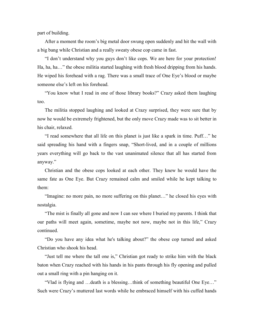part of building.

After a moment the room's big metal door swung open suddenly and hit the wall with a big bang while Christian and a really sweaty obese cop came in fast.

"I don't understand why you guys don't like cops. We are here for your protection! Ha, ha, ha…" the obese militia started laughing with fresh blood dripping from his hands. He wiped his forehead with a rag. There was a small trace of One Eye's blood or maybe someone else's left on his forehead.

"You know what I read in one of those library books?" Crazy asked them laughing too.

The militia stopped laughing and looked at Crazy surprised, they were sure that by now he would be extremely frightened, but the only move Crazy made was to sit better in his chair, relaxed.

"I read somewhere that all life on this planet is just like a spark in time. Puff…" he said spreading his hand with a fingers snap, "Short-lived, and in a couple of millions years everything will go back to the vast unanimated silence that all has started from anyway."

Christian and the obese cops looked at each other. They knew he would have the same fate as One Eye. But Crazy remained calm and smiled while he kept talking to them:

"Imagine: no more pain, no more suffering on this planet…" he closed his eyes with nostalgia.

"The mist is finally all gone and now I can see where I buried my parents. I think that our paths will meet again, sometime, maybe not now, maybe not in this life," Crazy continued.

"Do you have any idea what he's talking about?" the obese cop turned and asked Christian who shook his head.

"Just tell me where the tall one is," Christian got ready to strike him with the black baton when Crazy reached with his hands in his pants through his fly opening and pulled out a small ring with a pin hanging on it.

"Vlad is flying and …death is a blessing…think of something beautiful One Eye…" Such were Crazy's muttered last words while he embraced himself with his cuffed hands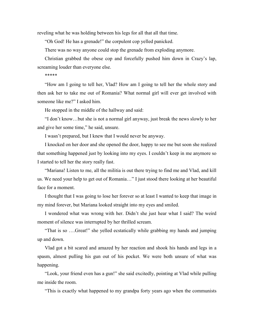reveling what he was holding between his legs for all that all that time.

"Oh God! He has a grenade!" the corpulent cop yelled panicked.

There was no way anyone could stop the grenade from exploding anymore.

Christian grabbed the obese cop and forcefully pushed him down in Crazy's lap, screaming louder than everyone else.

\*\*\*\*\*

"How am I going to tell her, Vlad? How am I going to tell her the whole story and then ask her to take me out of Romania? What normal girl will ever get involved with someone like me?" I asked him.

He stopped in the middle of the hallway and said:

"I don't know…but she is not a normal girl anyway, just break the news slowly to her and give her some time," he said, unsure.

I wasn't prepared, but I knew that I would never be anyway.

I knocked on her door and she opened the door, happy to see me but soon she realized that something happened just by looking into my eyes. I couldn't keep in me anymore so I started to tell her the story really fast.

"Mariana! Listen to me, all the militia is out there trying to find me and Vlad, and kill us. We need your help to get out of Romania…" I just stood there looking at her beautiful face for a moment.

I thought that I was going to lose her forever so at least I wanted to keep that image in my mind forever, but Mariana looked straight into my eyes and smiled.

I wondered what was wrong with her. Didn't she just hear what I said? The weird moment of silence was interrupted by her thrilled scream.

"That is so ….Great!" she yelled ecstatically while grabbing my hands and jumping up and down.

Vlad got a bit scared and amazed by her reaction and shook his hands and legs in a spasm, almost pulling his gun out of his pocket. We were both unsure of what was happening.

"Look, your friend even has a gun!" she said excitedly, pointing at Vlad while pulling me inside the room.

"This is exactly what happened to my grandpa forty years ago when the communists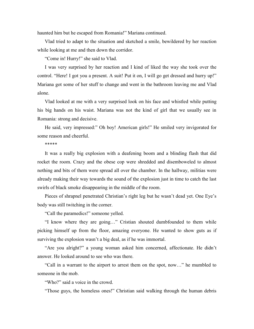haunted him but he escaped from Romania!" Mariana continued.

Vlad tried to adapt to the situation and sketched a smile, bewildered by her reaction while looking at me and then down the corridor.

"Come in! Hurry!" she said to Vlad.

I was very surprised by her reaction and I kind of liked the way she took over the control. "Here! I got you a present. A suit! Put it on, I will go get dressed and hurry up!" Mariana got some of her stuff to change and went in the bathroom leaving me and Vlad alone.

Vlad looked at me with a very surprised look on his face and whistled while putting his big hands on his waist. Mariana was not the kind of girl that we usually see in Romania: strong and decisive.

He said, very impressed:" Oh boy! American girls!" He smiled very invigorated for some reason and cheerful.

\*\*\*\*\*

It was a really big explosion with a deafening boom and a blinding flash that did rocket the room. Crazy and the obese cop were shredded and disemboweled to almost nothing and bits of them were spread all over the chamber. In the hallway, militias were already making their way towards the sound of the explosion just in time to catch the last swirls of black smoke disappearing in the middle of the room.

Pieces of shrapnel penetrated Christian's right leg but he wasn't dead yet. One Eye's body was still twitching in the corner.

"Call the paramedics!" someone yelled.

"I know where they are going…" Cristian shouted dumbfounded to them while picking himself up from the floor, amazing everyone. He wanted to show guts as if surviving the explosion wasn't a big deal, as if he was immortal.

"Are you alright?" a young woman asked him concerned, affectionate. He didn't answer. He looked around to see who was there.

"Call in a warrant to the airport to arrest them on the spot, now…" he mumbled to someone in the mob.

"Who?" said a voice in the crowd.

"Those guys, the homeless ones!" Christian said walking through the human debris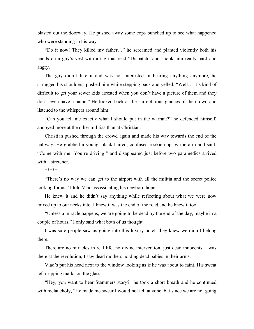blasted out the doorway. He pushed away some cops bunched up to see what happened who were standing in his way.

"Do it now! They killed my father…" he screamed and planted violently both his hands on a guy's vest with a tag that read "Dispatch" and shook him really hard and angry.

The guy didn't like it and was not interested in hearing anything anymore, he shrugged his shoulders, pushed him while stepping back and yelled: "Well… it's kind of difficult to get your sewer kids arrested when you don't have a picture of them and they don't even have a name." He looked back at the surreptitious glances of the crowd and listened to the whispers around him.

"Can you tell me exactly what I should put in the warrant?" he defended himself, annoyed more at the other militias than at Christian.

Christian pushed through the crowd again and made his way towards the end of the hallway. He grabbed a young, black haired, confused rookie cop by the arm and said: "Come with me! You're driving!" and disappeared just before two paramedics arrived with a stretcher.

#### \*\*\*\*\*

"There's no way we can get to the airport with all the militia and the secret police looking for us," I told Vlad assassinating his newborn hope.

He knew it and he didn't say anything while reflecting about what we were now mixed up to our necks into. I knew it was the end of the road and he knew it too.

"Unless a miracle happens, we are going to be dead by the end of the day, maybe in a couple of hours." I only said what both of us thought.

I was sure people saw us going into this luxury hotel, they knew we didn't belong there.

There are no miracles in real life, no divine intervention, just dead innocents. I was there at the revolution, I saw dead mothers holding dead babies in their arms.

Vlad's put his head next to the window looking as if he was about to faint. His sweat left dripping marks on the glass.

"Hey, you want to hear Stammers story?" he took a short breath and he continued with melancholy, "He made me swear I would not tell anyone, but since we are not going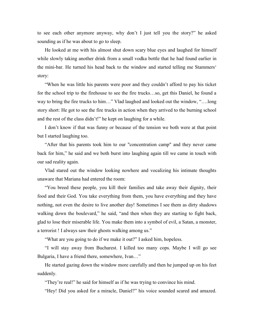to see each other anymore anyway, why don't I just tell you the story?" he asked sounding as if he was about to go to sleep.

He looked at me with his almost shut down scary blue eyes and laughed for himself while slowly taking another drink from a small vodka bottle that he had found earlier in the mini-bar. He turned his head back to the window and started telling me Stammers' story:

"When he was little his parents were poor and they couldn't afford to pay his ticket for the school trip to the firehouse to see the fire trucks…so, get this Daniel, he found a way to bring the fire trucks to him…" Vlad laughed and looked out the window, "….long story short: He got to see the fire trucks in action when they arrived to the burning school and the rest of the class didn't!" he kept on laughing for a while.

I don't know if that was funny or because of the tension we both were at that point but I started laughing too.

"After that his parents took him to our "concentration camp" and they never came back for him," he said and we both burst into laughing again till we came in touch with our sad reality again.

Vlad stared out the window looking nowhere and vocalizing his intimate thoughts unaware that Mariana had entered the room:

"You breed these people, you kill their families and take away their dignity, their food and their God. You take everything from them, you have everything and they have nothing, not even the desire to live another day! Sometimes I see them as dirty shadows walking down the boulevard," he said, "and then when they are starting to fight back, glad to lose their miserable life. You make them into a symbol of evil, a Satan, a monster, a terrorist ! I always saw their ghosts walking among us."

"What are you going to do if we make it out?" I asked him, hopeless.

"I will stay away from Bucharest. I killed too many cops. Maybe I will go see Bulgaria, I have a friend there, somewhere, Ivan…"

He started gazing down the window more carefully and then he jumped up on his feet suddenly.

"They're real!" he said for himself as if he was trying to convince his mind.

"Hey! Did you asked for a miracle, Daniel?" his voice sounded scared and amazed.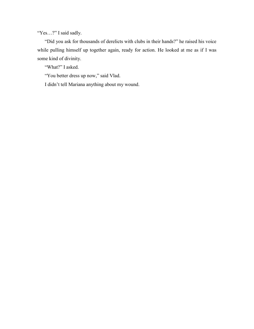"Yes...?" I said sadly.

"Did you ask for thousands of derelicts with clubs in their hands?" he raised his voice while pulling himself up together again, ready for action. He looked at me as if I was some kind of divinity.

"What?" I asked.

"You better dress up now," said Vlad.

I didn't tell Mariana anything about my wound.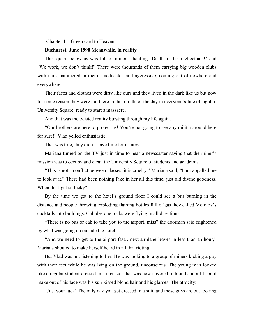Chapter 11: Green card to Heaven

## **Bucharest, June 1990 Meanwhile, in reality**

The square below us was full of miners chanting "Death to the intellectuals!" and "We work, we don't think!" There were thousands of them carrying big wooden clubs with nails hammered in them, uneducated and aggressive, coming out of nowhere and everywhere.

Their faces and clothes were dirty like ours and they lived in the dark like us but now for some reason they were out there in the middle of the day in everyone's line of sight in University Square, ready to start a massacre.

And that was the twisted reality bursting through my life again.

"Our brothers are here to protect us! You're not going to see any militia around here for sure!" Vlad yelled enthusiastic.

That was true, they didn't have time for us now.

Mariana turned on the TV just in time to hear a newscaster saying that the miner's mission was to occupy and clean the University Square of students and academia.

"This is not a conflict between classes, it is cruelty," Mariana said, "I am appalled me to look at it." There had been nothing fake in her all this time, just old divine goodness. When did I get so lucky?

By the time we got to the hotel's ground floor I could see a bus burning in the distance and people throwing exploding flaming bottles full of gas they called Molotov's cocktails into buildings. Cobblestone rocks were flying in all directions.

"There is no bus or cab to take you to the airport, miss" the doorman said frightened by what was going on outside the hotel.

"And we need to get to the airport fast…next airplane leaves in less than an hour," Mariana shouted to make herself heard in all that rioting.

But Vlad was not listening to her. He was looking to a group of miners kicking a guy with their feet while he was lying on the ground, unconscious. The young man looked like a regular student dressed in a nice suit that was now covered in blood and all I could make out of his face was his sun-kissed blond hair and his glasses. The atrocity!

"Just your luck! The only day you get dressed in a suit, and these guys are out looking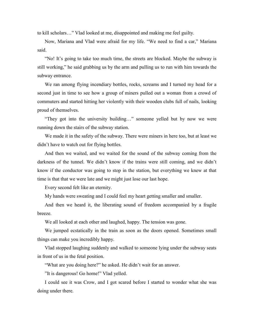to kill scholars…" Vlad looked at me, disappointed and making me feel guilty.

Now, Mariana and Vlad were afraid for my life. "We need to find a car," Mariana said.

"No! It's going to take too much time, the streets are blocked. Maybe the subway is still working," he said grabbing us by the arm and pulling us to run with him towards the subway entrance.

We ran among flying incendiary bottles, rocks, screams and I turned my head for a second just in time to see how a group of miners pulled out a woman from a crowd of commuters and started hitting her violently with their wooden clubs full of nails, looking proud of themselves.

"They got into the university building…" someone yelled but by now we were running down the stairs of the subway station.

We made it in the safety of the subway. There were miners in here too, but at least we didn't have to watch out for flying bottles.

And then we waited, and we waited for the sound of the subway coming from the darkness of the tunnel. We didn't know if the trains were still coming, and we didn't know if the conductor was going to stop in the station, but everything we knew at that time is that that we were late and we might just lose our last hope.

Every second felt like an eternity.

My hands were sweating and I could feel my heart getting smaller and smaller.

And then we heard it, the liberating sound of freedom accompanied by a fragile breeze.

We all looked at each other and laughed, happy. The tension was gone.

We jumped ecstatically in the train as soon as the doors opened. Sometimes small things can make you incredibly happy.

Vlad stopped laughing suddenly and walked to someone lying under the subway seats in front of us in the fetal position.

"What are you doing here?" he asked. He didn't wait for an answer.

"It is dangerous! Go home!" Vlad yelled.

I could see it was Crow, and I got scared before I started to wonder what she was doing under there.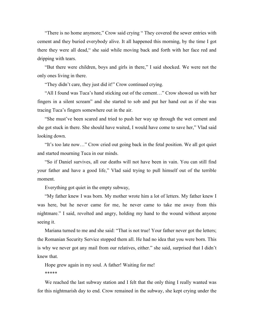"There is no home anymore," Crow said crying " They covered the sewer entries with cement and they buried everybody alive. It all happened this morning, by the time I got there they were all dead," she said while moving back and forth with her face red and dripping with tears.

"But there were children, boys and girls in there," I said shocked. We were not the only ones living in there.

"They didn't care, they just did it!" Crow continued crying.

"All I found was Tuca's hand sticking out of the cement…" Crow showed us with her fingers in a silent scream" and she started to sob and put her hand out as if she was tracing Tuca's fingers somewhere out in the air.

"She must've been scared and tried to push her way up through the wet cement and she got stuck in there. She should have waited, I would have come to save her," Vlad said looking down.

"It's too late now…" Crow cried out going back in the fetal position. We all got quiet and started mourning Tuca in our minds.

"So if Daniel survives, all our deaths will not have been in vain. You can still find your father and have a good life," Vlad said trying to pull himself out of the terrible moment.

Everything got quiet in the empty subway,

"My father knew I was born. My mother wrote him a lot of letters. My father knew I was here, but he never came for me, he never came to take me away from this nightmare." I said, revolted and angry, holding my hand to the wound without anyone seeing it.

Mariana turned to me and she said: "That is not true! Your father never got the letters; the Romanian Security Service stopped them all. He had no idea that you were born. This is why we never got any mail from our relatives, either." she said, surprised that I didn't knew that.

Hope grew again in my soul. A father! Waiting for me! \*\*\*\*\*

We reached the last subway station and I felt that the only thing I really wanted was for this nightmarish day to end. Crow remained in the subway, she kept crying under the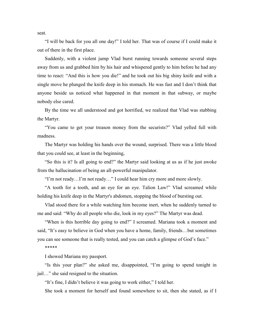"I will be back for you all one day!" I told her. That was of course if I could make it out of there in the first place.

Suddenly, with a violent jump Vlad burst running towards someone several steps away from us and grabbed him by his hair and whispered gently to him before he had any time to react: "And this is how you die!" and he took out his big shiny knife and with a single move he plunged the knife deep in his stomach. He was fast and I don't think that anyone beside us noticed what happened in that moment in that subway, or maybe nobody else cared.

By the time we all understood and got horrified, we realized that Vlad was stabbing the Martyr.

"You came to get your treason money from the securists?" Vlad yelled full with madness.

The Martyr was holding his hands over the wound, surprised. There was a little blood that you could see, at least in the beginning,

"So this is it? Is all going to end?" the Martyr said looking at us as if he just awoke from the hallucination of being an all-powerful manipulator.

"I'm not ready…I'm not ready…" I could hear him cry more and more slowly.

"A tooth for a tooth, and an eye for an eye. Talion Law!" Vlad screamed while holding his knife deep in the Martyr's abdomen, stopping the blood of bursting out.

Vlad stood there for a while watching him become inert, when he suddenly turned to me and said: "Why do all people who die, look in my eyes?" The Martyr was dead.

"When is this horrible day going to end?" I screamed. Mariana took a moment and said, "It's easy to believe in God when you have a home, family, friends…but sometimes you can see someone that is really tested, and you can catch a glimpse of God's face."

\*\*\*\*\*

I showed Mariana my passport.

"Is this your plan?" she asked me, disappointed, "I'm going to spend tonight in jail…" she said resigned to the situation.

"It's fine, I didn't believe it was going to work either," I told her.

She took a moment for herself and found somewhere to sit, then she stated, as if I

seat.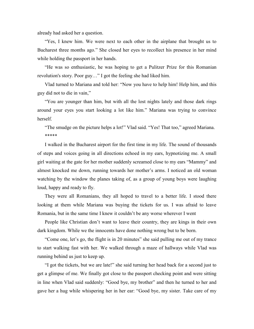already had asked her a question.

"Yes, I knew him. We were next to each other in the airplane that brought us to Bucharest three months ago." She closed her eyes to recollect his presence in her mind while holding the passport in her hands.

"He was so enthusiastic, he was hoping to get a Pulitzer Prize for this Romanian revolution's story. Poor guy…" I got the feeling she had liked him.

Vlad turned to Mariana and told her: "Now you have to help him! Help him, and this guy did not to die in vain,"

"You are younger than him, but with all the lost nights lately and those dark rings around your eyes you start looking a lot like him." Mariana was trying to convince herself.

"The smudge on the picture helps a lot!" Vlad said. "Yes! That too," agreed Mariana. \*\*\*\*\*

I walked in the Bucharest airport for the first time in my life. The sound of thousands of steps and voices going in all directions echoed in my ears, hypnotizing me. A small girl waiting at the gate for her mother suddenly screamed close to my ears "Mammy" and almost knocked me down, running towards her mother's arms. I noticed an old woman watching by the window the planes taking of, as a group of young boys were laughing loud, happy and ready to fly.

They were all Romanians, they all hoped to travel to a better life. I stood there looking at them while Mariana was buying the tickets for us. I was afraid to leave Romania, but in the same time I knew it couldn't be any worse wherever I went

People like Christian don't want to leave their country, they are kings in their own dark kingdom. While we the innocents have done nothing wrong but to be born.

"Come one, let's go, the flight is in 20 minutes" she said pulling me out of my trance to start walking fast with her. We walked through a maze of hallways while Vlad was running behind us just to keep up.

"I got the tickets, but we are late!" she said turning her head back for a second just to get a glimpse of me. We finally got close to the passport checking point and were sitting in line when Vlad said suddenly: "Good bye, my brother" and then he turned to her and gave her a hug while whispering her in her ear: "Good bye, my sister. Take care of my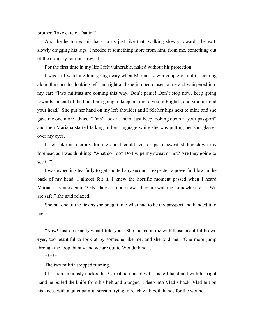brother. Take care of Daniel"

And the he turned his back to us just like that, walking slowly towards the exit, slowly dragging his legs. I needed it something more from him, from me, something out of the ordinary for our farewell.

For the first time in my life I felt vulnerable, naked without his protection.

I was still watching him going away when Mariana saw a couple of militia coming along the corridor looking left and right and she jumped closer to me and whispered into my ear: "Two militias are coming this way. Don't panic! Don't stop now, keep going towards the end of the line, I am going to keep talking to you in English, and you just nod your head." She put her hand on my left shoulder and I felt her hips next to mine and she gave me one more advice: "Don't look at them. Just keep looking down at your passport" and then Mariana started talking in her language while she was putting her sun glasses over my eyes.

It felt like an eternity for me and I could feel drops of sweat sliding down my forehead as I was thinking: "What do I do? Do I wipe my sweat or not? Are they going to see it?"

I was expecting fearfully to get spotted any second. I expected a powerful blow in the back of my head. I almost felt it. I knew the horrific moment passed when I heard Mariana's voice again. "O.K. they are gone now...they are walking somewhere else. We are safe." she said relaxed.

She put one of the tickets she bought into what had to be my passport and handed it to me.

"Now! Just do exactly what I told you". She looked at me with those beautiful brown eyes, too beautiful to look at by someone like me, and she told me: "One more jump through the loop, bunny and we are out to Wonderland…"

\*\*\*\*\*

The two militia stopped running.

Christian anxiously cocked his Carpathian pistol with his left hand and with his right hand he pulled the knife from his belt and plunged it deep into Vlad's back. Vlad felt on his knees with a quiet painful scream trying to reach with both hands for the wound.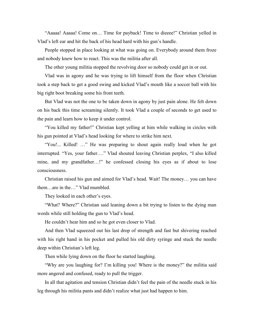"Aaaaa! Aaaaa! Come on… Time for payback! Time to dieeee!" Christian yelled in Vlad's left ear and hit the back of his head hard with his gun's handle.

People stopped in place looking at what was going on. Everybody around them froze and nobody knew how to react. This was the militia after all.

The other young militia stopped the revolving door so nobody could get in or out.

Vlad was in agony and he was trying to lift himself from the floor when Christian took a step back to get a good swing and kicked Vlad's mouth like a soccer ball with his big right boot breaking some his front teeth.

But Vlad was not the one to be taken down in agony by just pain alone. He felt down on his back this time screaming silently. It took Vlad a couple of seconds to get used to the pain and learn how to keep it under control.

"You killed my father!" Christian kept yelling at him while walking in circles with his gun pointed at Vlad's head looking for where to strike him next.

"You!... Killed! …" He was preparing to shout again really loud when he got interrupted. "Yes, your father…." Vlad shouted leaving Christian perplex, "I also killed mine, and my grandfather…!" he confessed closing his eyes as if about to lose consciousness.

Christian raised his gun and aimed for Vlad's head. Wait! The money… you can have them…are in the…" Vlad mumbled.

They looked in each other's eyes.

"What? Where?" Christian said leaning down a bit trying to listen to the dying man words while still holding the gun to Vlad's head.

He couldn't hear him and so he got even closer to Vlad.

And then Vlad squeezed out his last drop of strength and fast but shivering reached with his right hand in his pocket and pulled his old dirty syringe and stuck the needle deep within Christian's left leg.

Then while lying down on the floor he started laughing.

"Why are you laughing for? I'm killing you! Where is the money?" the militia said more angered and confused, ready to pull the trigger.

In all that agitation and tension Christian didn't feel the pain of the needle stuck in his leg through his militia pants and didn't realize what just had happen to him.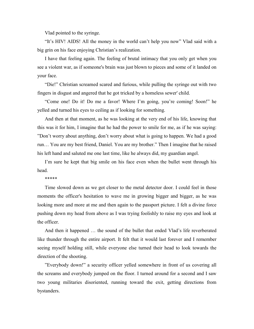Vlad pointed to the syringe.

"It's HIV! AIDS! All the money in the world can't help you now" Vlad said with a big grin on his face enjoying Christian's realization.

I have that feeling again. The feeling of brutal intimacy that you only get when you see a violent war, as if someone's brain was just blown to pieces and some of it landed on your face.

"Die!" Christian screamed scared and furious, while pulling the syringe out with two fingers in disgust and angered that he got tricked by a homeless sewer' child.

"Come one! Do it! Do me a favor! Where I'm going, you're coming! Soon!" he yelled and turned his eyes to ceiling as if looking for something.

And then at that moment, as he was looking at the very end of his life, knowing that this was it for him, I imagine that he had the power to smile for me, as if he was saying: "Don't worry about anything, don't worry about what is going to happen. We had a good run… You are my best friend, Daniel. You are my brother." Then I imagine that he raised his left hand and saluted me one last time, like he always did, my guardian angel.

I'm sure he kept that big smile on his face even when the bullet went through his head.

\*\*\*\*\*

Time slowed down as we got closer to the metal detector door. I could feel in those moments the officer's hesitation to wave me in growing bigger and bigger, as he was looking more and more at me and then again to the passport picture. I felt a divine force pushing down my head from above as I was trying foolishly to raise my eyes and look at the officer.

And then it happened … the sound of the bullet that ended Vlad's life reverberated like thunder through the entire airport. It felt that it would last forever and I remember seeing myself holding still, while everyone else turned their head to look towards the direction of the shooting.

"Everybody down!" a security officer yelled somewhere in front of us covering all the screams and everybody jumped on the floor. I turned around for a second and I saw two young militaries disoriented, running toward the exit, getting directions from bystanders.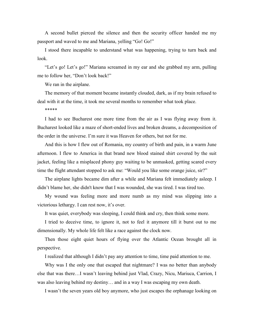A second bullet pierced the silence and then the security officer handed me my passport and waved to me and Mariana, yelling "Go! Go!"

I stood there incapable to understand what was happening, trying to turn back and look.

"Let's go! Let's go!" Mariana screamed in my ear and she grabbed my arm, pulling me to follow her, "Don't look back!"

We ran in the airplane.

The memory of that moment became instantly clouded, dark, as if my brain refused to deal with it at the time, it took me several months to remember what took place.

\*\*\*\*\*

I had to see Bucharest one more time from the air as I was flying away from it. Bucharest looked like a maze of short-ended lives and broken dreams, a decomposition of the order in the universe. I'm sure it was Heaven for others, but not for me.

And this is how I flew out of Romania, my country of birth and pain, in a warm June afternoon. I flew to America in that brand new blood stained shirt covered by the suit jacket, feeling like a misplaced phony guy waiting to be unmasked, getting scared every time the flight attendant stopped to ask me: "Would you like some orange juice, sir?"

The airplane lights became dim after a while and Mariana felt immediately asleep. I didn't blame her, she didn't know that I was wounded, she was tired. I was tired too.

My wound was feeling more and more numb as my mind was slipping into a victorious lethargy. I can rest now, it's over.

It was quiet, everybody was sleeping, I could think and cry, then think some more.

I tried to deceive time, to ignore it, not to feel it anymore till it burst out to me dimensionally. My whole life felt like a race against the clock now.

Then those eight quiet hours of flying over the Atlantic Ocean brought all in perspective.

I realized that although I didn't pay any attention to time, time paid attention to me.

Why was I the only one that escaped that nightmare? I was no better than anybody else that was there…I wasn't leaving behind just Vlad, Crazy, Nicu, Mariuca, Carrion, I was also leaving behind my destiny… and in a way I was escaping my own death.

I wasn't the seven years old boy anymore, who just escapes the orphanage looking on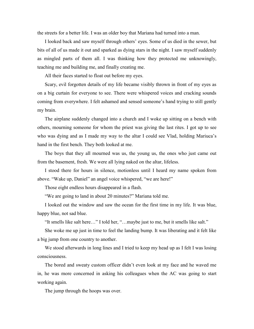the streets for a better life. I was an older boy that Mariana had turned into a man.

I looked back and saw myself through others' eyes. Some of us died in the sewer, but bits of all of us made it out and sparked as dying stars in the night. I saw myself suddenly as mingled parts of them all. I was thinking how they protected me unknowingly, teaching me and building me, and finally creating me.

All their faces started to float out before my eyes.

Scary, evil forgotten details of my life became visibly thrown in front of my eyes as on a big curtain for everyone to see. There were whispered voices and cracking sounds coming from everywhere. I felt ashamed and sensed someone's hand trying to still gently my brain.

The airplane suddenly changed into a church and I woke up sitting on a bench with others, mourning someone for whom the priest was giving the last rites. I got up to see who was dying and as I made my way to the altar I could see Vlad, holding Mariuca's hand in the first bench. They both looked at me.

The boys that they all mourned was us, the young us, the ones who just came out from the basement, fresh. We were all lying naked on the altar, lifeless.

I stood there for hours in silence, motionless until I heard my name spoken from above. "Wake up, Daniel" an angel voice whispered, "we are here!"

Those eight endless hours disappeared in a flash.

"We are going to land in about 20 minutes?" Mariana told me.

I looked out the window and saw the ocean for the first time in my life. It was blue, happy blue, not sad blue.

"It smells like salt here…" I told her, "…maybe just to me, but it smells like salt."

She woke me up just in time to feel the landing bump. It was liberating and it felt like a big jump from one country to another.

We stood afterwards in long lines and I tried to keep my head up as I felt I was losing consciousness.

The bored and sweaty custom officer didn't even look at my face and he waved me in, he was more concerned in asking his colleagues when the AC was going to start working again.

The jump through the hoops was over.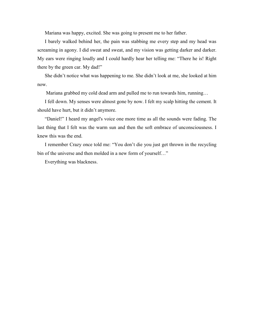Mariana was happy, excited. She was going to present me to her father.

I barely walked behind her, the pain was stabbing me every step and my head was screaming in agony. I did sweat and sweat, and my vision was getting darker and darker. My ears were ringing loudly and I could hardly hear her telling me: "There he is! Right there by the green car. My dad!"

She didn't notice what was happening to me. She didn't look at me, she looked at him now.

Mariana grabbed my cold dead arm and pulled me to run towards him, running…

I fell down. My senses were almost gone by now. I felt my scalp hitting the cement. It should have hurt, but it didn't anymore.

"Daniel!" I heard my angel's voice one more time as all the sounds were fading. The last thing that I felt was the warm sun and then the soft embrace of unconsciousness. I knew this was the end.

I remember Crazy once told me: "You don't die you just get thrown in the recycling bin of the universe and then molded in a new form of yourself..."

Everything was blackness.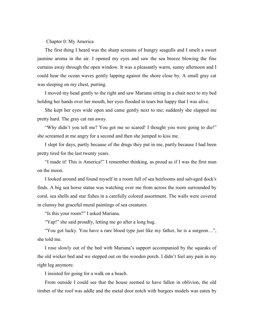### Chapter 0: My America

The first thing I heard was the sharp screams of hungry seagulls and I smelt a sweet jasmine aroma in the air. I opened my eyes and saw the sea breeze blowing the fine curtains away through the open window. It was a pleasantly warm, sunny afternoon and I could hear the ocean waves gently lapping against the shore close by. A small gray cat was sleeping on my chest, purring.

I moved my head gently to the right and saw Mariana sitting in a chair next to my bed holding her hands over her mouth, her eyes flooded in tears but happy that I was alive.

She kept her eyes wide open and came gently next to me; suddenly she slapped me pretty hard. The gray cat ran away.

"Why didn't you tell me? You got me so scared! I thought you were going to die!" she screamed at me angry for a second and then she jumped to kiss me.

I slept for days, partly because of the drugs they put in me, partly because I had been pretty tired for the last twenty years.

"I made it! This is America!" I remember thinking, as proud as if I was the first man on the moon.

I looked around and found myself in a room full of sea heirlooms and salvaged dock's finds. A big sea horse statue was watching over me from across the room surrounded by coral, sea shells and star fishes in a carefully colored assortment. The walls were covered in clumsy but graceful mural paintings of sea creatures.

"Is this your room?" I asked Mariana.

"Yap!" she said proudly, letting me go after a long hug.

"You got lucky. You have a rare blood type just like my father, he is a surgeon…", she told me.

I rose slowly out of the bed with Mariana's support accompanied by the squeaks of the old wicker bed and we stepped out on the wooden porch. I didn't feel any pain in my right leg anymore.

I insisted for going for a walk on a beach.

From outside I could see that the house seemed to have fallen in oblivion, the old timber of the roof was addle and the metal door notch with burgees models was eaten by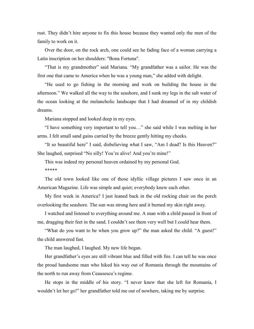rust. They didn't hire anyone to fix this house because they wanted only the men of the family to work on it.

Over the door, on the rock arch, one could see he fading face of a woman carrying a Latin inscription on her shoulders: "Bona Fortuna".

"That is my grandmother" said Mariana. "My grandfather was a sailor. He was the first one that came to America when he was a young man," she added with delight.

"He used to go fishing in the morning and work on building the house in the afternoon." We walked all the way to the seashore, and I sunk my legs in the salt water of the ocean looking at the melancholic landscape that I had dreamed of in my childish dreams.

Mariana stopped and looked deep in my eyes.

"I have something very important to tell you…" she said while I was melting in her arms. I felt small sand gains carried by the breeze gently hitting my cheeks.

"It so beautiful here" I said, disbelieving what I saw, "Am I dead? Is this Heaven?" She laughed, surprised "No silly! You're alive! And you're mine!"

This was indeed my personal heaven ordained by my personal God. \*\*\*\*\*

The old town looked like one of those idyllic village pictures I saw once in an American Magazine. Life was simple and quiet; everybody knew each other.

My first week in America? I just leaned back in the old rocking chair on the porch overlooking the seashore. The sun was strong here and it burned my skin right away.

I watched and listened to everything around me. A man with a child passed in front of me, dragging their feet in the sand. I couldn't see them very well but I could hear them.

"What do you want to be when you grow up?" the man asked the child. "A guest!" the child answered fast.

The man laughed, I laughed. My new life began.

Her grandfather's eyes are still vibrant blue and filled with fire. I can tell he was once the proud handsome man who hiked his way out of Romania through the mountains of the north to run away from Ceausescu's regime.

He stops in the middle of his story. "I never knew that she left for Romania, I wouldn't let her go!" her grandfather told me out of nowhere, taking me by surprise.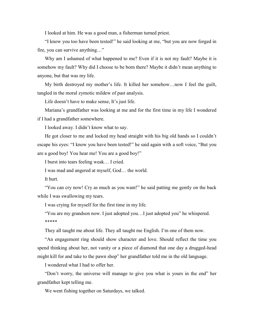I looked at him. He was a good man, a fisherman turned priest.

"I know you too have been tested!" he said looking at me, "but you are now forged in fire, you can survive anything…"

Why am I ashamed of what happened to me? Even if it is not my fault? Maybe it is somehow my fault? Why did I choose to be born there? Maybe it didn't mean anything to anyone, but that was my life.

My birth destroyed my mother's life. It killed her somehow…now I feel the guilt, tangled in the moral zymotic mildew of past analysis.

Life doesn't have to make sense, It's just life.

Mariana's grandfather was looking at me and for the first time in my life I wondered if I had a grandfather somewhere.

I looked away. I didn't know what to say.

He got closer to me and locked my head straight with his big old hands so I couldn't escape his eyes: "I know you have been tested!" he said again with a soft voice, "But you are a good boy! You hear me! You are a good boy!"

I burst into tears feeling weak… I cried.

I was mad and angered at myself, God… the world.

It hurt.

"You can cry now! Cry as much as you want!" he said patting me gently on the back while I was swallowing my tears.

I was crying for myself for the first time in my life.

"You are my grandson now. I just adopted you…I just adopted you" he whispered. \*\*\*\*\*

They all taught me about life. They all taught me English. I'm one of them now.

"An engagement ring should show character and love. Should reflect the time you spend thinking about her, not vanity or a piece of diamond that one day a drugged-head might kill for and take to the pawn shop" her grandfather told me in the old language.

I wondered what I had to offer her.

"Don't worry, the universe will manage to give you what is yours in the end" her grandfather kept telling me.

We went fishing together on Saturdays, we talked.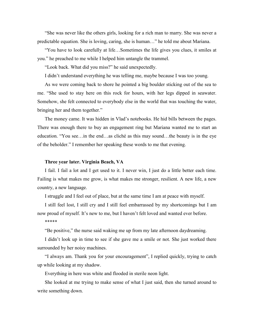"She was never like the others girls, looking for a rich man to marry. She was never a predictable equation. She is loving, caring, she is human…" he told me about Mariana.

"You have to look carefully at life…Sometimes the life gives you clues, it smiles at you." he preached to me while I helped him untangle the trammel.

"Look back. What did you miss?" he said unexpectedly.

I didn't understand everything he was telling me, maybe because I was too young.

As we were coming back to shore he pointed a big boulder sticking out of the sea to me. "She used to stay here on this rock for hours, with her legs dipped in seawater. Somehow, she felt connected to everybody else in the world that was touching the water, bringing her and them together."

The money came. It was hidden in Vlad's notebooks. He hid bills between the pages. There was enough there to buy an engagement ring but Mariana wanted me to start an education. "You see…in the end…as cliché as this may sound…the beauty is in the eye of the beholder." I remember her speaking these words to me that evening.

## **Three year later. Virginia Beach, VA**

I fail. I fail a lot and I get used to it. I never win, I just do a little better each time. Failing is what makes me grow, is what makes me stronger, resilient. A new life, a new country, a new language.

I struggle and I feel out of place, but at the same time I am at peace with myself.

I still feel lost, I still cry and I still feel embarrassed by my shortcomings but I am now proud of myself. It's new to me, but I haven't felt loved and wanted ever before.

\*\*\*\*\*

"Be positive," the nurse said waking me up from my late afternoon daydreaming.

I didn't look up in time to see if she gave me a smile or not. She just worked there surrounded by her noisy machines.

"I always am. Thank you for your encouragement", I replied quickly, trying to catch up while looking at my shadow.

Everything in here was white and flooded in sterile neon light.

She looked at me trying to make sense of what I just said, then she turned around to write something down.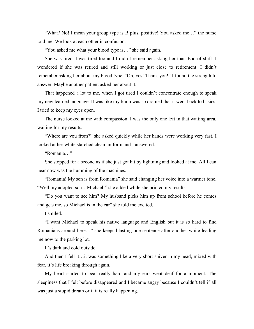"What? No! I mean your group type is B plus, positive! You asked me…" the nurse told me. We look at each other in confusion.

"You asked me what your blood type is…" she said again.

She was tired, I was tired too and I didn't remember asking her that. End of shift. I wondered if she was retired and still working or just close to retirement. I didn't remember asking her about my blood type. "Oh, yes! Thank you!" I found the strength to answer. Maybe another patient asked her about it.

That happened a lot to me, when I got tired I couldn't concentrate enough to speak my new learned language. It was like my brain was so drained that it went back to basics. I tried to keep my eyes open.

The nurse looked at me with compassion. I was the only one left in that waiting area, waiting for my results.

"Where are you from?" she asked quickly while her hands were working very fast. I looked at her white starched clean uniform and I answered:

"Romania…"

She stopped for a second as if she just got hit by lightning and looked at me. All I can hear now was the humming of the machines.

"Romania! My son is from Romania" she said changing her voice into a warmer tone. "Well my adopted son…Michael!" she added while she printed my results.

"Do you want to see him? My husband picks him up from school before he comes and gets me, so Michael is in the car" she told me excited.

I smiled.

"I want Michael to speak his native language and English but it is so hard to find Romanians around here…" she keeps blasting one sentence after another while leading me now to the parking lot.

It's dark and cold outside.

And then I fell it…it was something like a very short shiver in my head, mixed with fear, it's life breaking through again.

My heart started to beat really hard and my ears went deaf for a moment. The sleepiness that I felt before disappeared and I became angry because I couldn't tell if all was just a stupid dream or if it is really happening.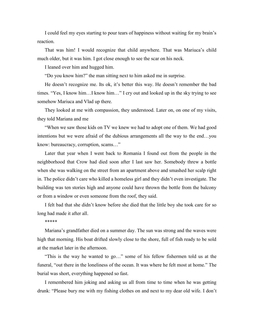I could feel my eyes starting to pour tears of happiness without waiting for my brain's reaction.

That was him! I would recognize that child anywhere. That was Mariuca's child much older, but it was him. I got close enough to see the scar on his neck.

I leaned over him and hugged him.

"Do you know him?" the man sitting next to him asked me in surprise.

He doesn't recognize me. Its ok, it's better this way. He doesn't remember the bad times. "Yes, I know him…I know him…" I cry out and looked up in the sky trying to see somehow Mariuca and Vlad up there.

They looked at me with compassion, they understood. Later on, on one of my visits, they told Mariana and me

"When we saw those kids on TV we knew we had to adopt one of them. We had good intentions but we were afraid of the dubious arrangements all the way to the end…you know: bureaucracy, corruption, scams…"

Later that year when I went back to Romania I found out from the people in the neighborhood that Crow had died soon after I last saw her. Somebody threw a bottle when she was walking on the street from an apartment above and smashed her scalp right in. The police didn't care who killed a homeless girl and they didn't even investigate. The building was ten stories high and anyone could have thrown the bottle from the balcony or from a window or even someone from the roof, they said.

I felt bad that she didn't know before she died that the little boy she took care for so long had made it after all.

\*\*\*\*\*

Mariana's grandfather died on a summer day. The sun was strong and the waves were high that morning. His boat drifted slowly close to the shore, full of fish ready to be sold at the market later in the afternoon.

"This is the way he wanted to go…" some of his fellow fishermen told us at the funeral, "out there in the loneliness of the ocean. It was where he felt most at home." The burial was short, everything happened so fast.

I remembered him joking and asking us all from time to time when he was getting drunk: "Please bury me with my fishing clothes on and next to my dear old wife. I don't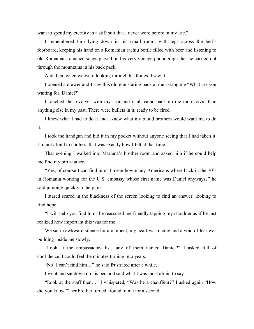want to spend my eternity in a stiff suit that I never wore before in my life."

I remembered him lying down in his small room, with legs across the bed's footboard, keeping his hand on a Romanian rachiu bottle filled with beer and listening to old Romanian romance songs played on his very vintage phonograph that he carried out through the mountains in his back pack.

And then, when we were looking through his things, I saw it…

I opened a drawer and I saw this old gun staring back at me asking me "What are you waiting for, Daniel?"

I touched the revolver with my scar and it all came back do me more vivid than anything else in my past. There were bullets in it, ready to be fired.

I knew what I had to do it and I knew what my blood brothers would want me to do it.

I took the handgun and hid it in my pocket without anyone seeing that I had taken it. I'm not afraid to confess, that was exactly how I felt at that time.

That evening I walked into Mariana's brother room and asked him if he could help me find my birth father.

"Yes, of course I can find him! I mean how many Americans where back in the 70's in Romania working for the U.S. embassy whose first name was Daniel anyways?" he said jumping quickly to help me.

I stared scared in the blackness of the screen looking to find an answer, looking to find hope.

"I will help you find him" he reassured me friendly tapping my shoulder as if he just realized how important this was for me.

We sat in awkward silence for a moment, my heart was racing and a void of fear was building inside me slowly.

"Look at the ambassadors list…any of them named Daniel?" I asked full of confidence. I could feel the minutes turning into years.

"No! I can't find him…" he said frustrated after a while.

I went and sat down on his bed and said what I was most afraid to say:

"Look at the staff then…" I whispered, "Was he a chauffeur?" I asked again "How did you know?" her brother turned around to me for a second.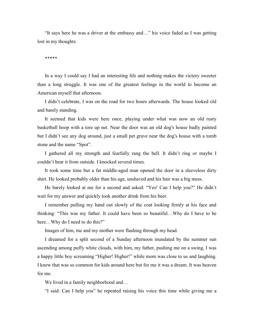"It says here he was a driver at the embassy and…" his voice faded as I was getting lost in my thoughts.

#### \*\*\*\*\*

In a way I could say I had an interesting life and nothing makes the victory sweeter than a long struggle. It was one of the greatest feelings in the world to become an American myself that afternoon.

I didn't celebrate, I was on the road for two hours afterwards. The house looked old and barely standing.

It seemed that kids were here once, playing under what was now an old rusty basketball hoop with a tore up net. Near the door was an old dog's house badly painted but I didn't see any dog around, just a small pet grave near the dog's house with a tomb stone and the name "Spot".

I gathered all my strength and fearfully rang the bell. It didn't ring or maybe I couldn't hear it from outside. I knocked several times.

It took some time but a fat middle-aged man opened the door in a sleeveless dirty shirt. He looked probably older than his age, unshaved and his hair was a big mess.

He barely looked at me for a second and asked: "Yes! Can I help you?" He didn't wait for my answer and quickly took another drink from his beer.

I remember pulling my hand out slowly of the coat looking firmly at his face and thinking: "This was my father. It could have been so beautiful…Why do I have to be here...Why do I need to do this?"

Images of him, me and my mother were flashing through my head.

I dreamed for a split second of a Sunday afternoon inundated by the summer sun ascending among puffy white clouds, with him, my father, pushing me on a swing, I was a happy little boy screaming "Higher! Higher!" while mom was close to us and laughing. I knew that was so common for kids around here but for me it was a dream. It was heaven for me.

We lived in a family neighborhood and...

"I said: Can I help you" he repeated raising his voice this time while giving me a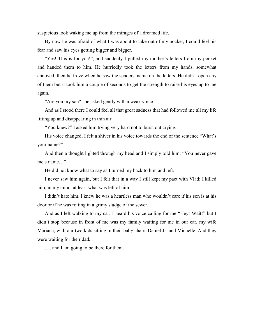suspicious look waking me up from the mirages of a dreamed life.

By now he was afraid of what I was about to take out of my pocket, I could feel his fear and saw his eyes getting bigger and bigger.

"Yes! This is for you!", and suddenly I pulled my mother's letters from my pocket and handed them to him. He hurriedly took the letters from my hands, somewhat annoyed, then he froze when he saw the senders' name on the letters. He didn't open any of them but it took him a couple of seconds to get the strength to raise his eyes up to me again.

"Are you my son?" he asked gently with a weak voice.

And as I stood there I could feel all that great sadness that had followed me all my life lifting up and disappearing in thin air.

"You knew?" I asked him trying very hard not to burst out crying.

His voice changed, I felt a shiver in his voice towards the end of the sentence "What's your name?"

And then a thought lighted through my head and I simply told him: "You never gave me a name…"

He did not know what to say as I turned my back to him and left.

I never saw him again, but I felt that in a way I still kept my pact with Vlad: I killed him, in my mind, at least what was left of him.

I didn't hate him. I knew he was a heartless man who wouldn't care if his son is at his door or if he was rotting in a grimy sludge of the sewer.

And as I left walking to my car, I heard his voice calling for me "Hey! Wait!" but I didn't stop because in front of me was my family waiting for me in our car, my wife Mariana, with our two kids sitting in their baby chairs Daniel Jr. and Michelle. And they were waiting for their dad...

…. and I am going to be there for them.